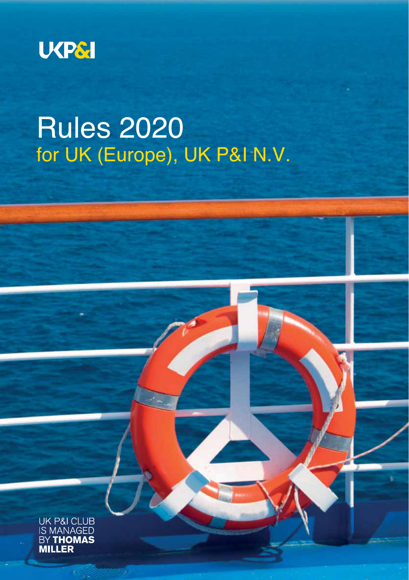

# Rules 2020 for UK (Europe), UK P&I N.V.

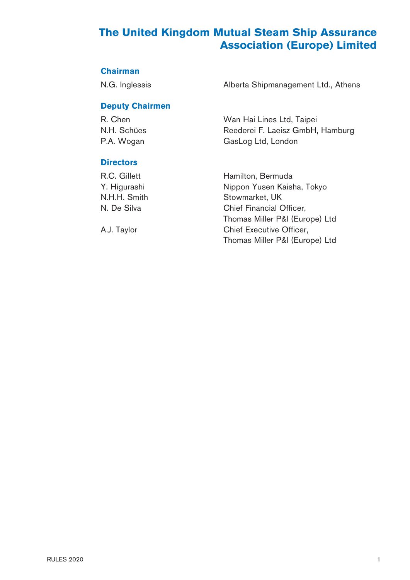# **The United Kingdom Mutual Steam Ship Assurance Association (Europe) Limited**

#### **Chairman**

N.G. Inglessis **Alberta Shipmanagement Ltd., Athens** 

### **Deputy Chairmen**

P.A. Wogan GasLog Ltd, London

R. Chen Wan Hai Lines Ltd, Taipei<br>N.H. Schües Chennes Reederei F. Laeisz GmbH, Reederei F. Laeisz GmbH, Hamburg

#### **Directors**

R.C. Gillett Hamilton, Bermuda Y. Higurashi Nippon Yusen Kaisha, Tokyo N.H.H. Smith Stowmarket, UK N. De Silva Chief Financial Officer, Thomas Miller P&I (Europe) Ltd A.J. Taylor Chief Executive Officer, Thomas Miller P&I (Europe) Ltd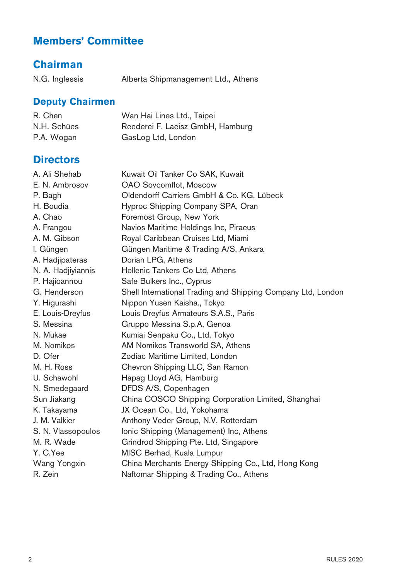# **Members' Committee**

# **Chairman**

N.G. Inglessis Alberta Shipmanagement Ltd., Athens

### **Deputy Chairmen**

| R. Chen     | Wan Hai Lines Ltd., Taipei       |
|-------------|----------------------------------|
| N.H. Schües | Reederei F. Laeisz GmbH, Hamburg |
| P.A. Wogan  | GasLog Ltd, London               |

# **Directors**

| A. Ali Shehab      | Kuwait Oil Tanker Co SAK, Kuwait                             |
|--------------------|--------------------------------------------------------------|
| E. N. Ambrosov     | OAO Sovcomflot, Moscow                                       |
| P. Bagh            | Oldendorff Carriers GmbH & Co. KG, Lübeck                    |
| H. Boudia          | Hyproc Shipping Company SPA, Oran                            |
| A. Chao            | Foremost Group, New York                                     |
| A. Frangou         | Navios Maritime Holdings Inc, Piraeus                        |
| A. M. Gibson       | Royal Caribbean Cruises Ltd, Miami                           |
| I. Güngen          | Güngen Maritime & Trading A/S, Ankara                        |
| A. Hadjipateras    | Dorian LPG, Athens                                           |
| N. A. Hadjiyiannis | Hellenic Tankers Co Ltd, Athens                              |
| P. Hajioannou      | Safe Bulkers Inc., Cyprus                                    |
| G. Henderson       | Shell International Trading and Shipping Company Ltd, London |
| Y. Higurashi       | Nippon Yusen Kaisha., Tokyo                                  |
| E. Louis-Dreyfus   | Louis Dreyfus Armateurs S.A.S., Paris                        |
| S. Messina         | Gruppo Messina S.p.A, Genoa                                  |
| N. Mukae           | Kumiai Senpaku Co., Ltd, Tokyo                               |
| M. Nomikos         | AM Nomikos Transworld SA, Athens                             |
| D. Ofer            | Zodiac Maritime Limited, London                              |
| M. H. Ross         | Chevron Shipping LLC, San Ramon                              |
| U. Schawohl        | Hapag Lloyd AG, Hamburg                                      |
| N. Smedegaard      | DFDS A/S, Copenhagen                                         |
| Sun Jiakang        | China COSCO Shipping Corporation Limited, Shanghai           |
| K. Takayama        | JX Ocean Co., Ltd, Yokohama                                  |
| J. M. Valkier      | Anthony Veder Group, N.V, Rotterdam                          |
| S. N. Vlassopoulos | Ionic Shipping (Management) Inc, Athens                      |
| M. R. Wade         | Grindrod Shipping Pte. Ltd, Singapore                        |
| Y. C.Yee           | MISC Berhad, Kuala Lumpur                                    |
| Wang Yongxin       | China Merchants Energy Shipping Co., Ltd, Hong Kong          |
| R. Zein            | Naftomar Shipping & Trading Co., Athens                      |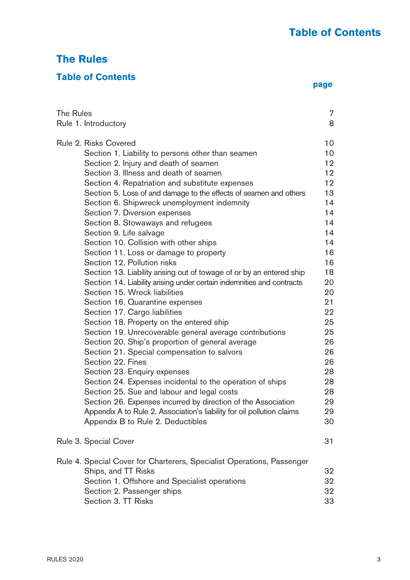# **The Rules**

# **Table of Contents**

|  | page |
|--|------|

| The Rules | Rule 1. Introductory                                                   | $\overline{7}$<br>8 |
|-----------|------------------------------------------------------------------------|---------------------|
|           |                                                                        |                     |
|           | Rule 2. Risks Covered                                                  | 10                  |
|           | Section 1. Liability to persons other than seamen                      | 10                  |
|           | Section 2. Injury and death of seamen                                  | 12                  |
|           | Section 3. Illness and death of seamen                                 | 12                  |
|           | Section 4. Repatriation and substitute expenses                        | 12                  |
|           | Section 5. Loss of and damage to the effects of seamen and others      | 13                  |
|           | Section 6. Shipwreck unemployment indemnity                            | 14                  |
|           | Section 7. Diversion expenses                                          | 14                  |
|           | Section 8. Stowaways and refugees                                      | 14                  |
|           | Section 9. Life salvage                                                | 14                  |
|           | Section 10. Collision with other ships                                 | 14                  |
|           | Section 11. Loss or damage to property                                 | 16                  |
|           | Section 12. Pollution risks                                            | 16                  |
|           | Section 13. Liability arising out of towage of or by an entered ship   | 18                  |
|           | Section 14. Liability arising under certain indemnities and contracts  | 20                  |
|           | Section 15. Wreck liabilities                                          | 20                  |
|           | Section 16. Quarantine expenses                                        | 21                  |
|           | Section 17. Cargo liabilities                                          | 22                  |
|           | Section 18. Property on the entered ship                               | 25                  |
|           | Section 19. Unrecoverable general average contributions                | 25                  |
|           | Section 20. Ship's proportion of general average                       | 26                  |
|           | Section 21. Special compensation to salvors                            | 26                  |
|           | Section 22. Fines                                                      | 26                  |
|           | Section 23. Enquiry expenses                                           | 28                  |
|           | Section 24. Expenses incidental to the operation of ships              | 28                  |
|           | Section 25. Sue and labour and legal costs                             | 28                  |
|           | Section 26. Expenses incurred by direction of the Association          | 29                  |
|           | Appendix A to Rule 2. Association's liability for oil pollution claims | 29                  |
|           | Appendix B to Rule 2. Deductibles                                      | 30                  |
|           | Rule 3. Special Cover                                                  | 31                  |
|           |                                                                        |                     |
|           | Rule 4. Special Cover for Charterers, Specialist Operations, Passenger |                     |
|           | Ships, and TT Risks                                                    | 32                  |
|           | Section 1. Offshore and Specialist operations                          | 32                  |
|           | Section 2. Passenger ships                                             | 32                  |
|           | Section 3. TT Risks                                                    | 33                  |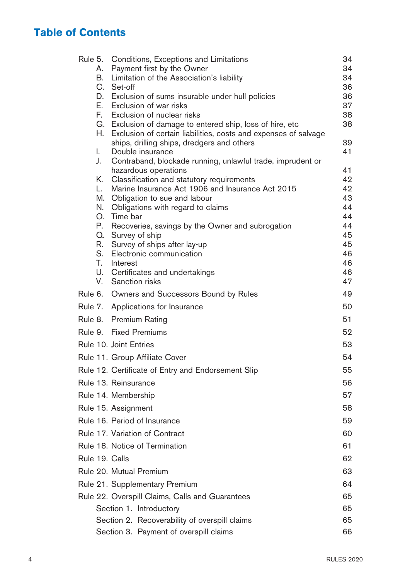# **Table of Contents**

| Rule 5. |          | Conditions, Exceptions and Limitations                                                                                        | 34       |
|---------|----------|-------------------------------------------------------------------------------------------------------------------------------|----------|
|         | А.       | Payment first by the Owner                                                                                                    | 34       |
|         | В.       | Limitation of the Association's liability                                                                                     | 34       |
|         |          | C. Set-off                                                                                                                    | 36       |
|         |          | D. Exclusion of sums insurable under hull policies                                                                            | 36       |
|         |          | E. Exclusion of war risks                                                                                                     | 37       |
|         | F.       | Exclusion of nuclear risks                                                                                                    | 38<br>38 |
|         | Н.       | G. Exclusion of damage to entered ship, loss of hire, etc.<br>Exclusion of certain liabilities, costs and expenses of salvage |          |
|         |          | ships, drilling ships, dredgers and others                                                                                    | 39       |
|         | I.       | Double insurance                                                                                                              | 41       |
|         | J.       | Contraband, blockade running, unlawful trade, imprudent or                                                                    |          |
|         |          | hazardous operations                                                                                                          | 41       |
|         | K.       | Classification and statutory requirements                                                                                     | 42       |
|         | L.       | Marine Insurance Act 1906 and Insurance Act 2015                                                                              | 42       |
|         | М.<br>N. | Obligation to sue and labour                                                                                                  | 43<br>44 |
|         | О.       | Obligations with regard to claims<br>Time bar                                                                                 | 44       |
|         | Р.       | Recoveries, savings by the Owner and subrogation                                                                              | 44       |
|         |          | Q. Survey of ship                                                                                                             | 45       |
|         | R.       | Survey of ships after lay-up                                                                                                  | 45       |
|         | S.       | Electronic communication                                                                                                      | 46       |
|         | T.       | Interest                                                                                                                      | 46       |
|         |          | U. Certificates and undertakings                                                                                              | 46       |
|         | V.       | Sanction risks                                                                                                                | 47       |
| Rule 6. |          | Owners and Successors Bound by Rules                                                                                          | 49       |
| Rule 7. |          | Applications for Insurance                                                                                                    | 50       |
| Rule 8. |          | Premium Rating                                                                                                                | 51       |
| Rule 9. |          | <b>Fixed Premiums</b>                                                                                                         | 52       |
|         |          | Rule 10. Joint Entries                                                                                                        | 53       |
|         |          | Rule 11. Group Affiliate Cover                                                                                                | 54       |
|         |          | Rule 12. Certificate of Entry and Endorsement Slip                                                                            | 55       |
|         |          | Rule 13. Reinsurance                                                                                                          | 56       |
|         |          | Rule 14. Membership                                                                                                           | 57       |
|         |          | Rule 15. Assignment                                                                                                           | 58       |
|         |          | Rule 16. Period of Insurance                                                                                                  | 59       |
|         |          | Rule 17. Variation of Contract                                                                                                | 60       |
|         |          | Rule 18. Notice of Termination                                                                                                | 61       |
|         |          | Rule 19. Calls                                                                                                                | 62       |
|         |          | Rule 20. Mutual Premium                                                                                                       | 63       |
|         |          | Rule 21. Supplementary Premium                                                                                                | 64       |
|         |          | Rule 22. Overspill Claims, Calls and Guarantees                                                                               | 65       |
|         |          | Section 1. Introductory                                                                                                       | 65       |
|         |          | Section 2. Recoverability of overspill claims                                                                                 | 65       |
|         |          | Section 3. Payment of overspill claims                                                                                        | 66       |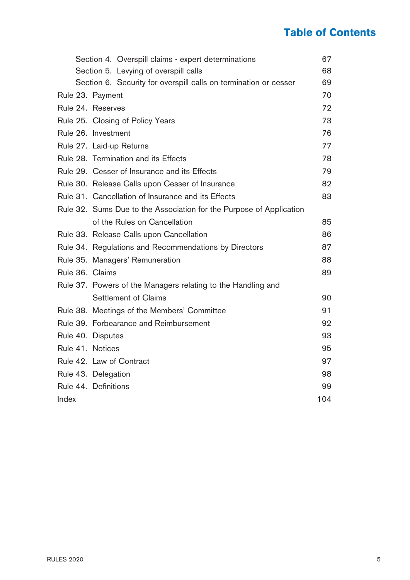# **Table of Contents**

|       | Section 4. Overspill claims - expert determinations                 | 67  |
|-------|---------------------------------------------------------------------|-----|
|       | Section 5. Levying of overspill calls                               | 68  |
|       | Section 6. Security for overspill calls on termination or cesser    | 69  |
|       | Rule 23. Payment                                                    | 70  |
|       | Rule 24. Reserves                                                   | 72  |
|       | Rule 25. Closing of Policy Years                                    | 73  |
|       | Rule 26. Investment                                                 | 76  |
|       | Rule 27. Laid-up Returns                                            | 77  |
|       | Rule 28. Termination and its Effects                                | 78  |
|       | Rule 29. Cesser of Insurance and its Effects                        | 79  |
|       | Rule 30. Release Calls upon Cesser of Insurance                     | 82  |
|       | Rule 31. Cancellation of Insurance and its Effects                  | 83  |
|       | Rule 32. Sums Due to the Association for the Purpose of Application |     |
|       | of the Rules on Cancellation                                        | 85  |
|       | Rule 33. Release Calls upon Cancellation                            | 86  |
|       | Rule 34. Regulations and Recommendations by Directors               | 87  |
|       | Rule 35. Managers' Remuneration                                     | 88  |
|       | Rule 36. Claims                                                     | 89  |
|       | Rule 37. Powers of the Managers relating to the Handling and        |     |
|       | Settlement of Claims                                                | 90  |
|       | Rule 38. Meetings of the Members' Committee                         | 91  |
|       | Rule 39. Forbearance and Reimbursement                              | 92  |
|       | Rule 40. Disputes                                                   | 93  |
|       | Rule 41. Notices                                                    | 95  |
|       | Rule 42. Law of Contract                                            | 97  |
|       | Rule 43. Delegation                                                 | 98  |
|       | Rule 44. Definitions                                                | 99  |
| Index |                                                                     | 104 |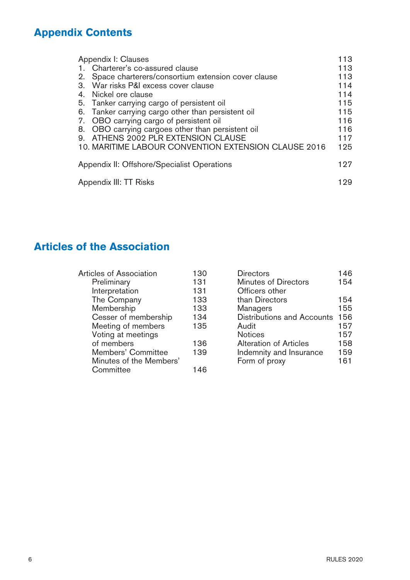# **Appendix Contents**

| Appendix I: Clauses                                      | 113 |
|----------------------------------------------------------|-----|
| 1. Charterer's co-assured clause                         | 113 |
| Space charterers/consortium extension cover clause<br>2. | 113 |
| War risks P&I excess cover clause<br>3.                  | 114 |
| Nickel ore clause<br>4.                                  | 114 |
| 5. Tanker carrying cargo of persistent oil               | 115 |
| Tanker carrying cargo other than persistent oil<br>6.    | 115 |
| OBO carrying cargo of persistent oil<br>7.               | 116 |
| OBO carrying cargoes other than persistent oil<br>8.     | 116 |
| ATHENS 2002 PLR EXTENSION CLAUSE<br>9.                   | 117 |
| 10. MARITIME LABOUR CONVENTION EXTENSION CLAUSE 2016     | 125 |
| Appendix II: Offshore/Specialist Operations              | 197 |
| Appendix III: TT Risks                                   |     |

# **Articles of the Association**

| Articles of Association | 130 | <b>Directors</b>           | 146 |
|-------------------------|-----|----------------------------|-----|
| Preliminary             | 131 | Minutes of Directors       | 154 |
| Interpretation          | 131 | Officers other             |     |
| The Company             | 133 | than Directors             | 154 |
| Membership              | 133 | Managers                   | 155 |
| Cesser of membership    | 134 | Distributions and Accounts | 156 |
| Meeting of members      | 135 | Audit                      | 157 |
| Voting at meetings      |     | <b>Notices</b>             | 157 |
| of members              | 136 | Alteration of Articles     | 158 |
| Members' Committee      | 139 | Indemnity and Insurance    | 159 |
| Minutes of the Members' |     | Form of proxy              | 161 |
| Committee               | 146 |                            |     |
|                         |     |                            |     |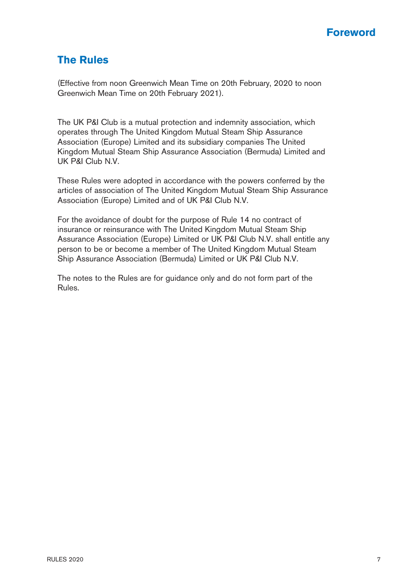### **Foreword**

### **The Rules**

(Effective from noon Greenwich Mean Time on 20th February, 2020 to noon Greenwich Mean Time on 20th February 2021).

The UK P&I Club is a mutual protection and indemnity association, which operates through The United Kingdom Mutual Steam Ship Assurance Association (Europe) Limited and its subsidiary companies The United Kingdom Mutual Steam Ship Assurance Association (Bermuda) Limited and UK P&I Club N.V.

These Rules were adopted in accordance with the powers conferred by the articles of association of The United Kingdom Mutual Steam Ship Assurance Association (Europe) Limited and of UK P&I Club N.V.

For the avoidance of doubt for the purpose of Rule 14 no contract of insurance or reinsurance with The United Kingdom Mutual Steam Ship Assurance Association (Europe) Limited or UK P&I Club N.V. shall entitle any person to be or become a member of The United Kingdom Mutual Steam Ship Assurance Association (Bermuda) Limited or UK P&I Club N.V.

The notes to the Rules are for guidance only and do not form part of the Rules.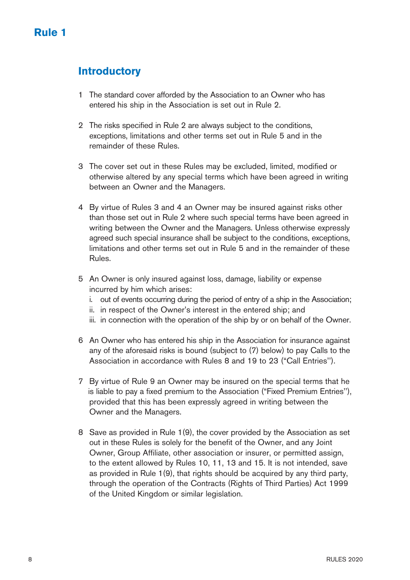# <span id="page-8-0"></span>**Introductory**

- 1 The standard cover afforded by the Association to an Owner who has entered his ship in the Association is set out in Rule 2.
- 2 The risks specified in Rule 2 are always subject to the conditions, exceptions, limitations and other terms set out in Rule 5 and in the remainder of these Rules.
- 3 The cover set out in these Rules may be excluded, limited, modified or otherwise altered by any special terms which have been agreed in writing between an Owner and the Managers.
- 4 By virtue of Rules 3 and 4 an Owner may be insured against risks other than those set out in Rule 2 where such special terms have been agreed in writing between the Owner and the Managers. Unless otherwise expressly agreed such special insurance shall be subject to the conditions, exceptions, limitations and other terms set out in Rule 5 and in the remainder of these Rules.
- 5 An Owner is only insured against loss, damage, liability or expense incurred by him which arises:
	- i. out of events occurring during the period of entry of a ship in the Association;
	- ii. in respect of the Owner's interest in the entered ship; and
	- iii. in connection with the operation of the ship by or on behalf of the Owner.
- 6 An Owner who has entered his ship in the Association for insurance against any of the aforesaid risks is bound (subject to (7) below) to pay Calls to the Association in accordance with Rules 8 and 19 to 23 ("Call Entries'').
- 7 By virtue of Rule 9 an Owner may be insured on the special terms that he is liable to pay a fixed premium to the Association ("Fixed Premium Entries''), provided that this has been expressly agreed in writing between the Owner and the Managers.
- 8 Save as provided in Rule 1(9), the cover provided by the Association as set out in these Rules is solely for the benefit of the Owner, and any Joint Owner, Group Affiliate, other association or insurer, or permitted assign, to the extent allowed by Rules 10, 11, 13 and 15. It is not intended, save as provided in Rule 1(9), that rights should be acquired by any third party, through the operation of the Contracts (Rights of Third Parties) Act 1999 of the United Kingdom or similar legislation.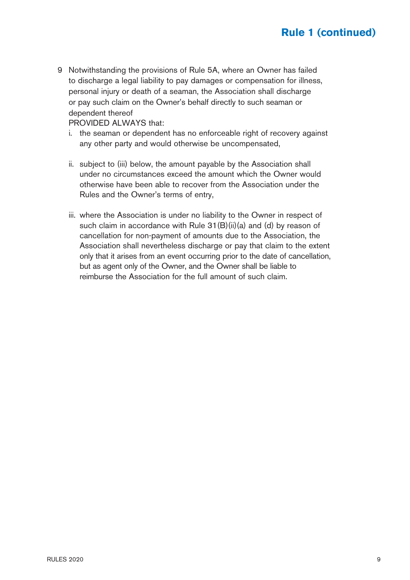9 Notwithstanding the provisions of Rule 5A, where an Owner has failed to discharge a legal liability to pay damages or compensation for illness, personal injury or death of a seaman, the Association shall discharge or pay such claim on the Owner's behalf directly to such seaman or dependent thereof

PROVIDED AI WAYS that:

- i. the seaman or dependent has no enforceable right of recovery against any other party and would otherwise be uncompensated,
- ii. subject to (iii) below, the amount payable by the Association shall under no circumstances exceed the amount which the Owner would otherwise have been able to recover from the Association under the Rules and the Owner's terms of entry,
- iii. where the Association is under no liability to the Owner in respect of such claim in accordance with Rule 31(B)(ii)(a) and (d) by reason of cancellation for non-payment of amounts due to the Association, the Association shall nevertheless discharge or pay that claim to the extent only that it arises from an event occurring prior to the date of cancellation, but as agent only of the Owner, and the Owner shall be liable to reimburse the Association for the full amount of such claim.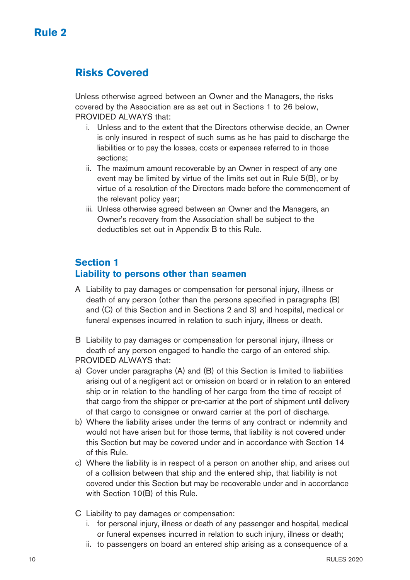# <span id="page-10-0"></span>**Risks Covered**

Unless otherwise agreed between an Owner and the Managers, the risks covered by the Association are as set out in Sections 1 to 26 below, PROVIDED ALWAYS that:

- i. Unless and to the extent that the Directors otherwise decide, an Owner is only insured in respect of such sums as he has paid to discharge the liabilities or to pay the losses, costs or expenses referred to in those sections;
- ii. The maximum amount recoverable by an Owner in respect of any one event may be limited by virtue of the limits set out in Rule 5(B), or by virtue of a resolution of the Directors made before the commencement of the relevant policy year;
- iii. Unless otherwise agreed between an Owner and the Managers, an Owner's recovery from the Association shall be subject to the deductibles set out in Appendix B to this Rule.

### **Section 1 Liability to persons other than seamen**

A Liability to pay damages or compensation for personal injury, illness or death of any person (other than the persons specified in paragraphs (B) and (C) of this Section and in Sections 2 and 3) and hospital, medical or funeral expenses incurred in relation to such injury, illness or death.

B Liability to pay damages or compensation for personal injury, illness or death of any person engaged to handle the cargo of an entered ship. PROVIDED ALWAYS that:

- a) Cover under paragraphs (A) and (B) of this Section is limited to liabilities arising out of a negligent act or omission on board or in relation to an entered ship or in relation to the handling of her cargo from the time of receipt of that cargo from the shipper or pre-carrier at the port of shipment until delivery of that cargo to consignee or onward carrier at the port of discharge.
- b) Where the liability arises under the terms of any contract or indemnity and would not have arisen but for those terms, that liability is not covered under this Section but may be covered under and in accordance with Section 14 of this Rule.
- c) Where the liability is in respect of a person on another ship, and arises out of a collision between that ship and the entered ship, that liability is not covered under this Section but may be recoverable under and in accordance with Section 10(B) of this Rule.
- C Liability to pay damages or compensation:
	- i. for personal injury, illness or death of any passenger and hospital, medical or funeral expenses incurred in relation to such injury, illness or death;
	- ii. to passengers on board an entered ship arising as a consequence of a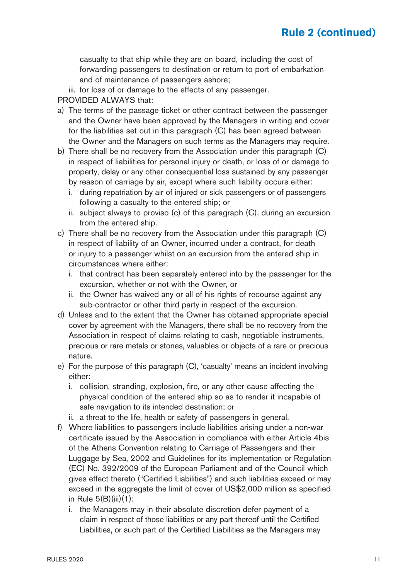casualty to that ship while they are on board, including the cost of forwarding passengers to destination or return to port of embarkation and of maintenance of passengers ashore;

iii. for loss of or damage to the effects of any passenger.

PROVIDED ALWAYS that:

- a) The terms of the passage ticket or other contract between the passenger and the Owner have been approved by the Managers in writing and cover for the liabilities set out in this paragraph (C) has been agreed between the Owner and the Managers on such terms as the Managers may require.
- b) There shall be no recovery from the Association under this paragraph (C) in respect of liabilities for personal injury or death, or loss of or damage to property, delay or any other consequential loss sustained by any passenger by reason of carriage by air, except where such liability occurs either:
	- i. during repatriation by air of injured or sick passengers or of passengers following a casualty to the entered ship; or
	- ii. subject always to proviso (c) of this paragraph (C), during an excursion from the entered ship.
- c) There shall be no recovery from the Association under this paragraph (C) in respect of liability of an Owner, incurred under a contract, for death or injury to a passenger whilst on an excursion from the entered ship in circumstances where either:
	- i. that contract has been separately entered into by the passenger for the excursion, whether or not with the Owner, or
	- ii. the Owner has waived any or all of his rights of recourse against any sub-contractor or other third party in respect of the excursion.
- d) Unless and to the extent that the Owner has obtained appropriate special cover by agreement with the Managers, there shall be no recovery from the Association in respect of claims relating to cash, negotiable instruments, precious or rare metals or stones, valuables or objects of a rare or precious nature.
- e) For the purpose of this paragraph (C), 'casualty' means an incident involving either:
	- i. collision, stranding, explosion, fire, or any other cause affecting the physical condition of the entered ship so as to render it incapable of safe navigation to its intended destination; or
	- ii. a threat to the life, health or safety of passengers in general.
- f) Where liabilities to passengers include liabilities arising under a non-war certificate issued by the Association in compliance with either Article 4bis of the Athens Convention relating to Carriage of Passengers and their Luggage by Sea, 2002 and Guidelines for its implementation or Regulation (EC) No. 392/2009 of the European Parliament and of the Council which gives effect thereto ("Certified Liabilities") and such liabilities exceed or may exceed in the aggregate the limit of cover of US\$2,000 million as specified in Rule 5(B)(iii)(1):
	- i. the Managers may in their absolute discretion defer payment of a claim in respect of those liabilities or any part thereof until the Certified Liabilities, or such part of the Certified Liabilities as the Managers may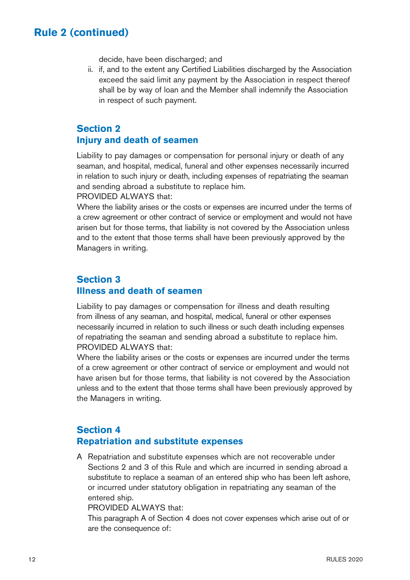decide, have been discharged; and

 ii. if, and to the extent any Certified Liabilities discharged by the Association exceed the said limit any payment by the Association in respect thereof shall be by way of loan and the Member shall indemnify the Association in respect of such payment.

### **Section 2 Injury and death of seamen**

Liability to pay damages or compensation for personal injury or death of any seaman, and hospital, medical, funeral and other expenses necessarily incurred in relation to such injury or death, including expenses of repatriating the seaman and sending abroad a substitute to replace him.

PROVIDED ALWAYS that:

Where the liability arises or the costs or expenses are incurred under the terms of a crew agreement or other contract of service or employment and would not have arisen but for those terms, that liability is not covered by the Association unless and to the extent that those terms shall have been previously approved by the Managers in writing.

### **Section 3 Illness and death of seamen**

Liability to pay damages or compensation for illness and death resulting from illness of any seaman, and hospital, medical, funeral or other expenses necessarily incurred in relation to such illness or such death including expenses of repatriating the seaman and sending abroad a substitute to replace him. PROVIDED ALWAYS that:

Where the liability arises or the costs or expenses are incurred under the terms of a crew agreement or other contract of service or employment and would not have arisen but for those terms, that liability is not covered by the Association unless and to the extent that those terms shall have been previously approved by the Managers in writing.

### **Section 4 Repatriation and substitute expenses**

A Repatriation and substitute expenses which are not recoverable under Sections 2 and 3 of this Rule and which are incurred in sending abroad a substitute to replace a seaman of an entered ship who has been left ashore, or incurred under statutory obligation in repatriating any seaman of the entered ship.

PROVIDED ALWAYS that:

 This paragraph A of Section 4 does not cover expenses which arise out of or are the consequence of: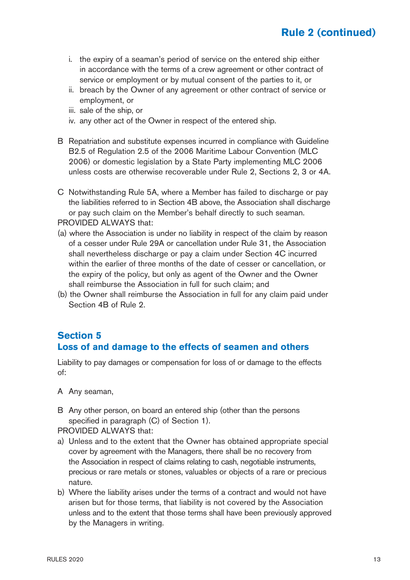- i. the expiry of a seaman's period of service on the entered ship either in accordance with the terms of a crew agreement or other contract of service or employment or by mutual consent of the parties to it, or
- ii. breach by the Owner of any agreement or other contract of service or employment, or
- iii. sale of the ship, or
- iv. any other act of the Owner in respect of the entered ship.
- B Repatriation and substitute expenses incurred in compliance with Guideline B2.5 of Regulation 2.5 of the 2006 Maritime Labour Convention (MLC 2006) or domestic legislation by a State Party implementing MLC 2006 unless costs are otherwise recoverable under Rule 2, Sections 2, 3 or 4A.
- C Notwithstanding Rule 5A, where a Member has failed to discharge or pay the liabilities referred to in Section 4B above, the Association shall discharge or pay such claim on the Member's behalf directly to such seaman. PROVIDED ALWAYS that:
- (a) where the Association is under no liability in respect of the claim by reason of a cesser under Rule 29A or cancellation under Rule 31, the Association shall nevertheless discharge or pay a claim under Section 4C incurred within the earlier of three months of the date of cesser or cancellation, or the expiry of the policy, but only as agent of the Owner and the Owner shall reimburse the Association in full for such claim; and
- (b) the Owner shall reimburse the Association in full for any claim paid under Section 4B of Rule 2.

### **Section 5 Loss of and damage to the effects of seamen and others**

Liability to pay damages or compensation for loss of or damage to the effects of:

A Any seaman,

B Any other person, on board an entered ship (other than the persons specified in paragraph (C) of Section 1).

PROVIDED ALWAYS that:

- a) Unless and to the extent that the Owner has obtained appropriate special cover by agreement with the Managers, there shall be no recovery from the Association in respect of claims relating to cash, negotiable instruments, precious or rare metals or stones, valuables or objects of a rare or precious nature.
- b) Where the liability arises under the terms of a contract and would not have arisen but for those terms, that liability is not covered by the Association unless and to the extent that those terms shall have been previously approved by the Managers in writing.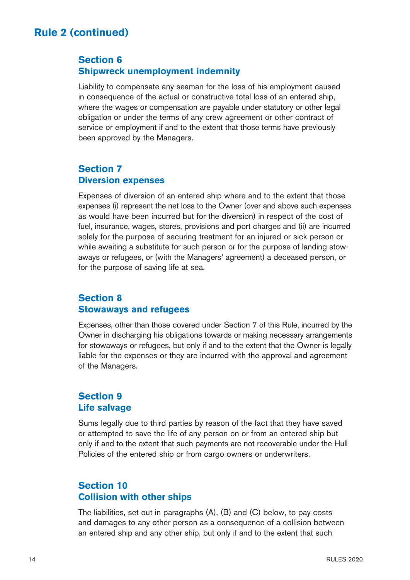### **Section 6 Shipwreck unemployment indemnity**

Liability to compensate any seaman for the loss of his employment caused in consequence of the actual or constructive total loss of an entered ship, where the wages or compensation are payable under statutory or other legal obligation or under the terms of any crew agreement or other contract of service or employment if and to the extent that those terms have previously been approved by the Managers.

### **Section 7 Diversion expenses**

Expenses of diversion of an entered ship where and to the extent that those expenses (i) represent the net loss to the Owner (over and above such expenses as would have been incurred but for the diversion) in respect of the cost of fuel, insurance, wages, stores, provisions and port charges and (ii) are incurred solely for the purpose of securing treatment for an injured or sick person or while awaiting a substitute for such person or for the purpose of landing stowaways or refugees, or (with the Managers' agreement) a deceased person, or for the purpose of saving life at sea.

### **Section 8 Stowaways and refugees**

Expenses, other than those covered under Section 7 of this Rule, incurred by the Owner in discharging his obligations towards or making necessary arrangements for stowaways or refugees, but only if and to the extent that the Owner is legally liable for the expenses or they are incurred with the approval and agreement of the Managers.

### **Section 9 Life salvage**

Sums legally due to third parties by reason of the fact that they have saved or attempted to save the life of any person on or from an entered ship but only if and to the extent that such payments are not recoverable under the Hull Policies of the entered ship or from cargo owners or underwriters.

### **Section 10 Collision with other ships**

The liabilities, set out in paragraphs (A), (B) and (C) below, to pay costs and damages to any other person as a consequence of a collision between an entered ship and any other ship, but only if and to the extent that such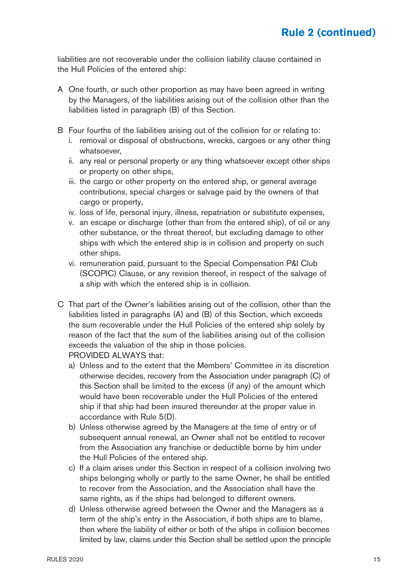liabilities are not recoverable under the collision liability clause contained in the Hull Policies of the entered ship:

- A One fourth, or such other proportion as may have been agreed in writing by the Managers, of the liabilities arising out of the collision other than the liabilities listed in paragraph (B) of this Section.
- B Four fourths of the liabilities arising out of the collision for or relating to:
	- i. removal or disposal of obstructions, wrecks, cargoes or any other thing whatsoever,
	- ii. any real or personal property or any thing whatsoever except other ships or property on other ships,
	- iii. the cargo or other property on the entered ship, or general average contributions, special charges or salvage paid by the owners of that cargo or property,
	- iv. loss of life, personal injury, illness, repatriation or substitute expenses,
	- v. an escape or discharge (other than from the entered ship), of oil or any other substance, or the threat thereof, but excluding damage to other ships with which the entered ship is in collision and property on such other ships.
	- vi. remuneration paid, pursuant to the Special Compensation P&I Club (SCOPIC) Clause, or any revision thereof, in respect of the salvage of a ship with which the entered ship is in collision.
- C That part of the Owner's liabilities arising out of the collision, other than the liabilities listed in paragraphs (A) and (B) of this Section, which exceeds the sum recoverable under the Hull Policies of the entered ship solely by reason of the fact that the sum of the liabilities arising out of the collision exceeds the valuation of the ship in those policies. PROVIDED ALWAYS that:
	- a) Unless and to the extent that the Members' Committee in its discretion otherwise decides, recovery from the Association under paragraph (C) of this Section shall be limited to the excess (if any) of the amount which would have been recoverable under the Hull Policies of the entered ship if that ship had been insured thereunder at the proper value in accordance with Rule 5(D).
	- b) Unless otherwise agreed by the Managers at the time of entry or of subsequent annual renewal, an Owner shall not be entitled to recover from the Association any franchise or deductible borne by him under the Hull Policies of the entered ship.
	- c) If a claim arises under this Section in respect of a collision involving two ships belonging wholly or partly to the same Owner, he shall be entitled to recover from the Association, and the Association shall have the same rights, as if the ships had belonged to different owners.
	- d) Unless otherwise agreed between the Owner and the Managers as a term of the ship's entry in the Association, if both ships are to blame, then where the liability of either or both of the ships in collision becomes limited by law, claims under this Section shall be settled upon the principle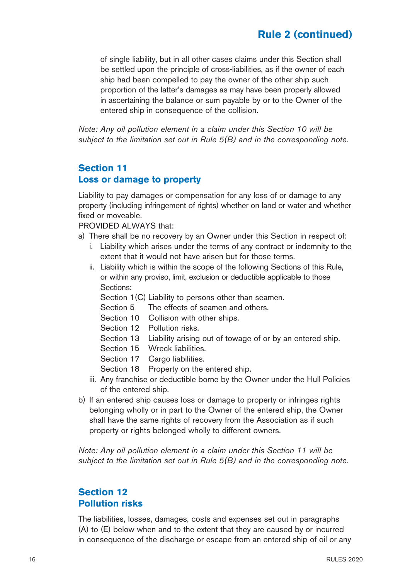of single liability, but in all other cases claims under this Section shall be settled upon the principle of cross-liabilities, as if the owner of each ship had been compelled to pay the owner of the other ship such proportion of the latter's damages as may have been properly allowed in ascertaining the balance or sum payable by or to the Owner of the entered ship in consequence of the collision.

Note: Any oil pollution element in a claim under this Section 10 will be subject to the limitation set out in Rule 5(B) and in the corresponding note.

### **Section 11 Loss or damage to property**

Liability to pay damages or compensation for any loss of or damage to any property (including infringement of rights) whether on land or water and whether fixed or moveable.

PROVIDED ALWAYS that:

- a) There shall be no recovery by an Owner under this Section in respect of:
	- i. Liability which arises under the terms of any contract or indemnity to the extent that it would not have arisen but for those terms.
	- ii. Liability which is within the scope of the following Sections of this Rule, or within any proviso, limit, exclusion or deductible applicable to those Sections:

Section 1(C) Liability to persons other than seamen.

- Section 5 The effects of seamen and others.
- Section 10 Collision with other ships.
- Section 12 Pollution risks.
- Section 13 Liability arising out of towage of or by an entered ship.
- Section 15 Wreck liabilities.
- Section 17 Cargo liabilities.
- Section 18 Property on the entered ship.
- iii. Any franchise or deductible borne by the Owner under the Hull Policies of the entered ship.
- b) If an entered ship causes loss or damage to property or infringes rights belonging wholly or in part to the Owner of the entered ship, the Owner shall have the same rights of recovery from the Association as if such property or rights belonged wholly to different owners.

Note: Any oil pollution element in a claim under this Section 11 will be subject to the limitation set out in Rule 5(B) and in the corresponding note.

### **Section 12 Pollution risks**

The liabilities, losses, damages, costs and expenses set out in paragraphs (A) to (E) below when and to the extent that they are caused by or incurred in consequence of the discharge or escape from an entered ship of oil or any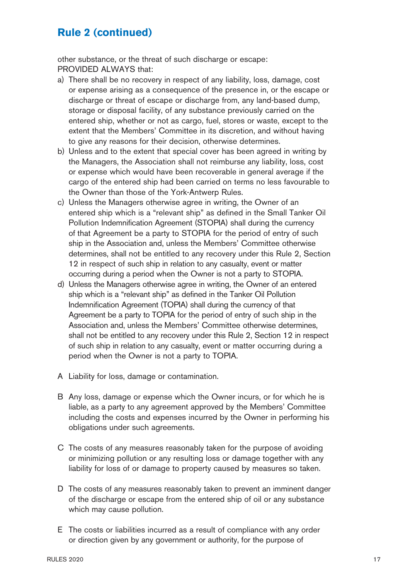other substance, or the threat of such discharge or escape: PROVIDED ALWAYS that:

- a) There shall be no recovery in respect of any liability, loss, damage, cost or expense arising as a consequence of the presence in, or the escape or discharge or threat of escape or discharge from, any land-based dump, storage or disposal facility, of any substance previously carried on the entered ship, whether or not as cargo, fuel, stores or waste, except to the extent that the Members' Committee in its discretion, and without having to give any reasons for their decision, otherwise determines.
- b) Unless and to the extent that special cover has been agreed in writing by the Managers, the Association shall not reimburse any liability, loss, cost or expense which would have been recoverable in general average if the cargo of the entered ship had been carried on terms no less favourable to the Owner than those of the York-Antwerp Rules.
- c) Unless the Managers otherwise agree in writing, the Owner of an entered ship which is a "relevant ship" as defined in the Small Tanker Oil Pollution Indemnification Agreement (STOPIA) shall during the currency of that Agreement be a party to STOPIA for the period of entry of such ship in the Association and, unless the Members' Committee otherwise determines, shall not be entitled to any recovery under this Rule 2, Section 12 in respect of such ship in relation to any casualty, event or matter occurring during a period when the Owner is not a party to STOPIA.
- d) Unless the Managers otherwise agree in writing, the Owner of an entered ship which is a "relevant ship" as defined in the Tanker Oil Pollution Indemnification Agreement (TOPIA) shall during the currency of that Agreement be a party to TOPIA for the period of entry of such ship in the Association and, unless the Members' Committee otherwise determines, shall not be entitled to any recovery under this Rule 2, Section 12 in respect of such ship in relation to any casualty, event or matter occurring during a period when the Owner is not a party to TOPIA.
- A Liability for loss, damage or contamination.
- B Any loss, damage or expense which the Owner incurs, or for which he is liable, as a party to any agreement approved by the Members' Committee including the costs and expenses incurred by the Owner in performing his obligations under such agreements.
- C The costs of any measures reasonably taken for the purpose of avoiding or minimizing pollution or any resulting loss or damage together with any liability for loss of or damage to property caused by measures so taken.
- D The costs of any measures reasonably taken to prevent an imminent danger of the discharge or escape from the entered ship of oil or any substance which may cause pollution.
- E The costs or liabilities incurred as a result of compliance with any order or direction given by any government or authority, for the purpose of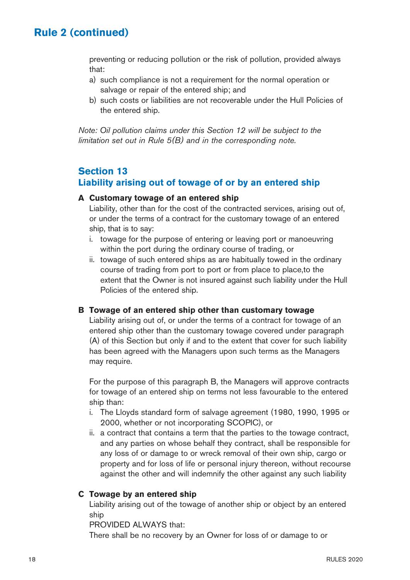preventing or reducing pollution or the risk of pollution, provided always that:

- a) such compliance is not a requirement for the normal operation or salvage or repair of the entered ship; and
- b) such costs or liabilities are not recoverable under the Hull Policies of the entered ship.

Note: Oil pollution claims under this Section 12 will be subject to the limitation set out in Rule 5(B) and in the corresponding note.

### **Section 13 Liability arising out of towage of or by an entered ship**

#### **A Customary towage of an entered ship**

 Liability, other than for the cost of the contracted services, arising out of, or under the terms of a contract for the customary towage of an entered ship, that is to say:

- i. towage for the purpose of entering or leaving port or manoeuvring within the port during the ordinary course of trading, or
- ii. towage of such entered ships as are habitually towed in the ordinary course of trading from port to port or from place to place,to the extent that the Owner is not insured against such liability under the Hull Policies of the entered ship.

#### **B Towage of an entered ship other than customary towage**

 Liability arising out of, or under the terms of a contract for towage of an entered ship other than the customary towage covered under paragraph (A) of this Section but only if and to the extent that cover for such liability has been agreed with the Managers upon such terms as the Managers may require.

 For the purpose of this paragraph B, the Managers will approve contracts for towage of an entered ship on terms not less favourable to the entered ship than:

- i. The Lloyds standard form of salvage agreement (1980, 1990, 1995 or 2000, whether or not incorporating SCOPIC), or
- ii. a contract that contains a term that the parties to the towage contract, and any parties on whose behalf they contract, shall be responsible for any loss of or damage to or wreck removal of their own ship, cargo or property and for loss of life or personal injury thereon, without recourse against the other and will indemnify the other against any such liability

#### **C Towage by an entered ship**

 Liability arising out of the towage of another ship or object by an entered ship

PROVIDED ALWAYS that:

There shall be no recovery by an Owner for loss of or damage to or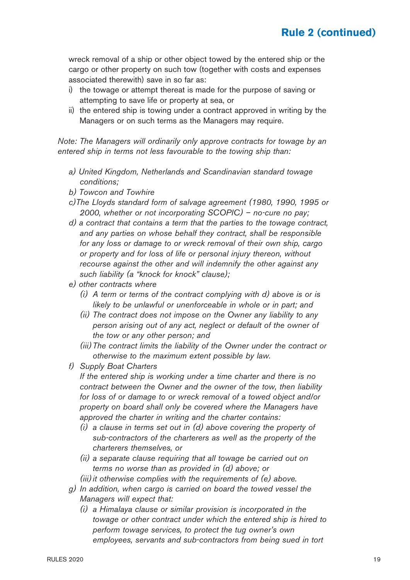wreck removal of a ship or other object towed by the entered ship or the cargo or other property on such tow (together with costs and expenses associated therewith) save in so far as:

- i) the towage or attempt thereat is made for the purpose of saving or attempting to save life or property at sea, or
- ii) the entered ship is towing under a contract approved in writing by the Managers or on such terms as the Managers may require.

Note: The Managers will ordinarily only approve contracts for towage by an entered ship in terms not less favourable to the towing ship than:

- a) United Kingdom, Netherlands and Scandinavian standard towage conditions;
- b) Towcon and Towhire
- c)The Lloyds standard form of salvage agreement (1980, 1990, 1995 or 2000, whether or not incorporating SCOPIC) – no-cure no pay;
- d) a contract that contains a term that the parties to the towage contract, and any parties on whose behalf they contract, shall be responsible for any loss or damage to or wreck removal of their own ship, cargo or property and for loss of life or personal injury thereon, without recourse against the other and will indemnify the other against any such liability (a "knock for knock" clause);
- e) other contracts where
	- (i) A term or terms of the contract complying with d) above is or is likely to be unlawful or unenforceable in whole or in part; and
	- (ii) The contract does not impose on the Owner any liability to any person arising out of any act, neglect or default of the owner of the tow or any other person; and
	- (iii) The contract limits the liability of the Owner under the contract or otherwise to the maximum extent possible by law.
- f) Supply Boat Charters

 If the entered ship is working under a time charter and there is no contract between the Owner and the owner of the tow, then liability for loss of or damage to or wreck removal of a towed object and/or property on board shall only be covered where the Managers have approved the charter in writing and the charter contains:

- (i) a clause in terms set out in (d) above covering the property of sub-contractors of the charterers as well as the property of the charterers themselves, or
- (ii) a separate clause requiring that all towage be carried out on terms no worse than as provided in (d) above; or

(iii) it otherwise complies with the requirements of (e) above.

- g) In addition, when cargo is carried on board the towed vessel the Managers will expect that:
	- (i) a Himalaya clause or similar provision is incorporated in the towage or other contract under which the entered ship is hired to perform towage services, to protect the tug owner's own employees, servants and sub-contractors from being sued in tort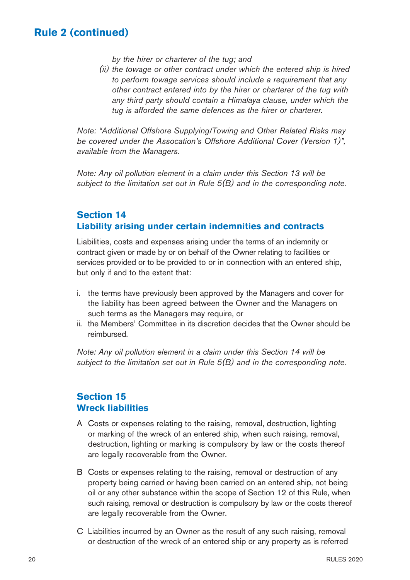by the hirer or charterer of the tug; and

 (ii) the towage or other contract under which the entered ship is hired to perform towage services should include a requirement that any other contract entered into by the hirer or charterer of the tug with any third party should contain a Himalaya clause, under which the tug is afforded the same defences as the hirer or charterer.

Note: "Additional Offshore Supplying/Towing and Other Related Risks may be covered under the Assocation's Offshore Additional Cover (Version 1)", available from the Managers.

Note: Any oil pollution element in a claim under this Section 13 will be subject to the limitation set out in Rule 5(B) and in the corresponding note.

### **Section 14 Liability arising under certain indemnities and contracts**

Liabilities, costs and expenses arising under the terms of an indemnity or contract given or made by or on behalf of the Owner relating to facilities or services provided or to be provided to or in connection with an entered ship, but only if and to the extent that:

- i. the terms have previously been approved by the Managers and cover for the liability has been agreed between the Owner and the Managers on such terms as the Managers may require, or
- ii. the Members' Committee in its discretion decides that the Owner should be reimbursed.

Note: Any oil pollution element in a claim under this Section 14 will be subject to the limitation set out in Rule 5(B) and in the corresponding note.

### **Section 15 Wreck liabilities**

- A Costs or expenses relating to the raising, removal, destruction, lighting or marking of the wreck of an entered ship, when such raising, removal, destruction, lighting or marking is compulsory by law or the costs thereof are legally recoverable from the Owner.
- B Costs or expenses relating to the raising, removal or destruction of any property being carried or having been carried on an entered ship, not being oil or any other substance within the scope of Section 12 of this Rule, when such raising, removal or destruction is compulsory by law or the costs thereof are legally recoverable from the Owner.
- C Liabilities incurred by an Owner as the result of any such raising, removal or destruction of the wreck of an entered ship or any property as is referred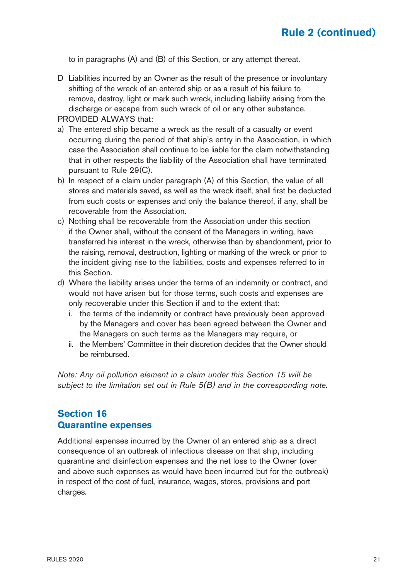to in paragraphs (A) and (B) of this Section, or any attempt thereat.

D Liabilities incurred by an Owner as the result of the presence or involuntary shifting of the wreck of an entered ship or as a result of his failure to remove, destroy, light or mark such wreck, including liability arising from the discharge or escape from such wreck of oil or any other substance.

PROVIDED ALWAYS that:

- a) The entered ship became a wreck as the result of a casualty or event occurring during the period of that ship's entry in the Association, in which case the Association shall continue to be liable for the claim notwithstanding that in other respects the liability of the Association shall have terminated pursuant to Rule 29(C).
- b) In respect of a claim under paragraph (A) of this Section, the value of all stores and materials saved, as well as the wreck itself, shall first be deducted from such costs or expenses and only the balance thereof, if any, shall be recoverable from the Association.
- c) Nothing shall be recoverable from the Association under this section if the Owner shall, without the consent of the Managers in writing, have transferred his interest in the wreck, otherwise than by abandonment, prior to the raising, removal, destruction, lighting or marking of the wreck or prior to the incident giving rise to the liabilities, costs and expenses referred to in this Section.
- d) Where the liability arises under the terms of an indemnity or contract, and would not have arisen but for those terms, such costs and expenses are only recoverable under this Section if and to the extent that:
	- i. the terms of the indemnity or contract have previously been approved by the Managers and cover has been agreed between the Owner and the Managers on such terms as the Managers may require, or
	- ii. the Members' Committee in their discretion decides that the Owner should be reimbursed.

Note: Any oil pollution element in a claim under this Section 15 will be subject to the limitation set out in Rule 5(B) and in the corresponding note.

### **Section 16 Quarantine expenses**

Additional expenses incurred by the Owner of an entered ship as a direct consequence of an outbreak of infectious disease on that ship, including quarantine and disinfection expenses and the net loss to the Owner (over and above such expenses as would have been incurred but for the outbreak) in respect of the cost of fuel, insurance, wages, stores, provisions and port charges.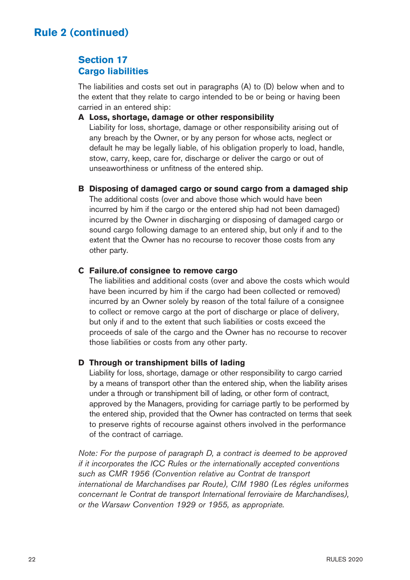### **Section 17 Cargo liabilities**

The liabilities and costs set out in paragraphs (A) to (D) below when and to the extent that they relate to cargo intended to be or being or having been carried in an entered ship:

#### **A Loss, shortage, damage or other responsibility**

 Liability for loss, shortage, damage or other responsibility arising out of any breach by the Owner, or by any person for whose acts, neglect or default he may be legally liable, of his obligation properly to load, handle, stow, carry, keep, care for, discharge or deliver the cargo or out of unseaworthiness or unfitness of the entered ship.

#### **B Disposing of damaged cargo or sound cargo from a damaged ship**

 The additional costs (over and above those which would have been incurred by him if the cargo or the entered ship had not been damaged) incurred by the Owner in discharging or disposing of damaged cargo or sound cargo following damage to an entered ship, but only if and to the extent that the Owner has no recourse to recover those costs from any other party.

#### **C Failure.of consignee to remove cargo**

 The liabilities and additional costs (over and above the costs which would have been incurred by him if the cargo had been collected or removed) incurred by an Owner solely by reason of the total failure of a consignee to collect or remove cargo at the port of discharge or place of delivery. but only if and to the extent that such liabilities or costs exceed the proceeds of sale of the cargo and the Owner has no recourse to recover those liabilities or costs from any other party.

#### **D Through or transhipment bills of lading**

 Liability for loss, shortage, damage or other responsibility to cargo carried by a means of transport other than the entered ship, when the liability arises under a through or transhipment bill of lading, or other form of contract, approved by the Managers, providing for carriage partly to be performed by the entered ship, provided that the Owner has contracted on terms that seek to preserve rights of recourse against others involved in the performance of the contract of carriage.

Note: For the purpose of paragraph D, a contract is deemed to be approved if it incorporates the ICC Rules or the internationally accepted conventions such as CMR 1956 (Convention relative au Contrat de transport international de Marchandises par Route), CIM 1980 (Les régles uniformes concernant le Contrat de transport International ferroviaire de Marchandises), or the Warsaw Convention 1929 or 1955, as appropriate.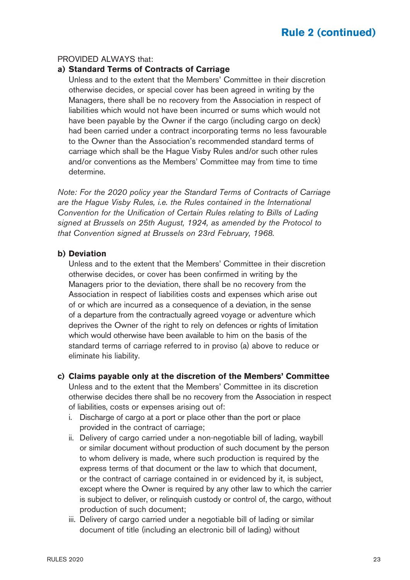#### PROVIDED ALWAYS that:

#### **a) Standard Terms of Contracts of Carriage**

 Unless and to the extent that the Members' Committee in their discretion otherwise decides, or special cover has been agreed in writing by the Managers, there shall be no recovery from the Association in respect of liabilities which would not have been incurred or sums which would not have been payable by the Owner if the cargo (including cargo on deck) had been carried under a contract incorporating terms no less favourable to the Owner than the Association's recommended standard terms of carriage which shall be the Hague Visby Rules and/or such other rules and/or conventions as the Members' Committee may from time to time determine.

Note: For the 2020 policy year the Standard Terms of Contracts of Carriage are the Hague Visby Rules, i.e. the Rules contained in the International Convention for the Unification of Certain Rules relating to Bills of Lading signed at Brussels on 25th August, 1924, as amended by the Protocol to that Convention signed at Brussels on 23rd February, 1968.

#### **b) Deviation**

 Unless and to the extent that the Members' Committee in their discretion otherwise decides, or cover has been confirmed in writing by the Managers prior to the deviation, there shall be no recovery from the Association in respect of liabilities costs and expenses which arise out of or which are incurred as a consequence of a deviation, in the sense of a departure from the contractually agreed voyage or adventure which deprives the Owner of the right to rely on defences or rights of limitation which would otherwise have been available to him on the basis of the standard terms of carriage referred to in proviso (a) above to reduce or eliminate his liability.

#### **c) Claims payable only at the discretion of the Members' Committee**

 Unless and to the extent that the Members' Committee in its discretion otherwise decides there shall be no recovery from the Association in respect of liabilities, costs or expenses arising out of:

- i. Discharge of cargo at a port or place other than the port or place provided in the contract of carriage;
- ii. Delivery of cargo carried under a non-negotiable bill of lading, waybill or similar document without production of such document by the person to whom delivery is made, where such production is required by the express terms of that document or the law to which that document, or the contract of carriage contained in or evidenced by it, is subject, except where the Owner is required by any other law to which the carrier is subject to deliver, or relinquish custody or control of, the cargo, without production of such document;
- iii. Delivery of cargo carried under a negotiable bill of lading or similar document of title (including an electronic bill of lading) without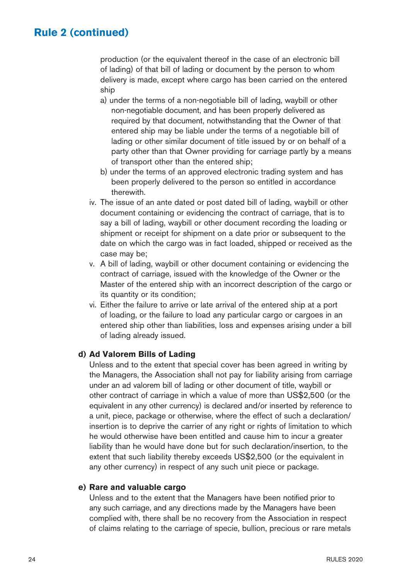production (or the equivalent thereof in the case of an electronic bill of lading) of that bill of lading or document by the person to whom delivery is made, except where cargo has been carried on the entered ship

- a) under the terms of a non-negotiable bill of lading, waybill or other non-negotiable document, and has been properly delivered as required by that document, notwithstanding that the Owner of that entered ship may be liable under the terms of a negotiable bill of lading or other similar document of title issued by or on behalf of a party other than that Owner providing for carriage partly by a means of transport other than the entered ship;
- b) under the terms of an approved electronic trading system and has been properly delivered to the person so entitled in accordance therewith.
- iv. The issue of an ante dated or post dated bill of lading, waybill or other document containing or evidencing the contract of carriage, that is to say a bill of lading, waybill or other document recording the loading or shipment or receipt for shipment on a date prior or subsequent to the date on which the cargo was in fact loaded, shipped or received as the case may be;
- v. A bill of lading, waybill or other document containing or evidencing the contract of carriage, issued with the knowledge of the Owner or the Master of the entered ship with an incorrect description of the cargo or its quantity or its condition;
- vi. Either the failure to arrive or late arrival of the entered ship at a port of loading, or the failure to load any particular cargo or cargoes in an entered ship other than liabilities, loss and expenses arising under a bill of lading already issued.

#### **d) Ad Valorem Bills of Lading**

 Unless and to the extent that special cover has been agreed in writing by the Managers, the Association shall not pay for liability arising from carriage under an ad valorem bill of lading or other document of title, waybill or other contract of carriage in which a value of more than US\$2,500 (or the equivalent in any other currency) is declared and/or inserted by reference to a unit, piece, package or otherwise, where the effect of such a declaration/ insertion is to deprive the carrier of any right or rights of limitation to which he would otherwise have been entitled and cause him to incur a greater liability than he would have done but for such declaration/insertion, to the extent that such liability thereby exceeds US\$2,500 (or the equivalent in any other currency) in respect of any such unit piece or package.

#### **e) Rare and valuable cargo**

 Unless and to the extent that the Managers have been notified prior to any such carriage, and any directions made by the Managers have been complied with, there shall be no recovery from the Association in respect of claims relating to the carriage of specie, bullion, precious or rare metals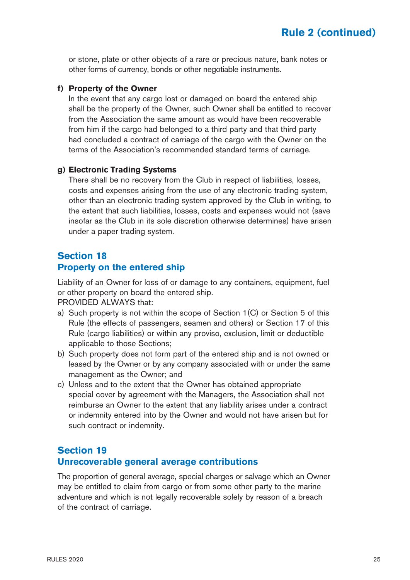or stone, plate or other objects of a rare or precious nature, bank notes or other forms of currency, bonds or other negotiable instruments.

#### **f) Property of the Owner**

 In the event that any cargo lost or damaged on board the entered ship shall be the property of the Owner, such Owner shall be entitled to recover from the Association the same amount as would have been recoverable from him if the cargo had belonged to a third party and that third party had concluded a contract of carriage of the cargo with the Owner on the terms of the Association's recommended standard terms of carriage.

#### **g) Electronic Trading Systems**

 There shall be no recovery from the Club in respect of liabilities, losses, costs and expenses arising from the use of any electronic trading system, other than an electronic trading system approved by the Club in writing, to the extent that such liabilities, losses, costs and expenses would not (save insofar as the Club in its sole discretion otherwise determines) have arisen under a paper trading system.

#### **Section 18 Property on the entered ship**

Liability of an Owner for loss of or damage to any containers, equipment, fuel or other property on board the entered ship.

PROVIDED ALWAYS that:

- a) Such property is not within the scope of Section 1(C) or Section 5 of this Rule (the effects of passengers, seamen and others) or Section 17 of this Rule (cargo liabilities) or within any proviso, exclusion, limit or deductible applicable to those Sections;
- b) Such property does not form part of the entered ship and is not owned or leased by the Owner or by any company associated with or under the same management as the Owner; and
- c) Unless and to the extent that the Owner has obtained appropriate special cover by agreement with the Managers, the Association shall not reimburse an Owner to the extent that any liability arises under a contract or indemnity entered into by the Owner and would not have arisen but for such contract or indemnity.

#### **Section 19 Unrecoverable general average contributions**

The proportion of general average, special charges or salvage which an Owner may be entitled to claim from cargo or from some other party to the marine adventure and which is not legally recoverable solely by reason of a breach of the contract of carriage.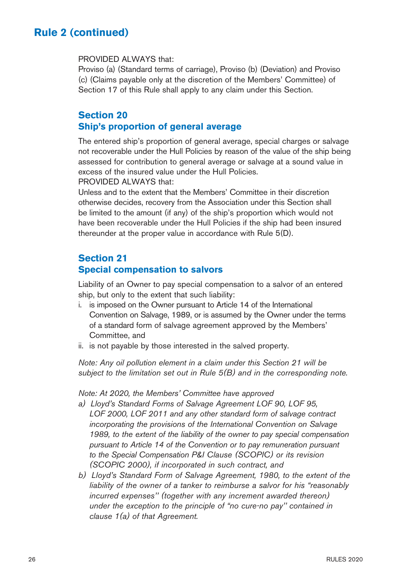#### PROVIDED ALWAYS that:

Proviso (a) (Standard terms of carriage), Proviso (b) (Deviation) and Proviso (c) (Claims payable only at the discretion of the Members' Committee) of Section 17 of this Rule shall apply to any claim under this Section.

### **Section 20 Ship's proportion of general average**

The entered ship's proportion of general average, special charges or salvage not recoverable under the Hull Policies by reason of the value of the ship being assessed for contribution to general average or salvage at a sound value in excess of the insured value under the Hull Policies.

PROVIDED AI WAYS that:

Unless and to the extent that the Members' Committee in their discretion otherwise decides, recovery from the Association under this Section shall be limited to the amount (if any) of the ship's proportion which would not have been recoverable under the Hull Policies if the ship had been insured thereunder at the proper value in accordance with Rule 5(D).

### **Section 21**

### **Special compensation to salvors**

Liability of an Owner to pay special compensation to a salvor of an entered ship, but only to the extent that such liability:

- i. is imposed on the Owner pursuant to Article 14 of the International Convention on Salvage, 1989, or is assumed by the Owner under the terms of a standard form of salvage agreement approved by the Members' Committee, and
- ii. is not payable by those interested in the salved property.

Note: Any oil pollution element in a claim under this Section 21 will be subject to the limitation set out in Rule 5(B) and in the corresponding note.

Note: At 2020, the Members' Committee have approved

- a) Lloyd's Standard Forms of Salvage Agreement LOF 90, LOF 95, LOF 2000, LOF 2011 and any other standard form of salvage contract incorporating the provisions of the International Convention on Salvage 1989, to the extent of the liability of the owner to pay special compensation pursuant to Article 14 of the Convention or to pay remuneration pursuant to the Special Compensation P&I Clause (SCOPIC) or its revision (SCOPIC 2000), if incorporated in such contract, and
- b) Lloyd's Standard Form of Salvage Agreement, 1980, to the extent of the liability of the owner of a tanker to reimburse a salvor for his "reasonably incurred expenses" (together with any increment awarded thereon) under the exception to the principle of "no cure-no pay'' contained in clause 1(a) of that Agreement.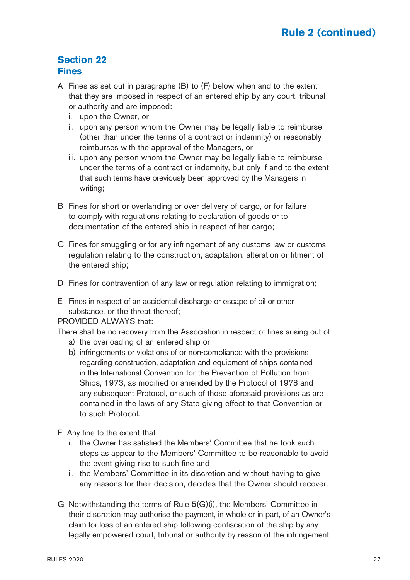### **Section 22 Fines**

- A Fines as set out in paragraphs (B) to (F) below when and to the extent that they are imposed in respect of an entered ship by any court, tribunal or authority and are imposed:
	- i. upon the Owner, or
	- ii. upon any person whom the Owner may be legally liable to reimburse (other than under the terms of a contract or indemnity) or reasonably reimburses with the approval of the Managers, or
	- iii. upon any person whom the Owner may be legally liable to reimburse under the terms of a contract or indemnity, but only if and to the extent that such terms have previously been approved by the Managers in writing;
- B Fines for short or overlanding or over delivery of cargo, or for failure to comply with regulations relating to declaration of goods or to documentation of the entered ship in respect of her cargo;
- C Fines for smuggling or for any infringement of any customs law or customs regulation relating to the construction, adaptation, alteration or fitment of the entered ship;
- D Fines for contravention of any law or regulation relating to immigration:
- E Fines in respect of an accidental discharge or escape of oil or other substance, or the threat thereof;

#### PROVIDED ALWAYS that:

There shall be no recovery from the Association in respect of fines arising out of

- a) the overloading of an entered ship or
- b) infringements or violations of or non-compliance with the provisions regarding construction, adaptation and equipment of ships contained in the International Convention for the Prevention of Pollution from Ships, 1973, as modified or amended by the Protocol of 1978 and any subsequent Protocol, or such of those aforesaid provisions as are contained in the laws of any State giving effect to that Convention or to such Protocol.
- F Any fine to the extent that
	- i. the Owner has satisfied the Members' Committee that he took such steps as appear to the Members' Committee to be reasonable to avoid the event giving rise to such fine and
	- ii. the Members' Committee in its discretion and without having to give any reasons for their decision, decides that the Owner should recover.
- G Notwithstanding the terms of Rule 5(G)(i), the Members' Committee in their discretion may authorise the payment, in whole or in part, of an Owner's claim for loss of an entered ship following confiscation of the ship by any legally empowered court, tribunal or authority by reason of the infringement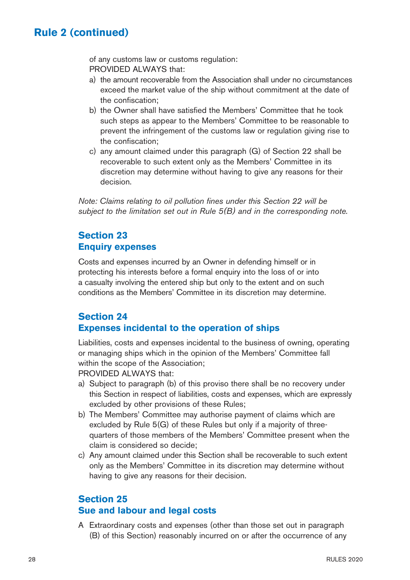of any customs law or customs regulation: PROVIDED ALWAYS that:

- a) the amount recoverable from the Association shall under no circumstances exceed the market value of the ship without commitment at the date of the confiscation;
- b) the Owner shall have satisfied the Members' Committee that he took such steps as appear to the Members' Committee to be reasonable to prevent the infringement of the customs law or regulation giving rise to the confiscation;
- c) any amount claimed under this paragraph (G) of Section 22 shall be recoverable to such extent only as the Members' Committee in its discretion may determine without having to give any reasons for their decision.

Note: Claims relating to oil pollution fines under this Section 22 will be subject to the limitation set out in Rule 5(B) and in the corresponding note.

### **Section 23 Enquiry expenses**

Costs and expenses incurred by an Owner in defending himself or in protecting his interests before a formal enquiry into the loss of or into a casualty involving the entered ship but only to the extent and on such conditions as the Members' Committee in its discretion may determine.

### **Section 24 Expenses incidental to the operation of ships**

Liabilities, costs and expenses incidental to the business of owning, operating or managing ships which in the opinion of the Members' Committee fall within the scope of the Association:

PROVIDED ALWAYS that:

- a) Subject to paragraph (b) of this proviso there shall be no recovery under this Section in respect of liabilities, costs and expenses, which are expressly excluded by other provisions of these Rules;
- b) The Members' Committee may authorise payment of claims which are excluded by Rule 5(G) of these Rules but only if a majority of threequarters of those members of the Members' Committee present when the claim is considered so decide;
- c) Any amount claimed under this Section shall be recoverable to such extent only as the Members' Committee in its discretion may determine without having to give any reasons for their decision.

### **Section 25 Sue and labour and legal costs**

A Extraordinary costs and expenses (other than those set out in paragraph (B) of this Section) reasonably incurred on or after the occurrence of any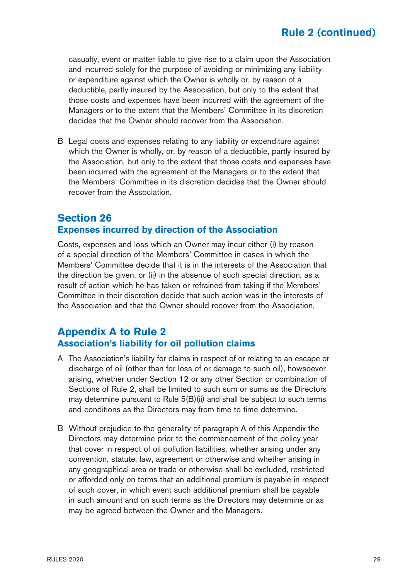casualty, event or matter liable to give rise to a claim upon the Association and incurred solely for the purpose of avoiding or minimizing any liability or expenditure against which the Owner is wholly or, by reason of a deductible, partly insured by the Association, but only to the extent that those costs and expenses have been incurred with the agreement of the Managers or to the extent that the Members' Committee in its discretion decides that the Owner should recover from the Association.

B Legal costs and expenses relating to any liability or expenditure against which the Owner is wholly, or, by reason of a deductible, partly insured by the Association, but only to the extent that those costs and expenses have been incurred with the agreement of the Managers or to the extent that the Members' Committee in its discretion decides that the Owner should recover from the Association.

### **Section 26 Expenses incurred by direction of the Association**

Costs, expenses and loss which an Owner may incur either (i) by reason of a special direction of the Members' Committee in cases in which the Members' Committee decide that it is in the interests of the Association that the direction be given, or (ii) in the absence of such special direction, as a result of action which he has taken or refrained from taking if the Members' Committee in their discretion decide that such action was in the interests of the Association and that the Owner should recover from the Association.

## **Appendix A to Rule 2 Association's liability for oil pollution claims**

- A The Association's liability for claims in respect of or relating to an escape or discharge of oil (other than for loss of or damage to such oil), howsoever arising, whether under Section 12 or any other Section or combination of Sections of Rule 2, shall be limited to such sum or sums as the Directors may determine pursuant to Rule 5(B)(ii) and shall be subject to such terms and conditions as the Directors may from time to time determine.
- B Without prejudice to the generality of paragraph A of this Appendix the Directors may determine prior to the commencement of the policy year that cover in respect of oil pollution liabilities, whether arising under any convention, statute, law, agreement or otherwise and whether arising in any geographical area or trade or otherwise shall be excluded, restricted or afforded only on terms that an additional premium is payable in respect of such cover, in which event such additional premium shall be payable in such amount and on such terms as the Directors may determine or as may be agreed between the Owner and the Managers.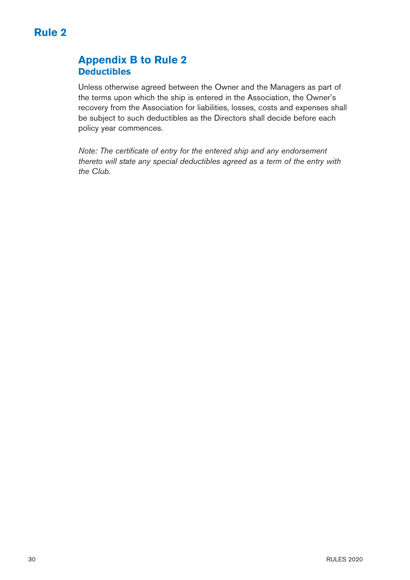# **Appendix B to Rule 2 Deductibles**

Unless otherwise agreed between the Owner and the Managers as part of the terms upon which the ship is entered in the Association, the Owner's recovery from the Association for liabilities, losses, costs and expenses shall be subject to such deductibles as the Directors shall decide before each policy year commences.

Note: The certificate of entry for the entered ship and any endorsement thereto will state any special deductibles agreed as a term of the entry with the Club.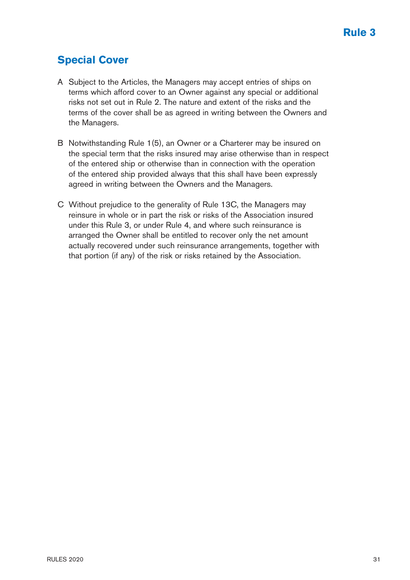# <span id="page-31-0"></span>**Special Cover**

- A Subject to the Articles, the Managers may accept entries of ships on terms which afford cover to an Owner against any special or additional risks not set out in Rule 2. The nature and extent of the risks and the terms of the cover shall be as agreed in writing between the Owners and the Managers.
- B Notwithstanding Rule 1(5), an Owner or a Charterer may be insured on the special term that the risks insured may arise otherwise than in respect of the entered ship or otherwise than in connection with the operation of the entered ship provided always that this shall have been expressly agreed in writing between the Owners and the Managers.
- C Without prejudice to the generality of Rule 13C, the Managers may reinsure in whole or in part the risk or risks of the Association insured under this Rule 3, or under Rule 4, and where such reinsurance is arranged the Owner shall be entitled to recover only the net amount actually recovered under such reinsurance arrangements, together with that portion (if any) of the risk or risks retained by the Association.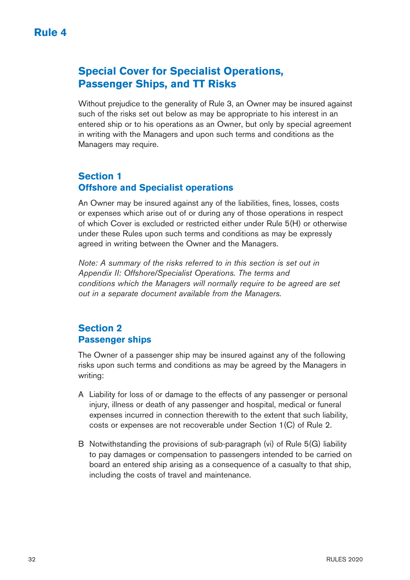# <span id="page-32-0"></span>**Special Cover for Specialist Operations, Passenger Ships, and TT Risks**

Without prejudice to the generality of Rule 3, an Owner may be insured against such of the risks set out below as may be appropriate to his interest in an entered ship or to his operations as an Owner, but only by special agreement in writing with the Managers and upon such terms and conditions as the Managers may require.

### **Section 1 Offshore and Specialist operations**

An Owner may be insured against any of the liabilities, fines, losses, costs or expenses which arise out of or during any of those operations in respect of which Cover is excluded or restricted either under Rule 5(H) or otherwise under these Rules upon such terms and conditions as may be expressly agreed in writing between the Owner and the Managers.

Note: A summary of the risks referred to in this section is set out in Appendix II: Offshore/Specialist Operations. The terms and conditions which the Managers will normally require to be agreed are set out in a separate document available from the Managers.

### **Section 2 Passenger ships**

The Owner of a passenger ship may be insured against any of the following risks upon such terms and conditions as may be agreed by the Managers in writing:

- A Liability for loss of or damage to the effects of any passenger or personal injury, illness or death of any passenger and hospital, medical or funeral expenses incurred in connection therewith to the extent that such liability, costs or expenses are not recoverable under Section 1(C) of Rule 2.
- B Notwithstanding the provisions of sub-paragraph (vi) of Rule 5(G) liability to pay damages or compensation to passengers intended to be carried on board an entered ship arising as a consequence of a casualty to that ship, including the costs of travel and maintenance.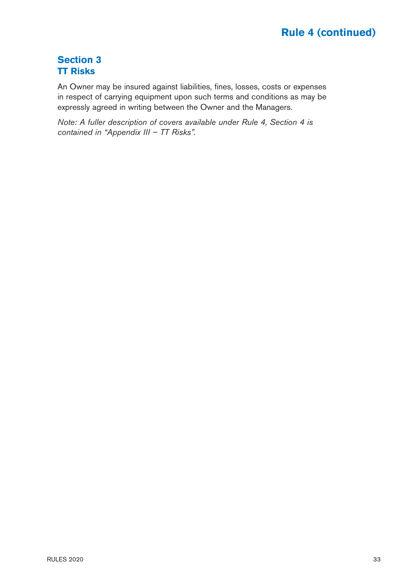# **Section 3 TT Risks**

An Owner may be insured against liabilities, fines, losses, costs or expenses in respect of carrying equipment upon such terms and conditions as may be expressly agreed in writing between the Owner and the Managers.

Note: A fuller description of covers available under Rule 4, Section 4 is contained in "Appendix III – TT Risks".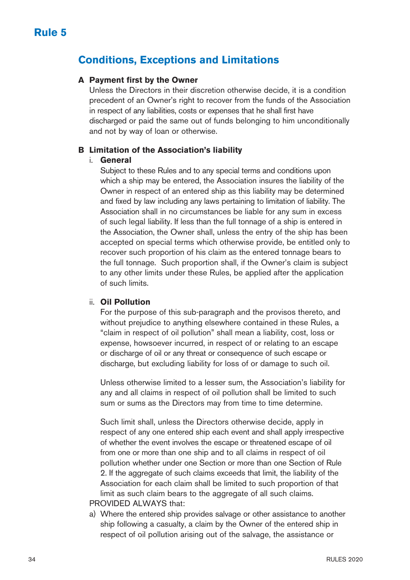# <span id="page-34-0"></span>**Conditions, Exceptions and Limitations**

#### **A Payment first by the Owner**

 Unless the Directors in their discretion otherwise decide, it is a condition precedent of an Owner's right to recover from the funds of the Association in respect of any liabilities, costs or expenses that he shall first have discharged or paid the same out of funds belonging to him unconditionally and not by way of loan or otherwise.

#### **B Limitation of the Association's liability**

#### i. **General**

 Subject to these Rules and to any special terms and conditions upon which a ship may be entered, the Association insures the liability of the Owner in respect of an entered ship as this liability may be determined and fixed by law including any laws pertaining to limitation of liability. The Association shall in no circumstances be liable for any sum in excess of such legal liability. If less than the full tonnage of a ship is entered in the Association, the Owner shall, unless the entry of the ship has been accepted on special terms which otherwise provide, be entitled only to recover such proportion of his claim as the entered tonnage bears to the full tonnage. Such proportion shall, if the Owner's claim is subject to any other limits under these Rules, be applied after the application of such limits.

#### ii. **Oil Pollution**

 For the purpose of this sub-paragraph and the provisos thereto, and without prejudice to anything elsewhere contained in these Rules, a "claim in respect of oil pollution" shall mean a liability, cost, loss or expense, howsoever incurred, in respect of or relating to an escape or discharge of oil or any threat or consequence of such escape or discharge, but excluding liability for loss of or damage to such oil.

 Unless otherwise limited to a lesser sum, the Association's liability for any and all claims in respect of oil pollution shall be limited to such sum or sums as the Directors may from time to time determine.

 Such limit shall, unless the Directors otherwise decide, apply in respect of any one entered ship each event and shall apply irrespective of whether the event involves the escape or threatened escape of oil from one or more than one ship and to all claims in respect of oil pollution whether under one Section or more than one Section of Rule 2. If the aggregate of such claims exceeds that limit, the liability of the Association for each claim shall be limited to such proportion of that limit as such claim bears to the aggregate of all such claims. PROVIDED ALWAYS that:

 a) Where the entered ship provides salvage or other assistance to another ship following a casualty, a claim by the Owner of the entered ship in respect of oil pollution arising out of the salvage, the assistance or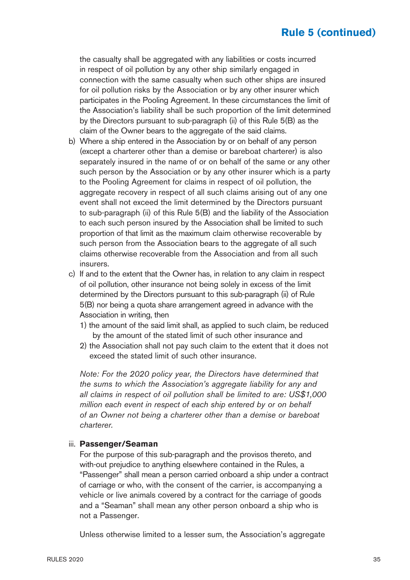the casualty shall be aggregated with any liabilities or costs incurred in respect of oil pollution by any other ship similarly engaged in connection with the same casualty when such other ships are insured for oil pollution risks by the Association or by any other insurer which participates in the Pooling Agreement. In these circumstances the limit of the Association's liability shall be such proportion of the limit determined by the Directors pursuant to sub-paragraph (ii) of this Rule 5(B) as the claim of the Owner bears to the aggregate of the said claims.

- b) Where a ship entered in the Association by or on behalf of any person (except a charterer other than a demise or bareboat charterer) is also separately insured in the name of or on behalf of the same or any other such person by the Association or by any other insurer which is a party to the Pooling Agreement for claims in respect of oil pollution, the aggregate recovery in respect of all such claims arising out of any one event shall not exceed the limit determined by the Directors pursuant to sub-paragraph (ii) of this Rule 5(B) and the liability of the Association to each such person insured by the Association shall be limited to such proportion of that limit as the maximum claim otherwise recoverable by such person from the Association bears to the aggregate of all such claims otherwise recoverable from the Association and from all such insurers.
- c) If and to the extent that the Owner has, in relation to any claim in respect of oil pollution, other insurance not being solely in excess of the limit determined by the Directors pursuant to this sub-paragraph (ii) of Rule 5(B) nor being a quota share arrangement agreed in advance with the Association in writing, then
	- 1) the amount of the said limit shall, as applied to such claim, be reduced by the amount of the stated limit of such other insurance and
	- 2) the Association shall not pay such claim to the extent that it does not exceed the stated limit of such other insurance.

 Note: For the 2020 policy year, the Directors have determined that the sums to which the Association's aggregate liability for any and all claims in respect of oil pollution shall be limited to are: US\$1,000 million each event in respect of each ship entered by or on behalf of an Owner not being a charterer other than a demise or bareboat charterer.

#### iii. **Passenger/Seaman**

 For the purpose of this sub-paragraph and the provisos thereto, and with-out prejudice to anything elsewhere contained in the Rules, a "Passenger" shall mean a person carried onboard a ship under a contract of carriage or who, with the consent of the carrier, is accompanying a vehicle or live animals covered by a contract for the carriage of goods and a "Seaman" shall mean any other person onboard a ship who is not a Passenger.

Unless otherwise limited to a lesser sum, the Association's aggregate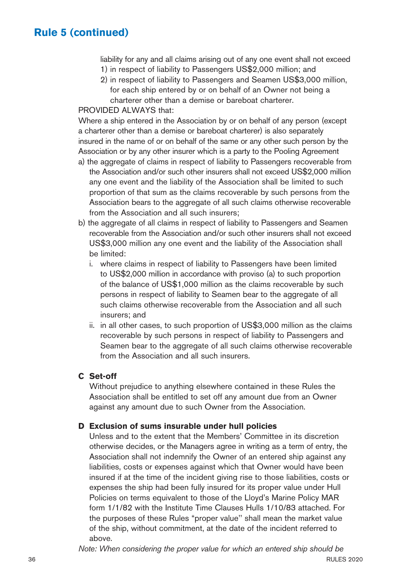liability for any and all claims arising out of any one event shall not exceed 1) in respect of liability to Passengers US\$2,000 million; and

2) in respect of liability to Passengers and Seamen US\$3,000 million, for each ship entered by or on behalf of an Owner not being a charterer other than a demise or bareboat charterer.

#### PROVIDED AI WAYS that:

Where a ship entered in the Association by or on behalf of any person (except a charterer other than a demise or bareboat charterer) is also separately insured in the name of or on behalf of the same or any other such person by the Association or by any other insurer which is a party to the Pooling Agreement

- a) the aggregate of claims in respect of liability to Passengers recoverable from the Association and/or such other insurers shall not exceed US\$2,000 million any one event and the liability of the Association shall be limited to such proportion of that sum as the claims recoverable by such persons from the Association bears to the aggregate of all such claims otherwise recoverable from the Association and all such insurers;
- b) the aggregate of all claims in respect of liability to Passengers and Seamen recoverable from the Association and/or such other insurers shall not exceed US\$3,000 million any one event and the liability of the Association shall be limited:
	- i. where claims in respect of liability to Passengers have been limited to US\$2,000 million in accordance with proviso (a) to such proportion of the balance of US\$1,000 million as the claims recoverable by such persons in respect of liability to Seamen bear to the aggregate of all such claims otherwise recoverable from the Association and all such insurers; and
	- ii. in all other cases, to such proportion of US\$3,000 million as the claims recoverable by such persons in respect of liability to Passengers and Seamen bear to the aggregate of all such claims otherwise recoverable from the Association and all such insurers.

#### **C Set-off**

 Without prejudice to anything elsewhere contained in these Rules the Association shall be entitled to set off any amount due from an Owner against any amount due to such Owner from the Association.

#### **D Exclusion of sums insurable under hull policies**

 Unless and to the extent that the Members' Committee in its discretion otherwise decides, or the Managers agree in writing as a term of entry, the Association shall not indemnify the Owner of an entered ship against any liabilities, costs or expenses against which that Owner would have been insured if at the time of the incident giving rise to those liabilities, costs or expenses the ship had been fully insured for its proper value under Hull Policies on terms equivalent to those of the Lloyd's Marine Policy MAR form 1/1/82 with the Institute Time Clauses Hulls 1/10/83 attached. For the purposes of these Rules "proper value'' shall mean the market value of the ship, without commitment, at the date of the incident referred to above.

Note: When considering the proper value for which an entered ship should be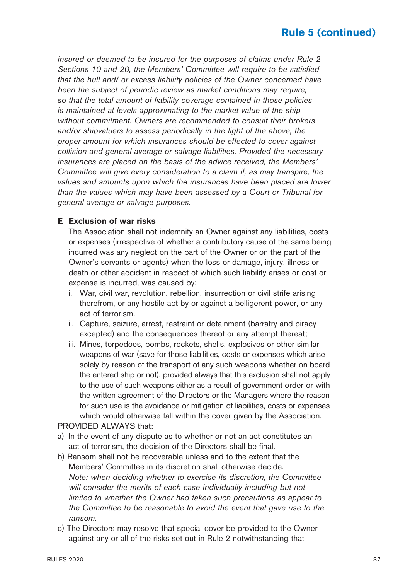insured or deemed to be insured for the purposes of claims under Rule 2 Sections 10 and 20, the Members' Committee will require to be satisfied that the hull and/ or excess liability policies of the Owner concerned have been the subject of periodic review as market conditions may require, so that the total amount of liability coverage contained in those policies is maintained at levels approximating to the market value of the ship without commitment. Owners are recommended to consult their brokers and/or shipvaluers to assess periodically in the light of the above, the proper amount for which insurances should be effected to cover against collision and general average or salvage liabilities. Provided the necessary insurances are placed on the basis of the advice received, the Members' Committee will give every consideration to a claim if, as may transpire, the values and amounts upon which the insurances have been placed are lower than the values which may have been assessed by a Court or Tribunal for general average or salvage purposes.

#### **E Exclusion of war risks**

 The Association shall not indemnify an Owner against any liabilities, costs or expenses (irrespective of whether a contributory cause of the same being incurred was any neglect on the part of the Owner or on the part of the Owner's servants or agents) when the loss or damage, injury, illness or death or other accident in respect of which such liability arises or cost or expense is incurred, was caused by:

- i. War, civil war, revolution, rebellion, insurrection or civil strife arising therefrom, or any hostile act by or against a belligerent power, or any act of terrorism.
- ii. Capture, seizure, arrest, restraint or detainment (barratry and piracy excepted) and the consequences thereof or any attempt thereat;
- iii. Mines, torpedoes, bombs, rockets, shells, explosives or other similar weapons of war (save for those liabilities, costs or expenses which arise solely by reason of the transport of any such weapons whether on board the entered ship or not), provided always that this exclusion shall not apply to the use of such weapons either as a result of government order or with the written agreement of the Directors or the Managers where the reason for such use is the avoidance or mitigation of liabilities, costs or expenses which would otherwise fall within the cover given by the Association.

#### PROVIDED ALWAYS that:

- a) In the event of any dispute as to whether or not an act constitutes an act of terrorism, the decision of the Directors shall be final.
- b) Ransom shall not be recoverable unless and to the extent that the Members' Committee in its discretion shall otherwise decide. Note: when deciding whether to exercise its discretion, the Committee will consider the merits of each case individually including but not limited to whether the Owner had taken such precautions as appear to the Committee to be reasonable to avoid the event that gave rise to the ransom.
- c) The Directors may resolve that special cover be provided to the Owner against any or all of the risks set out in Rule 2 notwithstanding that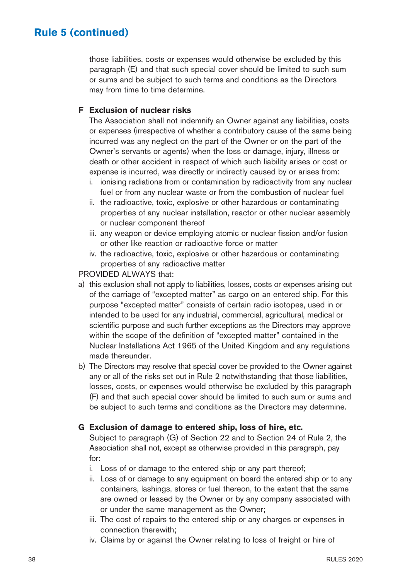those liabilities, costs or expenses would otherwise be excluded by this paragraph (E) and that such special cover should be limited to such sum or sums and be subject to such terms and conditions as the Directors may from time to time determine.

#### **F Exclusion of nuclear risks**

 The Association shall not indemnify an Owner against any liabilities, costs or expenses (irrespective of whether a contributory cause of the same being incurred was any neglect on the part of the Owner or on the part of the Owner's servants or agents) when the loss or damage, injury, illness or death or other accident in respect of which such liability arises or cost or expense is incurred, was directly or indirectly caused by or arises from:

- i. ionising radiations from or contamination by radioactivity from any nuclear fuel or from any nuclear waste or from the combustion of nuclear fuel
- ii. the radioactive, toxic, explosive or other hazardous or contaminating properties of any nuclear installation, reactor or other nuclear assembly or nuclear component thereof
- iii. any weapon or device employing atomic or nuclear fission and/or fusion or other like reaction or radioactive force or matter
- iv. the radioactive, toxic, explosive or other hazardous or contaminating properties of any radioactive matter

PROVIDED ALWAYS that:

- a) this exclusion shall not apply to liabilities, losses, costs or expenses arising out of the carriage of "excepted matter" as cargo on an entered ship. For this purpose "excepted matter" consists of certain radio isotopes, used in or intended to be used for any industrial, commercial, agricultural, medical or scientific purpose and such further exceptions as the Directors may approve within the scope of the definition of "excepted matter" contained in the Nuclear Installations Act 1965 of the United Kingdom and any regulations made thereunder.
- b) The Directors may resolve that special cover be provided to the Owner against any or all of the risks set out in Rule 2 notwithstanding that those liabilities, losses, costs, or expenses would otherwise be excluded by this paragraph (F) and that such special cover should be limited to such sum or sums and be subject to such terms and conditions as the Directors may determine.

#### **G Exclusion of damage to entered ship, loss of hire, etc.**

 Subject to paragraph (G) of Section 22 and to Section 24 of Rule 2, the Association shall not, except as otherwise provided in this paragraph, pay for:

- i. Loss of or damage to the entered ship or any part thereof;
- ii. Loss of or damage to any equipment on board the entered ship or to any containers, lashings, stores or fuel thereon, to the extent that the same are owned or leased by the Owner or by any company associated with or under the same management as the Owner;
- iii. The cost of repairs to the entered ship or any charges or expenses in connection therewith;
- iv. Claims by or against the Owner relating to loss of freight or hire of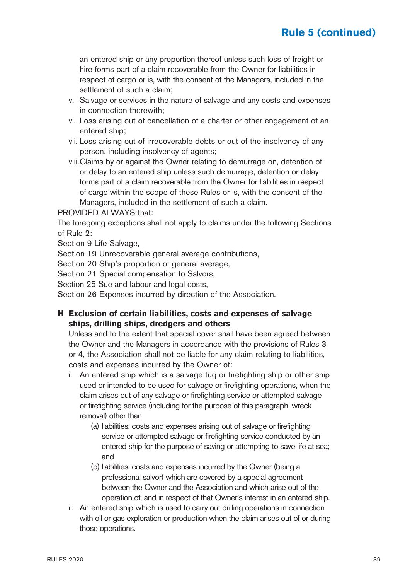an entered ship or any proportion thereof unless such loss of freight or hire forms part of a claim recoverable from the Owner for liabilities in respect of cargo or is, with the consent of the Managers, included in the settlement of such a claim;

- v. Salvage or services in the nature of salvage and any costs and expenses in connection therewith;
- vi. Loss arising out of cancellation of a charter or other engagement of an entered ship;
- vii. Loss arising out of irrecoverable debts or out of the insolvency of any person, including insolvency of agents;
- viii. Claims by or against the Owner relating to demurrage on, detention of or delay to an entered ship unless such demurrage, detention or delay forms part of a claim recoverable from the Owner for liabilities in respect of cargo within the scope of these Rules or is, with the consent of the Managers, included in the settlement of such a claim.

#### PROVIDED ALWAYS that:

The foregoing exceptions shall not apply to claims under the following Sections of Rule 2:

Section 9 Life Salvage,

Section 19 Unrecoverable general average contributions,

Section 20 Ship's proportion of general average,

Section 21 Special compensation to Salvors,

Section 25 Sue and labour and legal costs,

Section 26 Expenses incurred by direction of the Association.

#### **H Exclusion of certain liabilities, costs and expenses of salvage ships, drilling ships, dredgers and others**

 Unless and to the extent that special cover shall have been agreed between the Owner and the Managers in accordance with the provisions of Rules 3 or 4, the Association shall not be liable for any claim relating to liabilities, costs and expenses incurred by the Owner of:

- i. An entered ship which is a salvage tug or firefighting ship or other ship used or intended to be used for salvage or firefighting operations, when the claim arises out of any salvage or firefighting service or attempted salvage or firefighting service (including for the purpose of this paragraph, wreck removal) other than
	- (a) liabilities, costs and expenses arising out of salvage or firefighting service or attempted salvage or firefighting service conducted by an entered ship for the purpose of saving or attempting to save life at sea; and
	- (b) liabilities, costs and expenses incurred by the Owner (being a professional salvor) which are covered by a special agreement between the Owner and the Association and which arise out of the operation of, and in respect of that Owner's interest in an entered ship.
- ii. An entered ship which is used to carry out drilling operations in connection with oil or gas exploration or production when the claim arises out of or during those operations.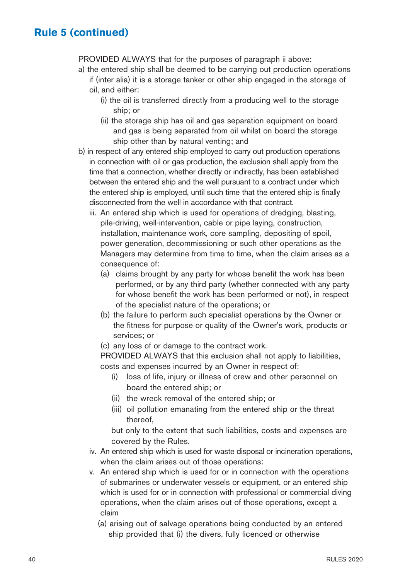PROVIDED ALWAYS that for the purposes of paragraph ii above:

- a) the entered ship shall be deemed to be carrying out production operations if (inter alia) it is a storage tanker or other ship engaged in the storage of
	- oil, and either:
		- (i) the oil is transferred directly from a producing well to the storage ship; or
		- (ii) the storage ship has oil and gas separation equipment on board and gas is being separated from oil whilst on board the storage ship other than by natural venting; and
- b) in respect of any entered ship employed to carry out production operations in connection with oil or gas production, the exclusion shall apply from the time that a connection, whether directly or indirectly, has been established between the entered ship and the well pursuant to a contract under which the entered ship is employed, until such time that the entered ship is finally disconnected from the well in accordance with that contract.
	- iii. An entered ship which is used for operations of dredging, blasting, pile-driving, well-intervention, cable or pipe laying, construction, installation, maintenance work, core sampling, depositing of spoil, power generation, decommissioning or such other operations as the Managers may determine from time to time, when the claim arises as a consequence of:
		- (a) claims brought by any party for whose benefit the work has been performed, or by any third party (whether connected with any party for whose benefit the work has been performed or not), in respect of the specialist nature of the operations; or
		- (b) the failure to perform such specialist operations by the Owner or the fitness for purpose or quality of the Owner's work, products or services; or
		- (c) any loss of or damage to the contract work.

 PROVIDED ALWAYS that this exclusion shall not apply to liabilities, costs and expenses incurred by an Owner in respect of:

- (i) loss of life, injury or illness of crew and other personnel on board the entered ship; or
- (ii) the wreck removal of the entered ship; or
- (iii) oil pollution emanating from the entered ship or the threat thereof,

 but only to the extent that such liabilities, costs and expenses are covered by the Rules.

- iv. An entered ship which is used for waste disposal or incineration operations, when the claim arises out of those operations:
- v. An entered ship which is used for or in connection with the operations of submarines or underwater vessels or equipment, or an entered ship which is used for or in connection with professional or commercial diving operations, when the claim arises out of those operations, except a claim
	- (a) arising out of salvage operations being conducted by an entered ship provided that (i) the divers, fully licenced or otherwise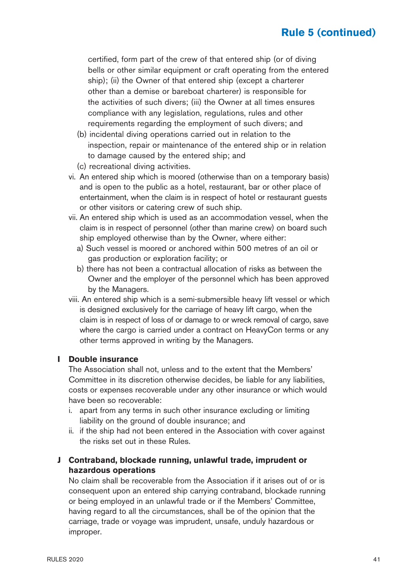certified, form part of the crew of that entered ship (or of diving bells or other similar equipment or craft operating from the entered ship); (ii) the Owner of that entered ship (except a charterer other than a demise or bareboat charterer) is responsible for the activities of such divers; (iii) the Owner at all times ensures compliance with any legislation, regulations, rules and other requirements regarding the employment of such divers; and

- (b) incidental diving operations carried out in relation to the inspection, repair or maintenance of the entered ship or in relation to damage caused by the entered ship; and
- (c) recreational diving activities.
- vi. An entered ship which is moored (otherwise than on a temporary basis) and is open to the public as a hotel, restaurant, bar or other place of entertainment, when the claim is in respect of hotel or restaurant guests or other visitors or catering crew of such ship.
- vii. An entered ship which is used as an accommodation vessel, when the claim is in respect of personnel (other than marine crew) on board such ship employed otherwise than by the Owner, where either:
	- a) Such vessel is moored or anchored within 500 metres of an oil or gas production or exploration facility; or
	- b) there has not been a contractual allocation of risks as between the Owner and the employer of the personnel which has been approved by the Managers.
- viii. An entered ship which is a semi-submersible heavy lift vessel or which is designed exclusively for the carriage of heavy lift cargo, when the claim is in respect of loss of or damage to or wreck removal of cargo, save where the cargo is carried under a contract on HeavyCon terms or any other terms approved in writing by the Managers.

#### **I Double insurance**

 The Association shall not, unless and to the extent that the Members' Committee in its discretion otherwise decides, be liable for any liabilities, costs or expenses recoverable under any other insurance or which would have been so recoverable:

- i. apart from any terms in such other insurance excluding or limiting liability on the ground of double insurance; and
- ii. if the ship had not been entered in the Association with cover against the risks set out in these Rules.
- **J Contraband, blockade running, unlawful trade, imprudent or hazardous operations**

 No claim shall be recoverable from the Association if it arises out of or is consequent upon an entered ship carrying contraband, blockade running or being employed in an unlawful trade or if the Members' Committee, having regard to all the circumstances, shall be of the opinion that the carriage, trade or voyage was imprudent, unsafe, unduly hazardous or improper.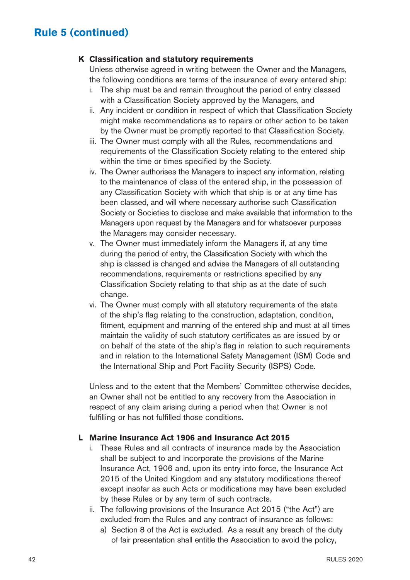#### **K Classification and statutory requirements**

 Unless otherwise agreed in writing between the Owner and the Managers, the following conditions are terms of the insurance of every entered ship:

- i. The ship must be and remain throughout the period of entry classed with a Classification Society approved by the Managers, and
- ii. Any incident or condition in respect of which that Classification Society might make recommendations as to repairs or other action to be taken by the Owner must be promptly reported to that Classification Society.
- iii. The Owner must comply with all the Rules, recommendations and requirements of the Classification Society relating to the entered ship within the time or times specified by the Society.
- iv. The Owner authorises the Managers to inspect any information, relating to the maintenance of class of the entered ship, in the possession of any Classification Society with which that ship is or at any time has been classed, and will where necessary authorise such Classification Society or Societies to disclose and make available that information to the Managers upon request by the Managers and for whatsoever purposes the Managers may consider necessary.
- v. The Owner must immediately inform the Managers if, at any time during the period of entry, the Classification Society with which the ship is classed is changed and advise the Managers of all outstanding recommendations, requirements or restrictions specified by any Classification Society relating to that ship as at the date of such change.
- vi. The Owner must comply with all statutory requirements of the state of the ship's flag relating to the construction, adaptation, condition, fitment, equipment and manning of the entered ship and must at all times maintain the validity of such statutory certificates as are issued by or on behalf of the state of the ship's flag in relation to such requirements and in relation to the International Safety Management (ISM) Code and the International Ship and Port Facility Security (ISPS) Code.

 Unless and to the extent that the Members' Committee otherwise decides, an Owner shall not be entitled to any recovery from the Association in respect of any claim arising during a period when that Owner is not fulfilling or has not fulfilled those conditions.

#### **L Marine Insurance Act 1906 and Insurance Act 2015**

- i. These Rules and all contracts of insurance made by the Association shall be subject to and incorporate the provisions of the Marine Insurance Act, 1906 and, upon its entry into force, the Insurance Act 2015 of the United Kingdom and any statutory modifications thereof except insofar as such Acts or modifications may have been excluded by these Rules or by any term of such contracts.
- ii. The following provisions of the Insurance Act 2015 ("the Act") are excluded from the Rules and any contract of insurance as follows:
	- a) Section 8 of the Act is excluded. As a result any breach of the duty of fair presentation shall entitle the Association to avoid the policy,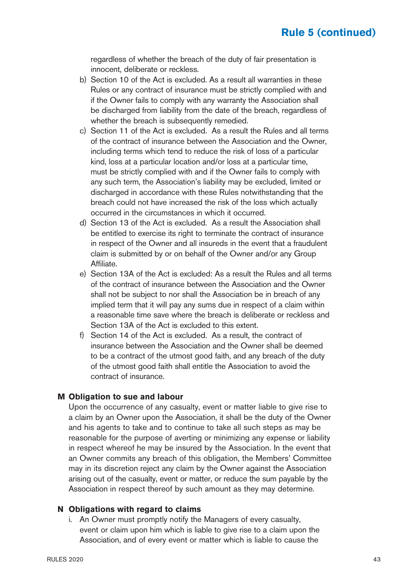regardless of whether the breach of the duty of fair presentation is innocent, deliberate or reckless.

- b) Section 10 of the Act is excluded. As a result all warranties in these Rules or any contract of insurance must be strictly complied with and if the Owner fails to comply with any warranty the Association shall be discharged from liability from the date of the breach, regardless of whether the breach is subsequently remedied.
- c) Section 11 of the Act is excluded. As a result the Rules and all terms of the contract of insurance between the Association and the Owner, including terms which tend to reduce the risk of loss of a particular kind, loss at a particular location and/or loss at a particular time, must be strictly complied with and if the Owner fails to comply with any such term, the Association's liability may be excluded, limited or discharged in accordance with these Rules notwithstanding that the breach could not have increased the risk of the loss which actually occurred in the circumstances in which it occurred.
- d) Section 13 of the Act is excluded. As a result the Association shall be entitled to exercise its right to terminate the contract of insurance in respect of the Owner and all insureds in the event that a fraudulent claim is submitted by or on behalf of the Owner and/or any Group Affiliate.
- e) Section 13A of the Act is excluded: As a result the Rules and all terms of the contract of insurance between the Association and the Owner shall not be subject to nor shall the Association be in breach of any implied term that it will pay any sums due in respect of a claim within a reasonable time save where the breach is deliberate or reckless and Section 13A of the Act is excluded to this extent.
- f) Section 14 of the Act is excluded. As a result, the contract of insurance between the Association and the Owner shall be deemed to be a contract of the utmost good faith, and any breach of the duty of the utmost good faith shall entitle the Association to avoid the contract of insurance.

#### **M Obligation to sue and labour**

 Upon the occurrence of any casualty, event or matter liable to give rise to a claim by an Owner upon the Association, it shall be the duty of the Owner and his agents to take and to continue to take all such steps as may be reasonable for the purpose of averting or minimizing any expense or liability in respect whereof he may be insured by the Association. In the event that an Owner commits any breach of this obligation, the Members' Committee may in its discretion reject any claim by the Owner against the Association arising out of the casualty, event or matter, or reduce the sum payable by the Association in respect thereof by such amount as they may determine.

#### **N Obligations with regard to claims**

 i. An Owner must promptly notify the Managers of every casualty, event or claim upon him which is liable to give rise to a claim upon the Association, and of every event or matter which is liable to cause the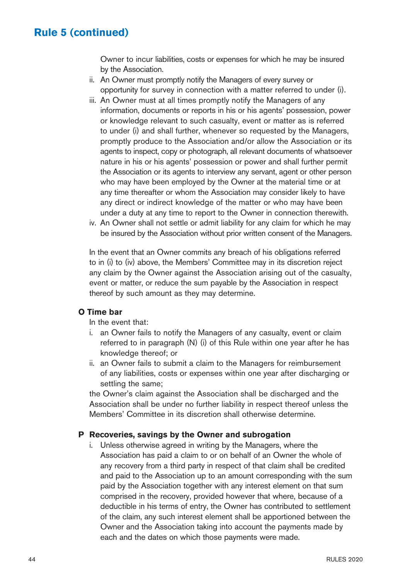Owner to incur liabilities, costs or expenses for which he may be insured by the Association.

- ii. An Owner must promptly notify the Managers of every survey or opportunity for survey in connection with a matter referred to under (i).
- iii. An Owner must at all times promptly notify the Managers of any information, documents or reports in his or his agents' possession, power or knowledge relevant to such casualty, event or matter as is referred to under (i) and shall further, whenever so requested by the Managers, promptly produce to the Association and/or allow the Association or its agents to inspect, copy or photograph, all relevant documents of whatsoever nature in his or his agents' possession or power and shall further permit the Association or its agents to interview any servant, agent or other person who may have been employed by the Owner at the material time or at any time thereafter or whom the Association may consider likely to have any direct or indirect knowledge of the matter or who may have been under a duty at any time to report to the Owner in connection therewith.
- iv. An Owner shall not settle or admit liability for any claim for which he may be insured by the Association without prior written consent of the Managers.

 In the event that an Owner commits any breach of his obligations referred to in (i) to (iv) above, the Members' Committee may in its discretion reject any claim by the Owner against the Association arising out of the casualty, event or matter, or reduce the sum payable by the Association in respect thereof by such amount as they may determine.

#### **O Time bar**

In the event that:

- i. an Owner fails to notify the Managers of any casualty, event or claim referred to in paragraph (N) (i) of this Rule within one year after he has knowledge thereof; or
- ii. an Owner fails to submit a claim to the Managers for reimbursement of any liabilities, costs or expenses within one year after discharging or settling the same;

 the Owner's claim against the Association shall be discharged and the Association shall be under no further liability in respect thereof unless the Members' Committee in its discretion shall otherwise determine.

#### **P Recoveries, savings by the Owner and subrogation**

 i. Unless otherwise agreed in writing by the Managers, where the Association has paid a claim to or on behalf of an Owner the whole of any recovery from a third party in respect of that claim shall be credited and paid to the Association up to an amount corresponding with the sum paid by the Association together with any interest element on that sum comprised in the recovery, provided however that where, because of a deductible in his terms of entry, the Owner has contributed to settlement of the claim, any such interest element shall be apportioned between the Owner and the Association taking into account the payments made by each and the dates on which those payments were made.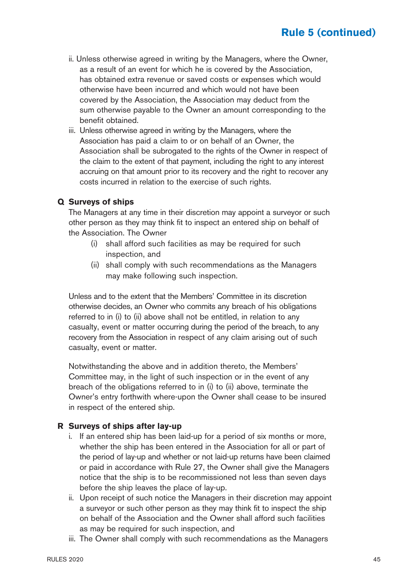- ii. Unless otherwise agreed in writing by the Managers, where the Owner, as a result of an event for which he is covered by the Association, has obtained extra revenue or saved costs or expenses which would otherwise have been incurred and which would not have been covered by the Association, the Association may deduct from the sum otherwise payable to the Owner an amount corresponding to the benefit obtained.
- iii. Unless otherwise agreed in writing by the Managers, where the Association has paid a claim to or on behalf of an Owner, the Association shall be subrogated to the rights of the Owner in respect of the claim to the extent of that payment, including the right to any interest accruing on that amount prior to its recovery and the right to recover any costs incurred in relation to the exercise of such rights.

#### **Q Surveys of ships**

 The Managers at any time in their discretion may appoint a surveyor or such other person as they may think fit to inspect an entered ship on behalf of the Association. The Owner

- (i) shall afford such facilities as may be required for such inspection, and
- (ii) shall comply with such recommendations as the Managers may make following such inspection.

 Unless and to the extent that the Members' Committee in its discretion otherwise decides, an Owner who commits any breach of his obligations referred to in (i) to (ii) above shall not be entitled, in relation to any casualty, event or matter occurring during the period of the breach, to any recovery from the Association in respect of any claim arising out of such casualty, event or matter.

 Notwithstanding the above and in addition thereto, the Members' Committee may, in the light of such inspection or in the event of any breach of the obligations referred to in (i) to (ii) above, terminate the Owner's entry forthwith where-upon the Owner shall cease to be insured in respect of the entered ship.

#### **R Surveys of ships after lay-up**

- i. If an entered ship has been laid-up for a period of six months or more, whether the ship has been entered in the Association for all or part of the period of lay-up and whether or not laid-up returns have been claimed or paid in accordance with Rule 27, the Owner shall give the Managers notice that the ship is to be recommissioned not less than seven days before the ship leaves the place of lay-up.
- ii. Upon receipt of such notice the Managers in their discretion may appoint a surveyor or such other person as they may think fit to inspect the ship on behalf of the Association and the Owner shall afford such facilities as may be required for such inspection, and
- iii. The Owner shall comply with such recommendations as the Managers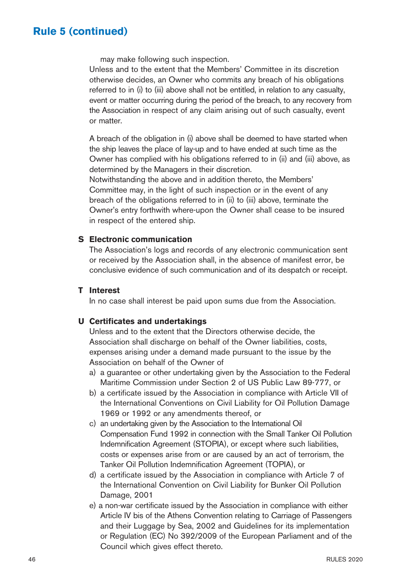may make following such inspection.

 Unless and to the extent that the Members' Committee in its discretion otherwise decides, an Owner who commits any breach of his obligations referred to in (i) to (iii) above shall not be entitled, in relation to any casualty, event or matter occurring during the period of the breach, to any recovery from the Association in respect of any claim arising out of such casualty, event or matter.

 A breach of the obligation in (i) above shall be deemed to have started when the ship leaves the place of lay-up and to have ended at such time as the Owner has complied with his obligations referred to in (ii) and (iii) above, as determined by the Managers in their discretion.

 Notwithstanding the above and in addition thereto, the Members' Committee may, in the light of such inspection or in the event of any breach of the obligations referred to in (ii) to (iii) above, terminate the Owner's entry forthwith where-upon the Owner shall cease to be insured in respect of the entered ship.

#### **S Electronic communication**

 The Association's logs and records of any electronic communication sent or received by the Association shall, in the absence of manifest error, be conclusive evidence of such communication and of its despatch or receipt.

#### **T Interest**

In no case shall interest be paid upon sums due from the Association.

#### **U Certificates and undertakings**

 Unless and to the extent that the Directors otherwise decide, the Association shall discharge on behalf of the Owner liabilities, costs, expenses arising under a demand made pursuant to the issue by the Association on behalf of the Owner of

- a) a guarantee or other undertaking given by the Association to the Federal Maritime Commission under Section 2 of US Public Law 89-777, or
- b) a certificate issued by the Association in compliance with Article VII of the International Conventions on Civil Liability for Oil Pollution Damage 1969 or 1992 or any amendments thereof, or
- c) an undertaking given by the Association to the International Oil Compensation Fund 1992 in connection with the Small Tanker Oil Pollution Indemnification Agreement (STOPIA), or except where such liabilities, costs or expenses arise from or are caused by an act of terrorism, the Tanker Oil Pollution Indemnification Agreement (TOPIA), or
- d) a certificate issued by the Association in compliance with Article 7 of the International Convention on Civil Liability for Bunker Oil Pollution Damage, 2001
- e) a non-war certificate issued by the Association in compliance with either Article IV bis of the Athens Convention relating to Carriage of Passengers and their Luggage by Sea, 2002 and Guidelines for its implementation or Regulation (EC) No 392/2009 of the European Parliament and of the Council which gives effect thereto.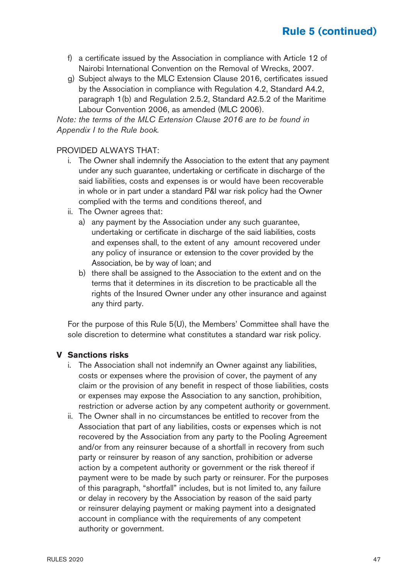- f) a certificate issued by the Association in compliance with Article 12 of Nairobi International Convention on the Removal of Wrecks, 2007.
- g) Subject always to the MLC Extension Clause 2016, certificates issued by the Association in compliance with Regulation 4.2, Standard A4.2, paragraph 1(b) and Regulation 2.5.2, Standard A2.5.2 of the Maritime Labour Convention 2006, as amended (MLC 2006).

Note: the terms of the MLC Extension Clause 2016 are to be found in Appendix I to the Rule book.

#### PROVIDED ALWAYS THAT:

- i. The Owner shall indemnify the Association to the extent that any payment under any such guarantee, undertaking or certificate in discharge of the said liabilities, costs and expenses is or would have been recoverable in whole or in part under a standard P&I war risk policy had the Owner complied with the terms and conditions thereof, and
- ii. The Owner agrees that:
	- a) any payment by the Association under any such guarantee, undertaking or certificate in discharge of the said liabilities, costs and expenses shall, to the extent of any amount recovered under any policy of insurance or extension to the cover provided by the Association, be by way of loan; and
	- b) there shall be assigned to the Association to the extent and on the terms that it determines in its discretion to be practicable all the rights of the Insured Owner under any other insurance and against any third party.

 For the purpose of this Rule 5(U), the Members' Committee shall have the sole discretion to determine what constitutes a standard war risk policy.

#### **V Sanctions risks**

- i. The Association shall not indemnify an Owner against any liabilities, costs or expenses where the provision of cover, the payment of any claim or the provision of any benefit in respect of those liabilities, costs or expenses may expose the Association to any sanction, prohibition, restriction or adverse action by any competent authority or government.
- ii. The Owner shall in no circumstances be entitled to recover from the Association that part of any liabilities, costs or expenses which is not recovered by the Association from any party to the Pooling Agreement and/or from any reinsurer because of a shortfall in recovery from such party or reinsurer by reason of any sanction, prohibition or adverse action by a competent authority or government or the risk thereof if payment were to be made by such party or reinsurer. For the purposes of this paragraph, "shortfall" includes, but is not limited to, any failure or delay in recovery by the Association by reason of the said party or reinsurer delaying payment or making payment into a designated account in compliance with the requirements of any competent authority or government.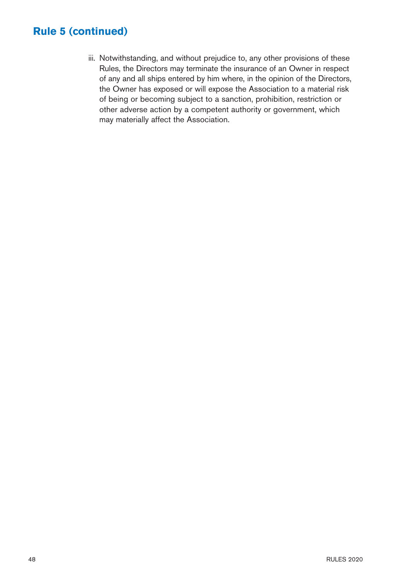iii. Notwithstanding, and without prejudice to, any other provisions of these Rules, the Directors may terminate the insurance of an Owner in respect of any and all ships entered by him where, in the opinion of the Directors, the Owner has exposed or will expose the Association to a material risk of being or becoming subject to a sanction, prohibition, restriction or other adverse action by a competent authority or government, which may materially affect the Association.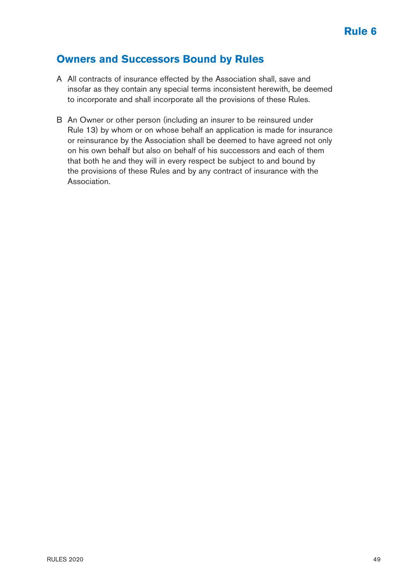### **Owners and Successors Bound by Rules**

- A All contracts of insurance effected by the Association shall, save and insofar as they contain any special terms inconsistent herewith, be deemed to incorporate and shall incorporate all the provisions of these Rules.
- B An Owner or other person (including an insurer to be reinsured under Rule 13) by whom or on whose behalf an application is made for insurance or reinsurance by the Association shall be deemed to have agreed not only on his own behalf but also on behalf of his successors and each of them that both he and they will in every respect be subject to and bound by the provisions of these Rules and by any contract of insurance with the Association.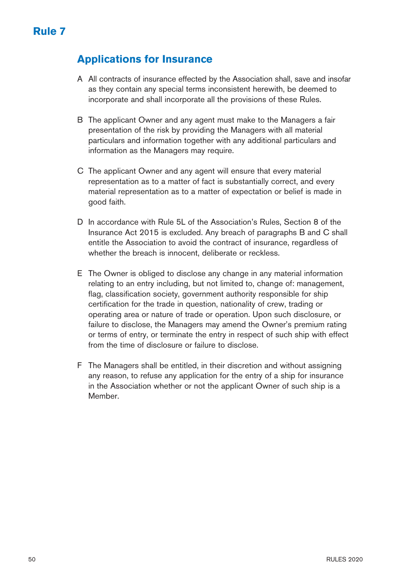## **Applications for Insurance**

- A All contracts of insurance effected by the Association shall, save and insofar as they contain any special terms inconsistent herewith, be deemed to incorporate and shall incorporate all the provisions of these Rules.
- B The applicant Owner and any agent must make to the Managers a fair presentation of the risk by providing the Managers with all material particulars and information together with any additional particulars and information as the Managers may require.
- C The applicant Owner and any agent will ensure that every material representation as to a matter of fact is substantially correct, and every material representation as to a matter of expectation or belief is made in good faith.
- D In accordance with Rule 5L of the Association's Rules, Section 8 of the Insurance Act 2015 is excluded. Any breach of paragraphs B and C shall entitle the Association to avoid the contract of insurance, regardless of whether the breach is innocent, deliberate or reckless.
- E The Owner is obliged to disclose any change in any material information relating to an entry including, but not limited to, change of: management, flag, classification society, government authority responsible for ship certification for the trade in question, nationality of crew, trading or operating area or nature of trade or operation. Upon such disclosure, or failure to disclose, the Managers may amend the Owner's premium rating or terms of entry, or terminate the entry in respect of such ship with effect from the time of disclosure or failure to disclose.
- F The Managers shall be entitled, in their discretion and without assigning any reason, to refuse any application for the entry of a ship for insurance in the Association whether or not the applicant Owner of such ship is a Member.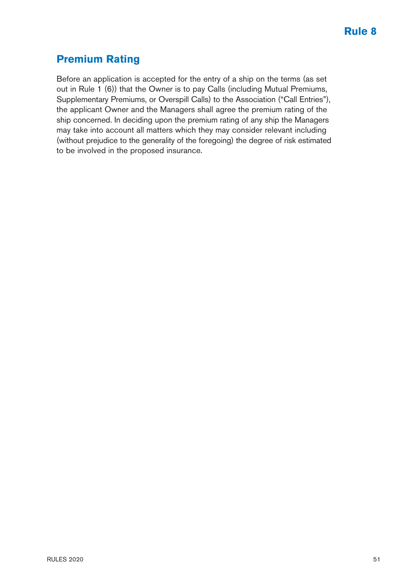## **Premium Rating**

Before an application is accepted for the entry of a ship on the terms (as set out in Rule 1 (6)) that the Owner is to pay Calls (including Mutual Premiums, Supplementary Premiums, or Overspill Calls) to the Association ("Call Entries"), the applicant Owner and the Managers shall agree the premium rating of the ship concerned. In deciding upon the premium rating of any ship the Managers may take into account all matters which they may consider relevant including (without prejudice to the generality of the foregoing) the degree of risk estimated to be involved in the proposed insurance.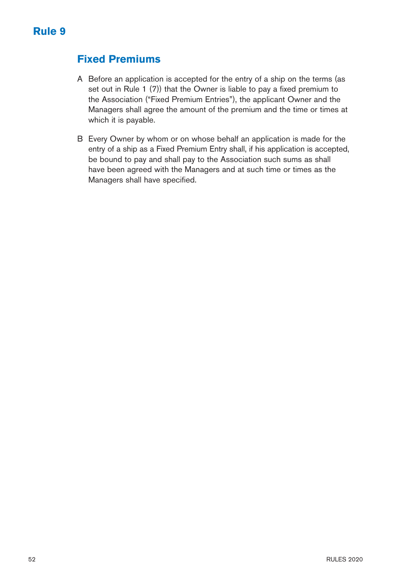### **Fixed Premiums**

- A Before an application is accepted for the entry of a ship on the terms (as set out in Rule 1 (7)) that the Owner is liable to pay a fixed premium to the Association ("Fixed Premium Entries"), the applicant Owner and the Managers shall agree the amount of the premium and the time or times at which it is payable.
- B Every Owner by whom or on whose behalf an application is made for the entry of a ship as a Fixed Premium Entry shall, if his application is accepted, be bound to pay and shall pay to the Association such sums as shall have been agreed with the Managers and at such time or times as the Managers shall have specified.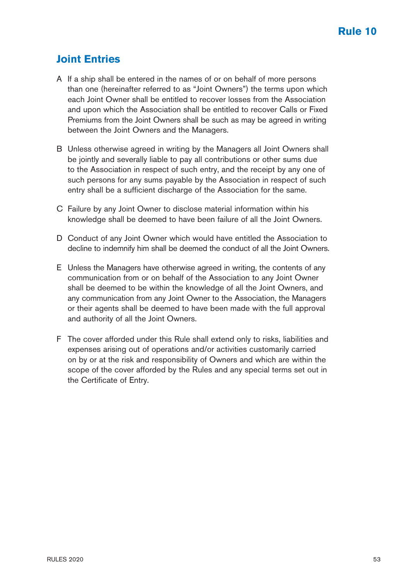## **Joint Entries**

- A If a ship shall be entered in the names of or on behalf of more persons than one (hereinafter referred to as "Joint Owners") the terms upon which each Joint Owner shall be entitled to recover losses from the Association and upon which the Association shall be entitled to recover Calls or Fixed Premiums from the Joint Owners shall be such as may be agreed in writing between the Joint Owners and the Managers.
- B Unless otherwise agreed in writing by the Managers all Joint Owners shall be jointly and severally liable to pay all contributions or other sums due to the Association in respect of such entry, and the receipt by any one of such persons for any sums payable by the Association in respect of such entry shall be a sufficient discharge of the Association for the same.
- C Failure by any Joint Owner to disclose material information within his knowledge shall be deemed to have been failure of all the Joint Owners.
- D Conduct of any Joint Owner which would have entitled the Association to decline to indemnify him shall be deemed the conduct of all the Joint Owners.
- E Unless the Managers have otherwise agreed in writing, the contents of any communication from or on behalf of the Association to any Joint Owner shall be deemed to be within the knowledge of all the Joint Owners, and any communication from any Joint Owner to the Association, the Managers or their agents shall be deemed to have been made with the full approval and authority of all the Joint Owners.
- F The cover afforded under this Rule shall extend only to risks, liabilities and expenses arising out of operations and/or activities customarily carried on by or at the risk and responsibility of Owners and which are within the scope of the cover afforded by the Rules and any special terms set out in the Certificate of Entry.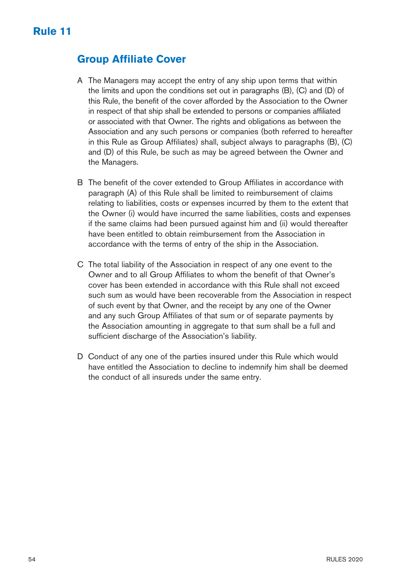### **Group Affiliate Cover**

- A The Managers may accept the entry of any ship upon terms that within the limits and upon the conditions set out in paragraphs (B), (C) and (D) of this Rule, the benefit of the cover afforded by the Association to the Owner in respect of that ship shall be extended to persons or companies affiliated or associated with that Owner. The rights and obligations as between the Association and any such persons or companies (both referred to hereafter in this Rule as Group Affiliates) shall, subject always to paragraphs (B), (C) and (D) of this Rule, be such as may be agreed between the Owner and the Managers.
- B The benefit of the cover extended to Group Affiliates in accordance with paragraph (A) of this Rule shall be limited to reimbursement of claims relating to liabilities, costs or expenses incurred by them to the extent that the Owner (i) would have incurred the same liabilities, costs and expenses if the same claims had been pursued against him and (ii) would thereafter have been entitled to obtain reimbursement from the Association in accordance with the terms of entry of the ship in the Association.
- C The total liability of the Association in respect of any one event to the Owner and to all Group Affiliates to whom the benefit of that Owner's cover has been extended in accordance with this Rule shall not exceed such sum as would have been recoverable from the Association in respect of such event by that Owner, and the receipt by any one of the Owner and any such Group Affiliates of that sum or of separate payments by the Association amounting in aggregate to that sum shall be a full and sufficient discharge of the Association's liability.
- D Conduct of any one of the parties insured under this Rule which would have entitled the Association to decline to indemnify him shall be deemed the conduct of all insureds under the same entry.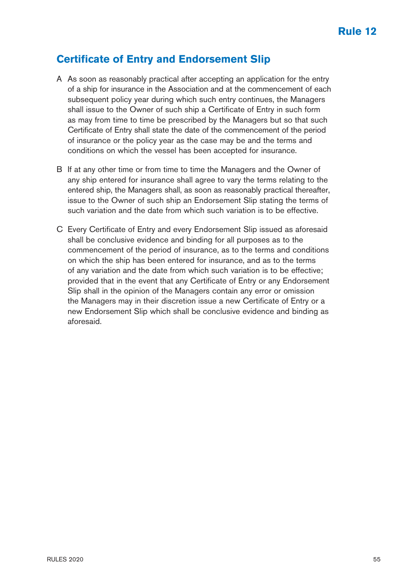### **Certificate of Entry and Endorsement Slip**

- A As soon as reasonably practical after accepting an application for the entry of a ship for insurance in the Association and at the commencement of each subsequent policy year during which such entry continues, the Managers shall issue to the Owner of such ship a Certificate of Entry in such form as may from time to time be prescribed by the Managers but so that such Certificate of Entry shall state the date of the commencement of the period of insurance or the policy year as the case may be and the terms and conditions on which the vessel has been accepted for insurance.
- B If at any other time or from time to time the Managers and the Owner of any ship entered for insurance shall agree to vary the terms relating to the entered ship, the Managers shall, as soon as reasonably practical thereafter, issue to the Owner of such ship an Endorsement Slip stating the terms of such variation and the date from which such variation is to be effective.
- C Every Certificate of Entry and every Endorsement Slip issued as aforesaid shall be conclusive evidence and binding for all purposes as to the commencement of the period of insurance, as to the terms and conditions on which the ship has been entered for insurance, and as to the terms of any variation and the date from which such variation is to be effective; provided that in the event that any Certificate of Entry or any Endorsement Slip shall in the opinion of the Managers contain any error or omission the Managers may in their discretion issue a new Certificate of Entry or a new Endorsement Slip which shall be conclusive evidence and binding as aforesaid.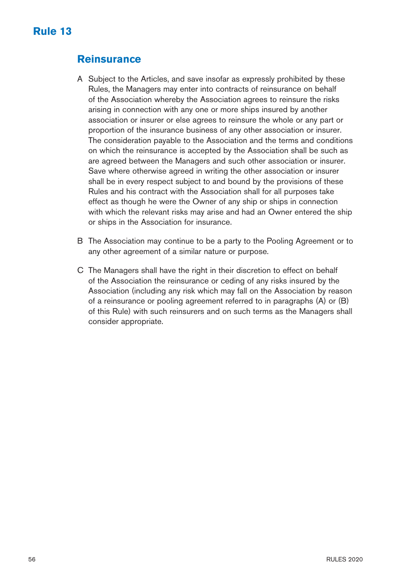# **Rule 13**

#### **Reinsurance**

- A Subject to the Articles, and save insofar as expressly prohibited by these Rules, the Managers may enter into contracts of reinsurance on behalf of the Association whereby the Association agrees to reinsure the risks arising in connection with any one or more ships insured by another association or insurer or else agrees to reinsure the whole or any part or proportion of the insurance business of any other association or insurer. The consideration payable to the Association and the terms and conditions on which the reinsurance is accepted by the Association shall be such as are agreed between the Managers and such other association or insurer. Save where otherwise agreed in writing the other association or insurer shall be in every respect subject to and bound by the provisions of these Rules and his contract with the Association shall for all purposes take effect as though he were the Owner of any ship or ships in connection with which the relevant risks may arise and had an Owner entered the ship or ships in the Association for insurance.
- B The Association may continue to be a party to the Pooling Agreement or to any other agreement of a similar nature or purpose.
- C The Managers shall have the right in their discretion to effect on behalf of the Association the reinsurance or ceding of any risks insured by the Association (including any risk which may fall on the Association by reason of a reinsurance or pooling agreement referred to in paragraphs (A) or (B) of this Rule) with such reinsurers and on such terms as the Managers shall consider appropriate.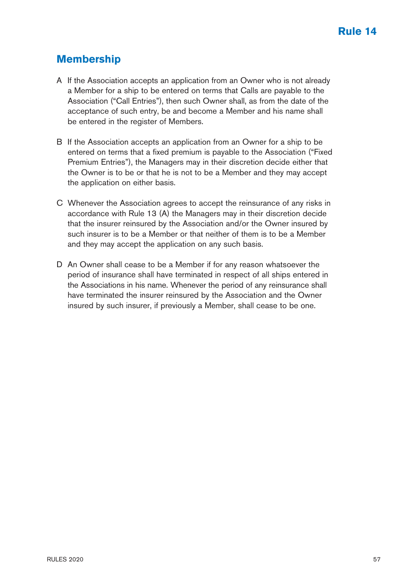## **Membership**

- A If the Association accepts an application from an Owner who is not already a Member for a ship to be entered on terms that Calls are payable to the Association ("Call Entries"), then such Owner shall, as from the date of the acceptance of such entry, be and become a Member and his name shall be entered in the register of Members.
- B If the Association accepts an application from an Owner for a ship to be entered on terms that a fixed premium is payable to the Association ("Fixed Premium Entries"), the Managers may in their discretion decide either that the Owner is to be or that he is not to be a Member and they may accept the application on either basis.
- C Whenever the Association agrees to accept the reinsurance of any risks in accordance with Rule 13 (A) the Managers may in their discretion decide that the insurer reinsured by the Association and/or the Owner insured by such insurer is to be a Member or that neither of them is to be a Member and they may accept the application on any such basis.
- D An Owner shall cease to be a Member if for any reason whatsoever the period of insurance shall have terminated in respect of all ships entered in the Associations in his name. Whenever the period of any reinsurance shall have terminated the insurer reinsured by the Association and the Owner insured by such insurer, if previously a Member, shall cease to be one.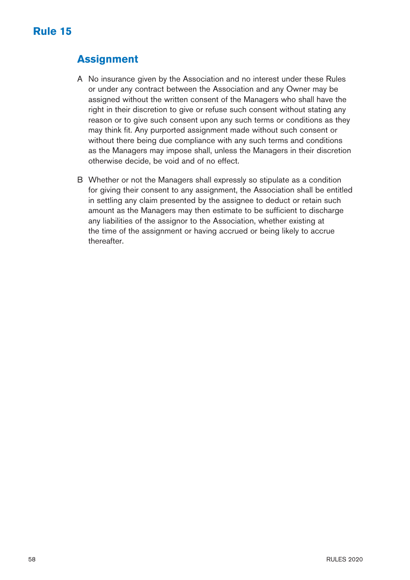# **Assignment**

- A No insurance given by the Association and no interest under these Rules or under any contract between the Association and any Owner may be assigned without the written consent of the Managers who shall have the right in their discretion to give or refuse such consent without stating any reason or to give such consent upon any such terms or conditions as they may think fit. Any purported assignment made without such consent or without there being due compliance with any such terms and conditions as the Managers may impose shall, unless the Managers in their discretion otherwise decide, be void and of no effect.
- B Whether or not the Managers shall expressly so stipulate as a condition for giving their consent to any assignment, the Association shall be entitled in settling any claim presented by the assignee to deduct or retain such amount as the Managers may then estimate to be sufficient to discharge any liabilities of the assignor to the Association, whether existing at the time of the assignment or having accrued or being likely to accrue thereafter.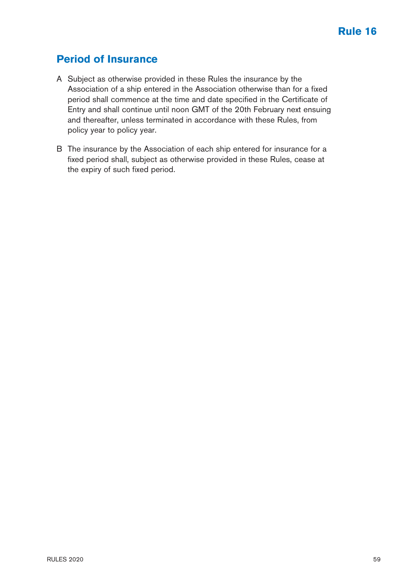## **Period of Insurance**

- A Subject as otherwise provided in these Rules the insurance by the Association of a ship entered in the Association otherwise than for a fixed period shall commence at the time and date specified in the Certificate of Entry and shall continue until noon GMT of the 20th February next ensuing and thereafter, unless terminated in accordance with these Rules, from policy year to policy year.
- B The insurance by the Association of each ship entered for insurance for a fixed period shall, subject as otherwise provided in these Rules, cease at the expiry of such fixed period.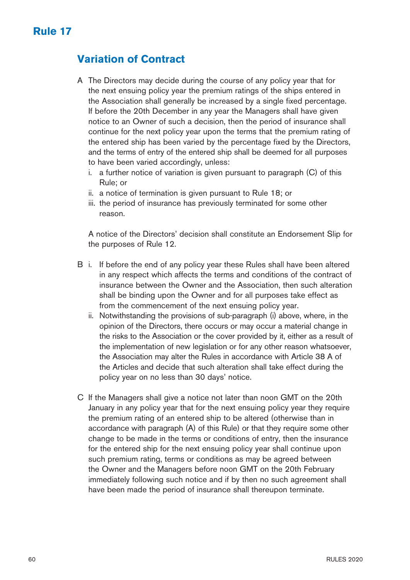# **Variation of Contract**

- A The Directors may decide during the course of any policy year that for the next ensuing policy year the premium ratings of the ships entered in the Association shall generally be increased by a single fixed percentage. If before the 20th December in any year the Managers shall have given notice to an Owner of such a decision, then the period of insurance shall continue for the next policy year upon the terms that the premium rating of the entered ship has been varied by the percentage fixed by the Directors, and the terms of entry of the entered ship shall be deemed for all purposes to have been varied accordingly, unless:
	- i. a further notice of variation is given pursuant to paragraph (C) of this Rule; or
	- ii. a notice of termination is given pursuant to Rule 18; or
	- iii. the period of insurance has previously terminated for some other reason.

 A notice of the Directors' decision shall constitute an Endorsement Slip for the purposes of Rule 12.

- B i. If before the end of any policy year these Rules shall have been altered in any respect which affects the terms and conditions of the contract of insurance between the Owner and the Association, then such alteration shall be binding upon the Owner and for all purposes take effect as from the commencement of the next ensuing policy year.
	- ii. Notwithstanding the provisions of sub-paragraph (i) above, where, in the opinion of the Directors, there occurs or may occur a material change in the risks to the Association or the cover provided by it, either as a result of the implementation of new legislation or for any other reason whatsoever, the Association may alter the Rules in accordance with Article 38 A of the Articles and decide that such alteration shall take effect during the policy year on no less than 30 days' notice.
- C If the Managers shall give a notice not later than noon GMT on the 20th January in any policy year that for the next ensuing policy year they require the premium rating of an entered ship to be altered (otherwise than in accordance with paragraph (A) of this Rule) or that they require some other change to be made in the terms or conditions of entry, then the insurance for the entered ship for the next ensuing policy year shall continue upon such premium rating, terms or conditions as may be agreed between the Owner and the Managers before noon GMT on the 20th February immediately following such notice and if by then no such agreement shall have been made the period of insurance shall thereupon terminate.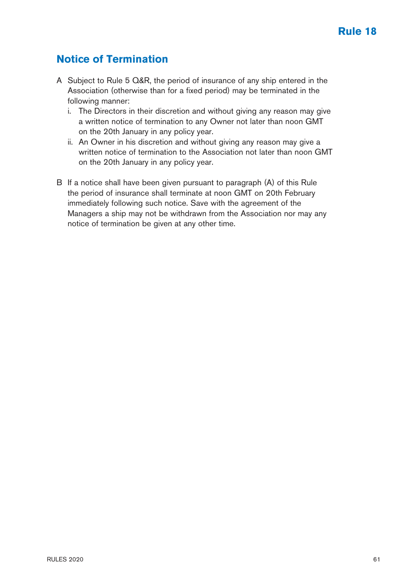## **Notice of Termination**

- A Subject to Rule 5 Q&R, the period of insurance of any ship entered in the Association (otherwise than for a fixed period) may be terminated in the following manner:
	- i. The Directors in their discretion and without giving any reason may give a written notice of termination to any Owner not later than noon GMT on the 20th January in any policy year.
	- ii. An Owner in his discretion and without giving any reason may give a written notice of termination to the Association not later than noon GMT on the 20th January in any policy year.
- B If a notice shall have been given pursuant to paragraph (A) of this Rule the period of insurance shall terminate at noon GMT on 20th February immediately following such notice. Save with the agreement of the Managers a ship may not be withdrawn from the Association nor may any notice of termination be given at any other time.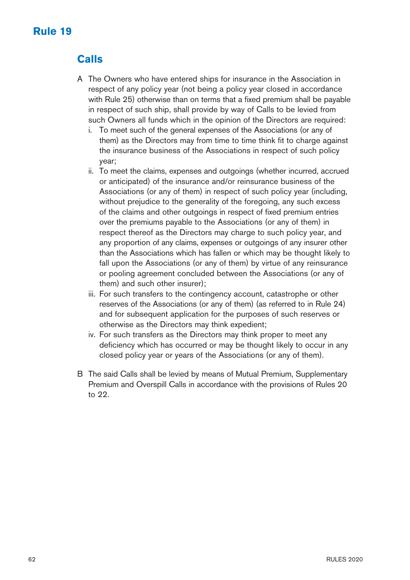# **Rule 19**

# **Calls**

- A The Owners who have entered ships for insurance in the Association in respect of any policy year (not being a policy year closed in accordance with Rule 25) otherwise than on terms that a fixed premium shall be payable in respect of such ship, shall provide by way of Calls to be levied from such Owners all funds which in the opinion of the Directors are required:
	- i. To meet such of the general expenses of the Associations (or any of them) as the Directors may from time to time think fit to charge against the insurance business of the Associations in respect of such policy year;
	- ii. To meet the claims, expenses and outgoings (whether incurred, accrued or anticipated) of the insurance and/or reinsurance business of the Associations (or any of them) in respect of such policy year (including, without prejudice to the generality of the foregoing, any such excess of the claims and other outgoings in respect of fixed premium entries over the premiums payable to the Associations (or any of them) in respect thereof as the Directors may charge to such policy year, and any proportion of any claims, expenses or outgoings of any insurer other than the Associations which has fallen or which may be thought likely to fall upon the Associations (or any of them) by virtue of any reinsurance or pooling agreement concluded between the Associations (or any of them) and such other insurer);
	- iii. For such transfers to the contingency account, catastrophe or other reserves of the Associations (or any of them) (as referred to in Rule 24) and for subsequent application for the purposes of such reserves or otherwise as the Directors may think expedient;
	- iv. For such transfers as the Directors may think proper to meet any deficiency which has occurred or may be thought likely to occur in any closed policy year or years of the Associations (or any of them).
- B The said Calls shall be levied by means of Mutual Premium, Supplementary Premium and Overspill Calls in accordance with the provisions of Rules 20 to 22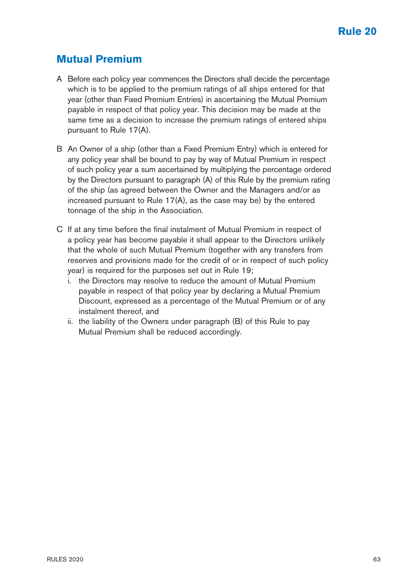### **Mutual Premium**

- A Before each policy year commences the Directors shall decide the percentage which is to be applied to the premium ratings of all ships entered for that year (other than Fixed Premium Entries) in ascertaining the Mutual Premium payable in respect of that policy year. This decision may be made at the same time as a decision to increase the premium ratings of entered ships pursuant to Rule 17(A).
- B An Owner of a ship (other than a Fixed Premium Entry) which is entered for any policy year shall be bound to pay by way of Mutual Premium in respect of such policy year a sum ascertained by multiplying the percentage ordered by the Directors pursuant to paragraph (A) of this Rule by the premium rating of the ship (as agreed between the Owner and the Managers and/or as increased pursuant to Rule 17(A), as the case may be) by the entered tonnage of the ship in the Association.
- C If at any time before the final instalment of Mutual Premium in respect of a policy year has become payable it shall appear to the Directors unlikely that the whole of such Mutual Premium (together with any transfers from reserves and provisions made for the credit of or in respect of such policy year) is required for the purposes set out in Rule 19;
	- i. the Directors may resolve to reduce the amount of Mutual Premium payable in respect of that policy year by declaring a Mutual Premium Discount, expressed as a percentage of the Mutual Premium or of any instalment thereof, and
	- ii. the liability of the Owners under paragraph (B) of this Rule to pay Mutual Premium shall be reduced accordingly.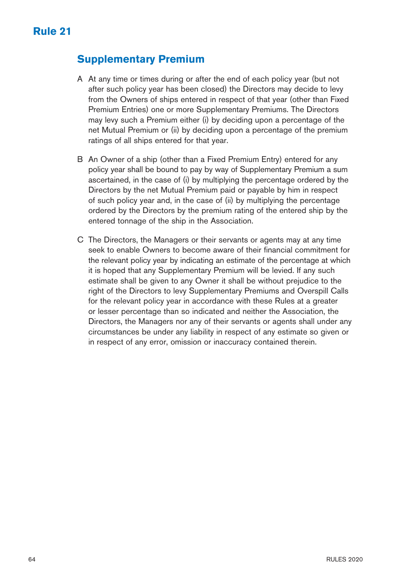### **Supplementary Premium**

- A At any time or times during or after the end of each policy year (but not after such policy year has been closed) the Directors may decide to levy from the Owners of ships entered in respect of that year (other than Fixed Premium Entries) one or more Supplementary Premiums. The Directors may levy such a Premium either (i) by deciding upon a percentage of the net Mutual Premium or (ii) by deciding upon a percentage of the premium ratings of all ships entered for that year.
- B An Owner of a ship (other than a Fixed Premium Entry) entered for any policy year shall be bound to pay by way of Supplementary Premium a sum ascertained, in the case of (i) by multiplying the percentage ordered by the Directors by the net Mutual Premium paid or payable by him in respect of such policy year and, in the case of (ii) by multiplying the percentage ordered by the Directors by the premium rating of the entered ship by the entered tonnage of the ship in the Association.
- C The Directors, the Managers or their servants or agents may at any time seek to enable Owners to become aware of their financial commitment for the relevant policy year by indicating an estimate of the percentage at which it is hoped that any Supplementary Premium will be levied. If any such estimate shall be given to any Owner it shall be without prejudice to the right of the Directors to levy Supplementary Premiums and Overspill Calls for the relevant policy year in accordance with these Rules at a greater or lesser percentage than so indicated and neither the Association, the Directors, the Managers nor any of their servants or agents shall under any circumstances be under any liability in respect of any estimate so given or in respect of any error, omission or inaccuracy contained therein.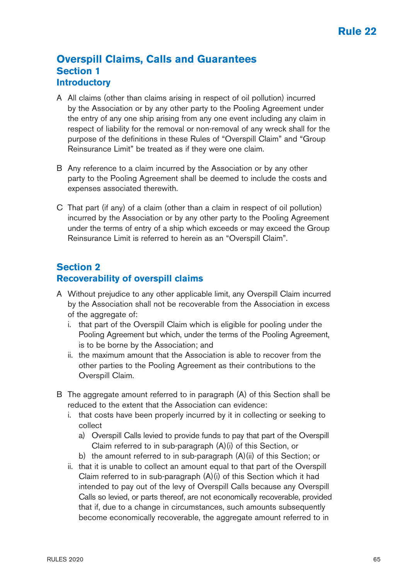#### **Overspill Claims, Calls and Guarantees Section 1 Introductory**

- A All claims (other than claims arising in respect of oil pollution) incurred by the Association or by any other party to the Pooling Agreement under the entry of any one ship arising from any one event including any claim in respect of liability for the removal or non-removal of any wreck shall for the purpose of the definitions in these Rules of "Overspill Claim" and "Group Reinsurance Limit" be treated as if they were one claim.
- B Any reference to a claim incurred by the Association or by any other party to the Pooling Agreement shall be deemed to include the costs and expenses associated therewith.
- C That part (if any) of a claim (other than a claim in respect of oil pollution) incurred by the Association or by any other party to the Pooling Agreement under the terms of entry of a ship which exceeds or may exceed the Group Reinsurance Limit is referred to herein as an "Overspill Claim".

#### **Section 2 Recoverability of overspill claims**

- A Without prejudice to any other applicable limit, any Overspill Claim incurred by the Association shall not be recoverable from the Association in excess of the aggregate of:
	- i. that part of the Overspill Claim which is eligible for pooling under the Pooling Agreement but which, under the terms of the Pooling Agreement, is to be borne by the Association; and
	- ii. the maximum amount that the Association is able to recover from the other parties to the Pooling Agreement as their contributions to the Overspill Claim.
- B The aggregate amount referred to in paragraph (A) of this Section shall be reduced to the extent that the Association can evidence:
	- i. that costs have been properly incurred by it in collecting or seeking to collect
		- a) Overspill Calls levied to provide funds to pay that part of the Overspill Claim referred to in sub-paragraph (A)(i) of this Section, or
		- b) the amount referred to in sub-paragraph  $(A)(ii)$  of this Section; or
	- ii. that it is unable to collect an amount equal to that part of the Overspill Claim referred to in sub-paragraph (A)(i) of this Section which it had intended to pay out of the levy of Overspill Calls because any Overspill Calls so levied, or parts thereof, are not economically recoverable, provided that if, due to a change in circumstances, such amounts subsequently become economically recoverable, the aggregate amount referred to in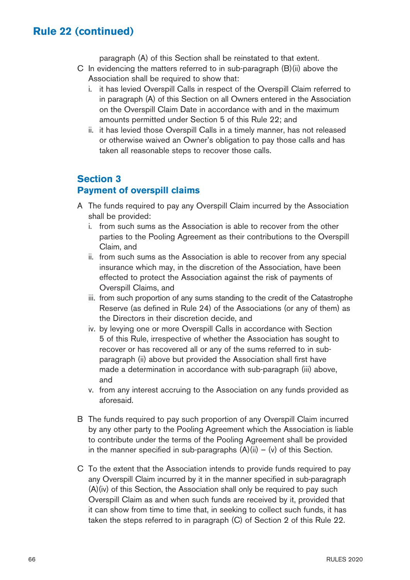paragraph (A) of this Section shall be reinstated to that extent.

- C In evidencing the matters referred to in sub-paragraph (B)(ii) above the Association shall be required to show that:
	- i. it has levied Overspill Calls in respect of the Overspill Claim referred to in paragraph (A) of this Section on all Owners entered in the Association on the Overspill Claim Date in accordance with and in the maximum amounts permitted under Section 5 of this Rule 22; and
	- ii. it has levied those Overspill Calls in a timely manner, has not released or otherwise waived an Owner's obligation to pay those calls and has taken all reasonable steps to recover those calls.

#### **Section 3**

#### **Payment of overspill claims**

- A The funds required to pay any Overspill Claim incurred by the Association shall be provided:
	- i. from such sums as the Association is able to recover from the other parties to the Pooling Agreement as their contributions to the Overspill Claim, and
	- ii. from such sums as the Association is able to recover from any special insurance which may, in the discretion of the Association, have been effected to protect the Association against the risk of payments of Overspill Claims, and
	- iii. from such proportion of any sums standing to the credit of the Catastrophe Reserve (as defined in Rule 24) of the Associations (or any of them) as the Directors in their discretion decide, and
	- iv. by levying one or more Overspill Calls in accordance with Section 5 of this Rule, irrespective of whether the Association has sought to recover or has recovered all or any of the sums referred to in subparagraph (ii) above but provided the Association shall first have made a determination in accordance with sub-paragraph (iii) above, and
	- v. from any interest accruing to the Association on any funds provided as aforesaid.
- B The funds required to pay such proportion of any Overspill Claim incurred by any other party to the Pooling Agreement which the Association is liable to contribute under the terms of the Pooling Agreement shall be provided in the manner specified in sub-paragraphs  $(A)(ii) - (v)$  of this Section.
- C To the extent that the Association intends to provide funds required to pay any Overspill Claim incurred by it in the manner specified in sub-paragraph (A)(iv) of this Section, the Association shall only be required to pay such Overspill Claim as and when such funds are received by it, provided that it can show from time to time that, in seeking to collect such funds, it has taken the steps referred to in paragraph (C) of Section 2 of this Rule 22.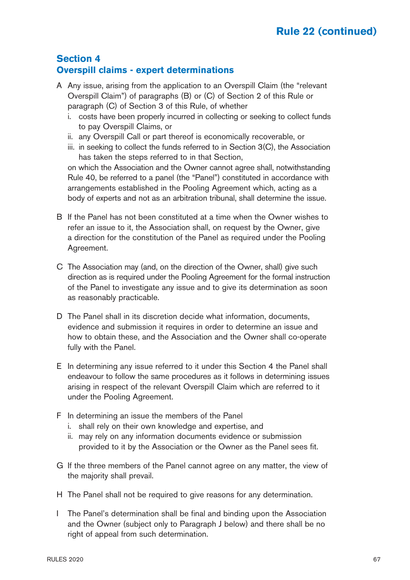#### **Section 4 Overspill claims - expert determinations**

- A Any issue, arising from the application to an Overspill Claim (the "relevant Overspill Claim") of paragraphs (B) or (C) of Section 2 of this Rule or paragraph (C) of Section 3 of this Rule, of whether
	- i. costs have been properly incurred in collecting or seeking to collect funds to pay Overspill Claims, or
	- ii. any Overspill Call or part thereof is economically recoverable, or
	- iii. in seeking to collect the funds referred to in Section 3(C), the Association has taken the steps referred to in that Section,

 on which the Association and the Owner cannot agree shall, notwithstanding Rule 40, be referred to a panel (the "Panel") constituted in accordance with arrangements established in the Pooling Agreement which, acting as a body of experts and not as an arbitration tribunal, shall determine the issue.

- B If the Panel has not been constituted at a time when the Owner wishes to refer an issue to it, the Association shall, on request by the Owner, give a direction for the constitution of the Panel as required under the Pooling Agreement.
- C The Association may (and, on the direction of the Owner, shall) give such direction as is required under the Pooling Agreement for the formal instruction of the Panel to investigate any issue and to give its determination as soon as reasonably practicable.
- D The Panel shall in its discretion decide what information, documents, evidence and submission it requires in order to determine an issue and how to obtain these, and the Association and the Owner shall co-operate fully with the Panel.
- E In determining any issue referred to it under this Section 4 the Panel shall endeavour to follow the same procedures as it follows in determining issues arising in respect of the relevant Overspill Claim which are referred to it under the Pooling Agreement.
- F In determining an issue the members of the Panel
	- i. shall rely on their own knowledge and expertise, and
	- ii. may rely on any information documents evidence or submission provided to it by the Association or the Owner as the Panel sees fit.
- G If the three members of the Panel cannot agree on any matter, the view of the majority shall prevail.
- H The Panel shall not be required to give reasons for any determination.
- I The Panel's determination shall be final and binding upon the Association and the Owner (subject only to Paragraph J below) and there shall be no right of appeal from such determination.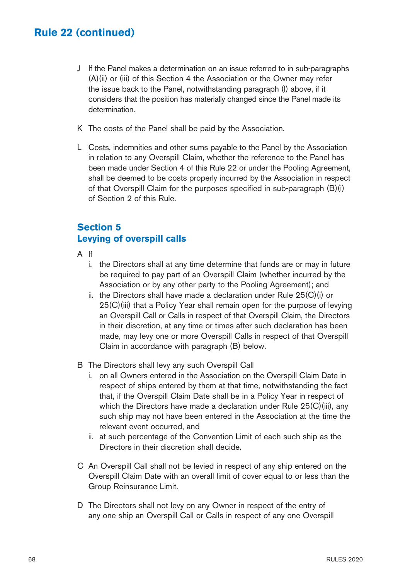- J If the Panel makes a determination on an issue referred to in sub-paragraphs (A)(ii) or (iii) of this Section 4 the Association or the Owner may refer the issue back to the Panel, notwithstanding paragraph (I) above, if it considers that the position has materially changed since the Panel made its determination.
- K The costs of the Panel shall be paid by the Association.
- L Costs, indemnities and other sums payable to the Panel by the Association in relation to any Overspill Claim, whether the reference to the Panel has been made under Section 4 of this Rule 22 or under the Pooling Agreement, shall be deemed to be costs properly incurred by the Association in respect of that Overspill Claim for the purposes specified in sub-paragraph (B)(i) of Section 2 of this Rule.

#### **Section 5 Levying of overspill calls**

- A If
	- i. the Directors shall at any time determine that funds are or may in future be required to pay part of an Overspill Claim (whether incurred by the Association or by any other party to the Pooling Agreement); and
	- ii. the Directors shall have made a declaration under Rule 25(C)(i) or 25(C)(iii) that a Policy Year shall remain open for the purpose of levying an Overspill Call or Calls in respect of that Overspill Claim, the Directors in their discretion, at any time or times after such declaration has been made, may levy one or more Overspill Calls in respect of that Overspill Claim in accordance with paragraph (B) below.
- B The Directors shall levy any such Overspill Call
	- i. on all Owners entered in the Association on the Overspill Claim Date in respect of ships entered by them at that time, notwithstanding the fact that, if the Overspill Claim Date shall be in a Policy Year in respect of which the Directors have made a declaration under Rule 25(C)(iii), any such ship may not have been entered in the Association at the time the relevant event occurred, and
	- ii. at such percentage of the Convention Limit of each such ship as the Directors in their discretion shall decide.
- C An Overspill Call shall not be levied in respect of any ship entered on the Overspill Claim Date with an overall limit of cover equal to or less than the Group Reinsurance Limit.
- D The Directors shall not levy on any Owner in respect of the entry of any one ship an Overspill Call or Calls in respect of any one Overspill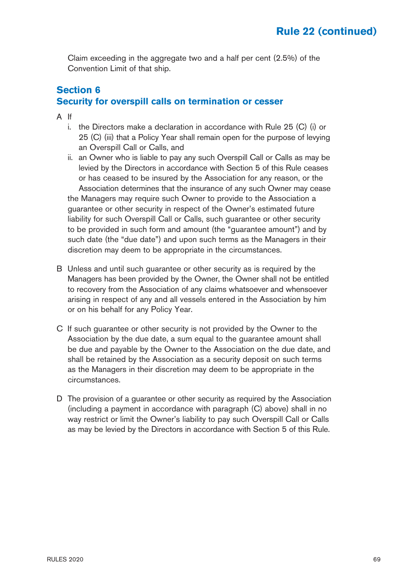Claim exceeding in the aggregate two and a half per cent (2.5%) of the Convention Limit of that ship.

#### **Section 6 Security for overspill calls on termination or cesser**

- A If
	- i. the Directors make a declaration in accordance with Rule 25 (C) (i) or 25 (C) (iii) that a Policy Year shall remain open for the purpose of levying an Overspill Call or Calls, and
	- ii. an Owner who is liable to pay any such Overspill Call or Calls as may be levied by the Directors in accordance with Section 5 of this Rule ceases or has ceased to be insured by the Association for any reason, or the Association determines that the insurance of any such Owner may cease the Managers may require such Owner to provide to the Association a guarantee or other security in respect of the Owner's estimated future liability for such Overspill Call or Calls, such guarantee or other security to be provided in such form and amount (the "guarantee amount") and by such date (the "due date") and upon such terms as the Managers in their discretion may deem to be appropriate in the circumstances.
- B Unless and until such guarantee or other security as is required by the Managers has been provided by the Owner, the Owner shall not be entitled to recovery from the Association of any claims whatsoever and whensoever arising in respect of any and all vessels entered in the Association by him or on his behalf for any Policy Year.
- C If such guarantee or other security is not provided by the Owner to the Association by the due date, a sum equal to the guarantee amount shall be due and payable by the Owner to the Association on the due date, and shall be retained by the Association as a security deposit on such terms as the Managers in their discretion may deem to be appropriate in the circumstances.
- D The provision of a guarantee or other security as required by the Association (including a payment in accordance with paragraph (C) above) shall in no way restrict or limit the Owner's liability to pay such Overspill Call or Calls as may be levied by the Directors in accordance with Section 5 of this Rule.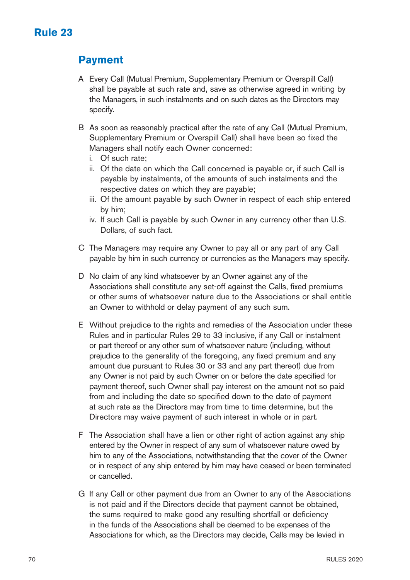## **Payment**

- A Every Call (Mutual Premium, Supplementary Premium or Overspill Call) shall be payable at such rate and, save as otherwise agreed in writing by the Managers, in such instalments and on such dates as the Directors may specify.
- B As soon as reasonably practical after the rate of any Call (Mutual Premium, Supplementary Premium or Overspill Call) shall have been so fixed the Managers shall notify each Owner concerned:
	- i. Of such rate;
	- ii. Of the date on which the Call concerned is payable or, if such Call is payable by instalments, of the amounts of such instalments and the respective dates on which they are payable;
	- iii. Of the amount payable by such Owner in respect of each ship entered by him;
	- iv. If such Call is payable by such Owner in any currency other than U.S. Dollars, of such fact.
- C The Managers may require any Owner to pay all or any part of any Call payable by him in such currency or currencies as the Managers may specify.
- D No claim of any kind whatsoever by an Owner against any of the Associations shall constitute any set-off against the Calls, fixed premiums or other sums of whatsoever nature due to the Associations or shall entitle an Owner to withhold or delay payment of any such sum.
- E Without prejudice to the rights and remedies of the Association under these Rules and in particular Rules 29 to 33 inclusive, if any Call or instalment or part thereof or any other sum of whatsoever nature (including, without prejudice to the generality of the foregoing, any fixed premium and any amount due pursuant to Rules 30 or 33 and any part thereof) due from any Owner is not paid by such Owner on or before the date specified for payment thereof, such Owner shall pay interest on the amount not so paid from and including the date so specified down to the date of payment at such rate as the Directors may from time to time determine, but the Directors may waive payment of such interest in whole or in part.
- F The Association shall have a lien or other right of action against any ship entered by the Owner in respect of any sum of whatsoever nature owed by him to any of the Associations, notwithstanding that the cover of the Owner or in respect of any ship entered by him may have ceased or been terminated or cancelled.
- G If any Call or other payment due from an Owner to any of the Associations is not paid and if the Directors decide that payment cannot be obtained, the sums required to make good any resulting shortfall or deficiency in the funds of the Associations shall be deemed to be expenses of the Associations for which, as the Directors may decide, Calls may be levied in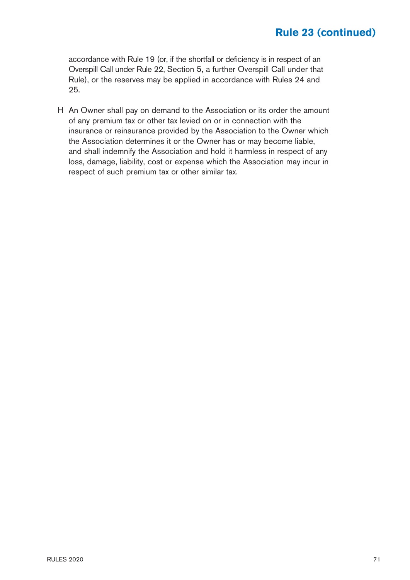accordance with Rule 19 (or, if the shortfall or deficiency is in respect of an Overspill Call under Rule 22, Section 5, a further Overspill Call under that Rule), or the reserves may be applied in accordance with Rules 24 and 25.

H An Owner shall pay on demand to the Association or its order the amount of any premium tax or other tax levied on or in connection with the insurance or reinsurance provided by the Association to the Owner which the Association determines it or the Owner has or may become liable, and shall indemnify the Association and hold it harmless in respect of any loss, damage, liability, cost or expense which the Association may incur in respect of such premium tax or other similar tax.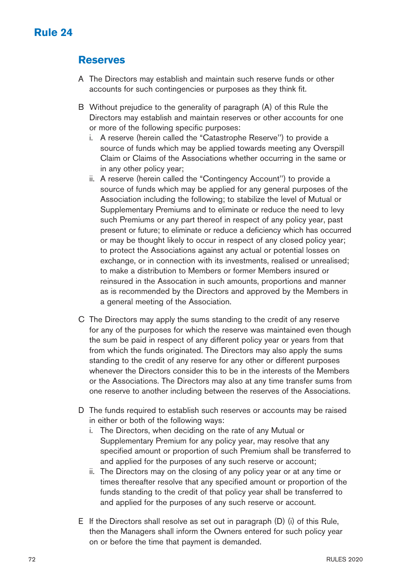#### **Reserves**

- A The Directors may establish and maintain such reserve funds or other accounts for such contingencies or purposes as they think fit.
- B Without prejudice to the generality of paragraph (A) of this Rule the Directors may establish and maintain reserves or other accounts for one or more of the following specific purposes:
	- i. A reserve (herein called the "Catastrophe Reserve'') to provide a source of funds which may be applied towards meeting any Overspill Claim or Claims of the Associations whether occurring in the same or in any other policy year;
	- ii. A reserve (herein called the "Contingency Account'') to provide a source of funds which may be applied for any general purposes of the Association including the following; to stabilize the level of Mutual or Supplementary Premiums and to eliminate or reduce the need to levy such Premiums or any part thereof in respect of any policy year, past present or future; to eliminate or reduce a deficiency which has occurred or may be thought likely to occur in respect of any closed policy year; to protect the Associations against any actual or potential losses on exchange, or in connection with its investments, realised or unrealised; to make a distribution to Members or former Members insured or reinsured in the Assocation in such amounts, proportions and manner as is recommended by the Directors and approved by the Members in a general meeting of the Association.
- C The Directors may apply the sums standing to the credit of any reserve for any of the purposes for which the reserve was maintained even though the sum be paid in respect of any different policy year or years from that from which the funds originated. The Directors may also apply the sums standing to the credit of any reserve for any other or different purposes whenever the Directors consider this to be in the interests of the Members or the Associations. The Directors may also at any time transfer sums from one reserve to another including between the reserves of the Associations.
- D The funds required to establish such reserves or accounts may be raised in either or both of the following ways:
	- i. The Directors, when deciding on the rate of any Mutual or Supplementary Premium for any policy year, may resolve that any specified amount or proportion of such Premium shall be transferred to and applied for the purposes of any such reserve or account;
	- ii. The Directors may on the closing of any policy year or at any time or times thereafter resolve that any specified amount or proportion of the funds standing to the credit of that policy year shall be transferred to and applied for the purposes of any such reserve or account.
- E If the Directors shall resolve as set out in paragraph (D) (i) of this Rule, then the Managers shall inform the Owners entered for such policy year on or before the time that payment is demanded.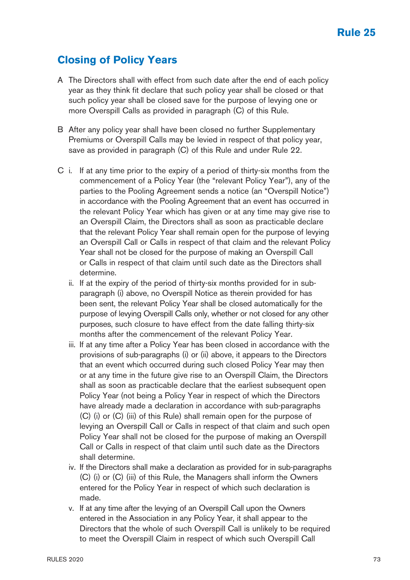### **Closing of Policy Years**

- A The Directors shall with effect from such date after the end of each policy year as they think fit declare that such policy year shall be closed or that such policy year shall be closed save for the purpose of levying one or more Overspill Calls as provided in paragraph (C) of this Rule.
- B After any policy year shall have been closed no further Supplementary Premiums or Overspill Calls may be levied in respect of that policy year, save as provided in paragraph (C) of this Rule and under Rule 22.
- C i. If at any time prior to the expiry of a period of thirty-six months from the commencement of a Policy Year (the "relevant Policy Year"), any of the parties to the Pooling Agreement sends a notice (an "Overspill Notice") in accordance with the Pooling Agreement that an event has occurred in the relevant Policy Year which has given or at any time may give rise to an Overspill Claim, the Directors shall as soon as practicable declare that the relevant Policy Year shall remain open for the purpose of levying an Overspill Call or Calls in respect of that claim and the relevant Policy Year shall not be closed for the purpose of making an Overspill Call or Calls in respect of that claim until such date as the Directors shall determine.
	- ii. If at the expiry of the period of thirty-six months provided for in subparagraph (i) above, no Overspill Notice as therein provided for has been sent, the relevant Policy Year shall be closed automatically for the purpose of levying Overspill Calls only, whether or not closed for any other purposes, such closure to have effect from the date falling thirty-six months after the commencement of the relevant Policy Year.
	- iii. If at any time after a Policy Year has been closed in accordance with the provisions of sub-paragraphs (i) or (ii) above, it appears to the Directors that an event which occurred during such closed Policy Year may then or at any time in the future give rise to an Overspill Claim, the Directors shall as soon as practicable declare that the earliest subsequent open Policy Year (not being a Policy Year in respect of which the Directors have already made a declaration in accordance with sub-paragraphs (C) (i) or (C) (iii) of this Rule) shall remain open for the purpose of levying an Overspill Call or Calls in respect of that claim and such open Policy Year shall not be closed for the purpose of making an Overspill Call or Calls in respect of that claim until such date as the Directors shall determine.
	- iv. If the Directors shall make a declaration as provided for in sub-paragraphs (C) (i) or (C) (iii) of this Rule, the Managers shall inform the Owners entered for the Policy Year in respect of which such declaration is made.
	- v. If at any time after the levying of an Overspill Call upon the Owners entered in the Association in any Policy Year, it shall appear to the Directors that the whole of such Overspill Call is unlikely to be required to meet the Overspill Claim in respect of which such Overspill Call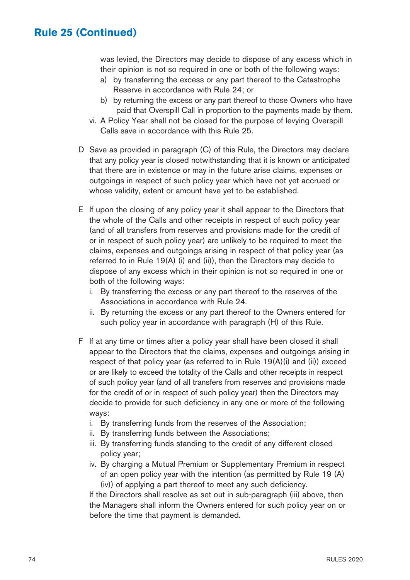#### **Rule 25 (Continued)**

was levied, the Directors may decide to dispose of any excess which in their opinion is not so required in one or both of the following ways:

- a) by transferring the excess or any part thereof to the Catastrophe Reserve in accordance with Rule 24; or
- b) by returning the excess or any part thereof to those Owners who have paid that Overspill Call in proportion to the payments made by them.
- vi. A Policy Year shall not be closed for the purpose of levying Overspill Calls save in accordance with this Rule 25.
- D Save as provided in paragraph (C) of this Rule, the Directors may declare that any policy year is closed notwithstanding that it is known or anticipated that there are in existence or may in the future arise claims, expenses or outgoings in respect of such policy year which have not yet accrued or whose validity, extent or amount have yet to be established.
- E If upon the closing of any policy year it shall appear to the Directors that the whole of the Calls and other receipts in respect of such policy year (and of all transfers from reserves and provisions made for the credit of or in respect of such policy year) are unlikely to be required to meet the claims, expenses and outgoings arising in respect of that policy year (as referred to in Rule 19(A) (i) and (ii)), then the Directors may decide to dispose of any excess which in their opinion is not so required in one or both of the following ways:
	- i. By transferring the excess or any part thereof to the reserves of the Associations in accordance with Rule 24.
	- ii. By returning the excess or any part thereof to the Owners entered for such policy year in accordance with paragraph (H) of this Rule.
- F If at any time or times after a policy year shall have been closed it shall appear to the Directors that the claims, expenses and outgoings arising in respect of that policy year (as referred to in Rule 19(A)(i) and (ii)) exceed or are likely to exceed the totality of the Calls and other receipts in respect of such policy year (and of all transfers from reserves and provisions made for the credit of or in respect of such policy year) then the Directors may decide to provide for such deficiency in any one or more of the following ways:
	- i. By transferring funds from the reserves of the Association;
	- ii. By transferring funds between the Associations;
	- iii. By transferring funds standing to the credit of any different closed policy year;
	- iv. By charging a Mutual Premium or Supplementary Premium in respect of an open policy year with the intention (as permitted by Rule 19 (A) (iv)) of applying a part thereof to meet any such deficiency.

 If the Directors shall resolve as set out in sub-paragraph (iii) above, then the Managers shall inform the Owners entered for such policy year on or before the time that payment is demanded.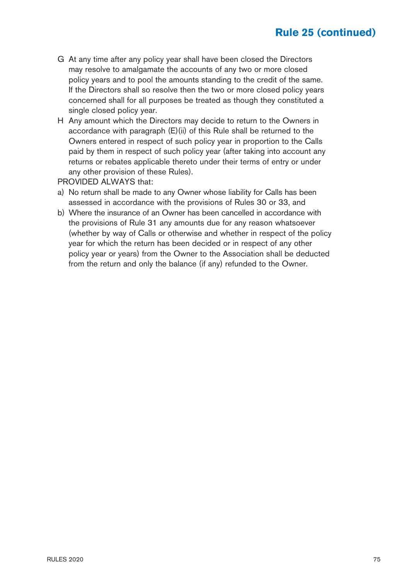## **Rule 25 (continued)**

- G At any time after any policy year shall have been closed the Directors may resolve to amalgamate the accounts of any two or more closed policy years and to pool the amounts standing to the credit of the same. If the Directors shall so resolve then the two or more closed policy years concerned shall for all purposes be treated as though they constituted a single closed policy year.
- H Any amount which the Directors may decide to return to the Owners in accordance with paragraph (E)(ii) of this Rule shall be returned to the Owners entered in respect of such policy year in proportion to the Calls paid by them in respect of such policy year (after taking into account any returns or rebates applicable thereto under their terms of entry or under any other provision of these Rules).

PROVIDED ALWAYS that:

- a) No return shall be made to any Owner whose liability for Calls has been assessed in accordance with the provisions of Rules 30 or 33, and
- b) Where the insurance of an Owner has been cancelled in accordance with the provisions of Rule 31 any amounts due for any reason whatsoever (whether by way of Calls or otherwise and whether in respect of the policy year for which the return has been decided or in respect of any other policy year or years) from the Owner to the Association shall be deducted from the return and only the balance (if any) refunded to the Owner.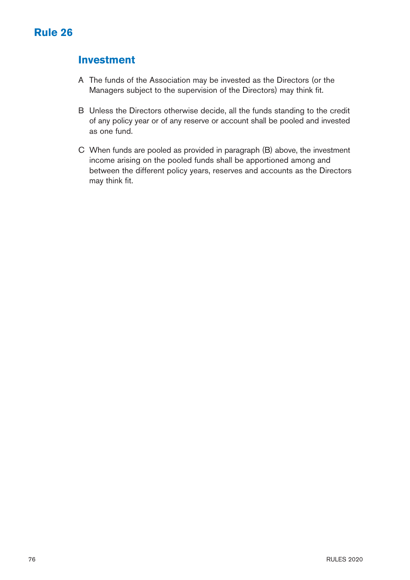### **Investment**

- A The funds of the Association may be invested as the Directors (or the Managers subject to the supervision of the Directors) may think fit.
- B Unless the Directors otherwise decide, all the funds standing to the credit of any policy year or of any reserve or account shall be pooled and invested as one fund.
- C When funds are pooled as provided in paragraph (B) above, the investment income arising on the pooled funds shall be apportioned among and between the different policy years, reserves and accounts as the Directors may think fit.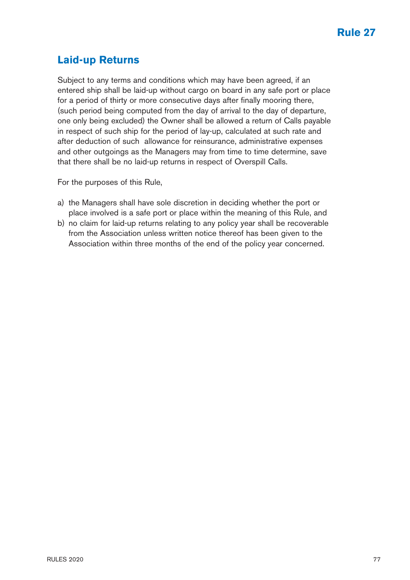### **Laid-up Returns**

Subject to any terms and conditions which may have been agreed, if an entered ship shall be laid-up without cargo on board in any safe port or place for a period of thirty or more consecutive days after finally mooring there, (such period being computed from the day of arrival to the day of departure, one only being excluded) the Owner shall be allowed a return of Calls payable in respect of such ship for the period of lay-up, calculated at such rate and after deduction of such allowance for reinsurance, administrative expenses and other outgoings as the Managers may from time to time determine, save that there shall be no laid-up returns in respect of Overspill Calls.

For the purposes of this Rule,

- a) the Managers shall have sole discretion in deciding whether the port or place involved is a safe port or place within the meaning of this Rule, and
- b) no claim for laid-up returns relating to any policy year shall be recoverable from the Association unless written notice thereof has been given to the Association within three months of the end of the policy year concerned.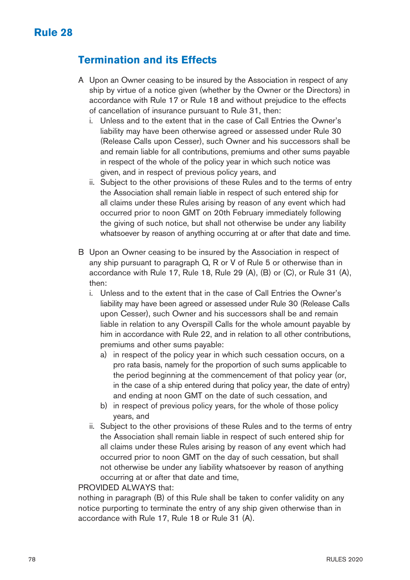### **Termination and its Effects**

- A Upon an Owner ceasing to be insured by the Association in respect of any ship by virtue of a notice given (whether by the Owner or the Directors) in accordance with Rule 17 or Rule 18 and without prejudice to the effects of cancellation of insurance pursuant to Rule 31, then:
	- i. Unless and to the extent that in the case of Call Entries the Owner's liability may have been otherwise agreed or assessed under Rule 30 (Release Calls upon Cesser), such Owner and his successors shall be and remain liable for all contributions, premiums and other sums payable in respect of the whole of the policy year in which such notice was given, and in respect of previous policy years, and
	- ii. Subject to the other provisions of these Rules and to the terms of entry the Association shall remain liable in respect of such entered ship for all claims under these Rules arising by reason of any event which had occurred prior to noon GMT on 20th February immediately following the giving of such notice, but shall not otherwise be under any liability whatsoever by reason of anything occurring at or after that date and time.
- B Upon an Owner ceasing to be insured by the Association in respect of any ship pursuant to paragraph Q, R or V of Rule 5 or otherwise than in accordance with Rule 17, Rule 18, Rule 29 (A), (B) or (C), or Rule 31 (A), then:
	- i. Unless and to the extent that in the case of Call Entries the Owner's liability may have been agreed or assessed under Rule 30 (Release Calls upon Cesser), such Owner and his successors shall be and remain liable in relation to any Overspill Calls for the whole amount payable by him in accordance with Rule 22, and in relation to all other contributions, premiums and other sums payable:
		- a) in respect of the policy year in which such cessation occurs, on a pro rata basis, namely for the proportion of such sums applicable to the period beginning at the commencement of that policy year (or, in the case of a ship entered during that policy year, the date of entry) and ending at noon GMT on the date of such cessation, and
		- b) in respect of previous policy years, for the whole of those policy years, and
	- ii. Subject to the other provisions of these Rules and to the terms of entry the Association shall remain liable in respect of such entered ship for all claims under these Rules arising by reason of any event which had occurred prior to noon GMT on the day of such cessation, but shall not otherwise be under any liability whatsoever by reason of anything occurring at or after that date and time,

#### PROVIDED AI WAYS that:

nothing in paragraph (B) of this Rule shall be taken to confer validity on any notice purporting to terminate the entry of any ship given otherwise than in accordance with Rule 17, Rule 18 or Rule 31 (A).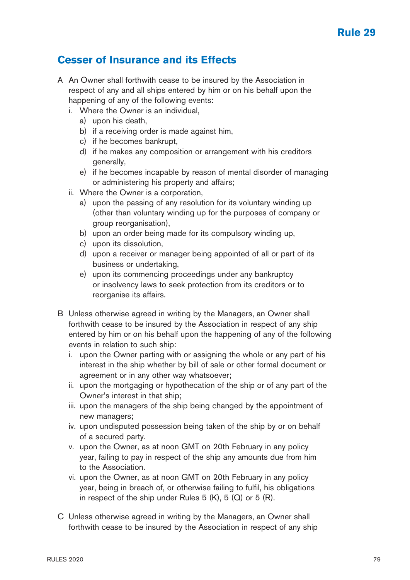#### **Rule 29**

#### **Cesser of Insurance and its Effects**

- A An Owner shall forthwith cease to be insured by the Association in respect of any and all ships entered by him or on his behalf upon the happening of any of the following events:
	- i. Where the Owner is an individual,
		- a) upon his death,
		- b) if a receiving order is made against him,
		- c) if he becomes bankrupt,
		- d) if he makes any composition or arrangement with his creditors generally,
		- e) if he becomes incapable by reason of mental disorder of managing or administering his property and affairs;
	- ii. Where the Owner is a corporation,
		- a) upon the passing of any resolution for its voluntary winding up (other than voluntary winding up for the purposes of company or group reorganisation),
		- b) upon an order being made for its compulsory winding up,
		- c) upon its dissolution,
		- d) upon a receiver or manager being appointed of all or part of its business or undertaking,
		- e) upon its commencing proceedings under any bankruptcy or insolvency laws to seek protection from its creditors or to reorganise its affairs.
- B Unless otherwise agreed in writing by the Managers, an Owner shall forthwith cease to be insured by the Association in respect of any ship entered by him or on his behalf upon the happening of any of the following events in relation to such ship:
	- i. upon the Owner parting with or assigning the whole or any part of his interest in the ship whether by bill of sale or other formal document or agreement or in any other way whatsoever;
	- ii. upon the mortgaging or hypothecation of the ship or of any part of the Owner's interest in that ship;
	- iii. upon the managers of the ship being changed by the appointment of new managers;
	- iv. upon undisputed possession being taken of the ship by or on behalf of a secured party.
	- v. upon the Owner, as at noon GMT on 20th February in any policy year, failing to pay in respect of the ship any amounts due from him to the Association.
	- vi. upon the Owner, as at noon GMT on 20th February in any policy year, being in breach of, or otherwise failing to fulfil, his obligations in respect of the ship under Rules  $5$  (K),  $5$  (Q) or  $5$  (R).
- C Unless otherwise agreed in writing by the Managers, an Owner shall forthwith cease to be insured by the Association in respect of any ship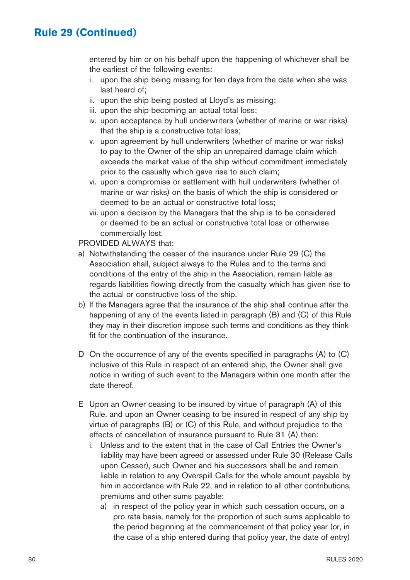### **Rule 29 (Continued)**

entered by him or on his behalf upon the happening of whichever shall be the earliest of the following events:

- i. upon the ship being missing for ten days from the date when she was last heard of;
- ii. upon the ship being posted at Lloyd's as missing;
- iii. upon the ship becoming an actual total loss;
- iv. upon acceptance by hull underwriters (whether of marine or war risks) that the ship is a constructive total loss;
- v. upon agreement by hull underwriters (whether of marine or war risks) to pay to the Owner of the ship an unrepaired damage claim which exceeds the market value of the ship without commitment immediately prior to the casualty which gave rise to such claim;
- vi. upon a compromise or settlement with hull underwriters (whether of marine or war risks) on the basis of which the ship is considered or deemed to be an actual or constructive total loss;
- vii. upon a decision by the Managers that the ship is to be considered or deemed to be an actual or constructive total loss or otherwise commercially lost.

PROVIDED ALWAYS that:

- a) Notwithstanding the cesser of the insurance under Rule 29 (C) the Association shall, subject always to the Rules and to the terms and conditions of the entry of the ship in the Association, remain liable as regards liabilities flowing directly from the casualty which has given rise to the actual or constructive loss of the ship.
- b) If the Managers agree that the insurance of the ship shall continue after the happening of any of the events listed in paragraph (B) and (C) of this Rule they may in their discretion impose such terms and conditions as they think fit for the continuation of the insurance.
- D On the occurrence of any of the events specified in paragraphs (A) to (C) inclusive of this Rule in respect of an entered ship, the Owner shall give notice in writing of such event to the Managers within one month after the date thereof.
- E Upon an Owner ceasing to be insured by virtue of paragraph (A) of this Rule, and upon an Owner ceasing to be insured in respect of any ship by virtue of paragraphs (B) or (C) of this Rule, and without prejudice to the effects of cancellation of insurance pursuant to Rule 31 (A) then:
	- i. Unless and to the extent that in the case of Call Entries the Owner's liability may have been agreed or assessed under Rule 30 (Release Calls upon Cesser), such Owner and his successors shall be and remain liable in relation to any Overspill Calls for the whole amount payable by him in accordance with Rule 22, and in relation to all other contributions, premiums and other sums payable:
		- a) in respect of the policy year in which such cessation occurs, on a pro rata basis, namely for the proportion of such sums applicable to the period beginning at the commencement of that policy year (or, in the case of a ship entered during that policy year, the date of entry)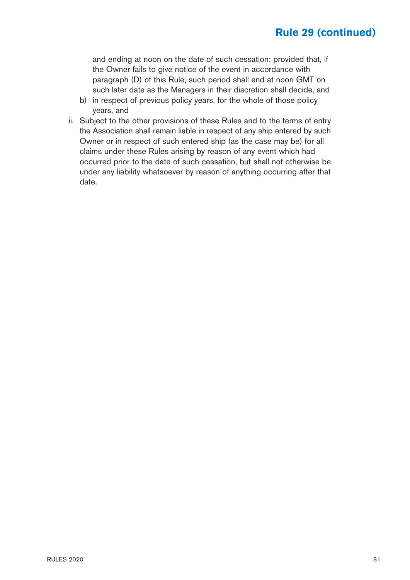### **Rule 29 (continued)**

 and ending at noon on the date of such cessation; provided that, if the Owner fails to give notice of the event in accordance with paragraph (D) of this Rule, such period shall end at noon GMT on such later date as the Managers in their discretion shall decide, and

- b) in respect of previous policy years, for the whole of those policy years, and
- ii. Subject to the other provisions of these Rules and to the terms of entry the Association shall remain liable in respect of any ship entered by such Owner or in respect of such entered ship (as the case may be) for all claims under these Rules arising by reason of any event which had occurred prior to the date of such cessation, but shall not otherwise be under any liability whatsoever by reason of anything occurring after that date.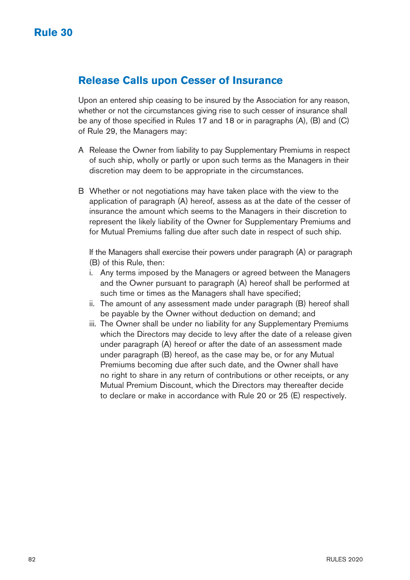#### **Release Calls upon Cesser of Insurance**

Upon an entered ship ceasing to be insured by the Association for any reason, whether or not the circumstances giving rise to such cesser of insurance shall be any of those specified in Rules 17 and 18 or in paragraphs (A), (B) and (C) of Rule 29, the Managers may:

- A Release the Owner from liability to pay Supplementary Premiums in respect of such ship, wholly or partly or upon such terms as the Managers in their discretion may deem to be appropriate in the circumstances.
- B Whether or not negotiations may have taken place with the view to the application of paragraph (A) hereof, assess as at the date of the cesser of insurance the amount which seems to the Managers in their discretion to represent the likely liability of the Owner for Supplementary Premiums and for Mutual Premiums falling due after such date in respect of such ship.

 If the Managers shall exercise their powers under paragraph (A) or paragraph (B) of this Rule, then:

- i. Any terms imposed by the Managers or agreed between the Managers and the Owner pursuant to paragraph (A) hereof shall be performed at such time or times as the Managers shall have specified;
- ii. The amount of any assessment made under paragraph (B) hereof shall be payable by the Owner without deduction on demand; and
- iii. The Owner shall be under no liability for any Supplementary Premiums which the Directors may decide to levy after the date of a release given under paragraph (A) hereof or after the date of an assessment made under paragraph (B) hereof, as the case may be, or for any Mutual Premiums becoming due after such date, and the Owner shall have no right to share in any return of contributions or other receipts, or any Mutual Premium Discount, which the Directors may thereafter decide to declare or make in accordance with Rule 20 or 25 (E) respectively.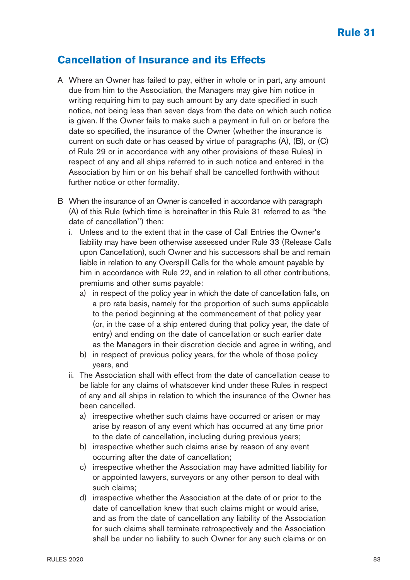#### **Cancellation of Insurance and its Effects**

- A Where an Owner has failed to pay, either in whole or in part, any amount due from him to the Association, the Managers may give him notice in writing requiring him to pay such amount by any date specified in such notice, not being less than seven days from the date on which such notice is given. If the Owner fails to make such a payment in full on or before the date so specified, the insurance of the Owner (whether the insurance is current on such date or has ceased by virtue of paragraphs (A), (B), or (C) of Rule 29 or in accordance with any other provisions of these Rules) in respect of any and all ships referred to in such notice and entered in the Association by him or on his behalf shall be cancelled forthwith without further notice or other formality.
- B When the insurance of an Owner is cancelled in accordance with paragraph (A) of this Rule (which time is hereinafter in this Rule 31 referred to as "the date of cancellation'') then:
	- i. Unless and to the extent that in the case of Call Entries the Owner's liability may have been otherwise assessed under Rule 33 (Release Calls upon Cancellation), such Owner and his successors shall be and remain liable in relation to any Overspill Calls for the whole amount payable by him in accordance with Rule 22, and in relation to all other contributions, premiums and other sums payable:
		- a) in respect of the policy year in which the date of cancellation falls, on a pro rata basis, namely for the proportion of such sums applicable to the period beginning at the commencement of that policy year (or, in the case of a ship entered during that policy year, the date of entry) and ending on the date of cancellation or such earlier date as the Managers in their discretion decide and agree in writing, and
		- b) in respect of previous policy years, for the whole of those policy years, and
	- ii. The Association shall with effect from the date of cancellation cease to be liable for any claims of whatsoever kind under these Rules in respect of any and all ships in relation to which the insurance of the Owner has been cancelled.
		- a) irrespective whether such claims have occurred or arisen or may arise by reason of any event which has occurred at any time prior to the date of cancellation, including during previous years;
		- b) irrespective whether such claims arise by reason of any event occurring after the date of cancellation;
		- c) irrespective whether the Association may have admitted liability for or appointed lawyers, surveyors or any other person to deal with such claims;
		- d) irrespective whether the Association at the date of or prior to the date of cancellation knew that such claims might or would arise, and as from the date of cancellation any liability of the Association for such claims shall terminate retrospectively and the Association shall be under no liability to such Owner for any such claims or on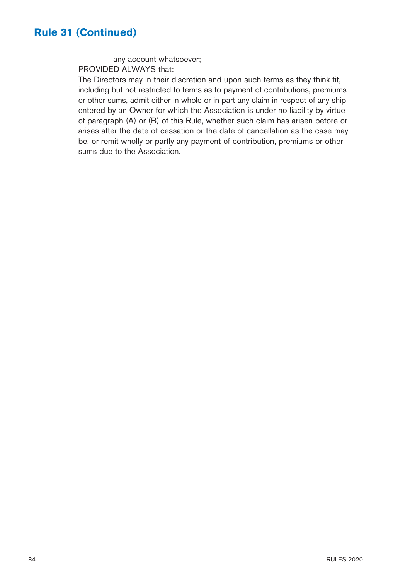#### **Rule 31 (Continued)**

 any account whatsoever; PROVIDED ALWAYS that:

The Directors may in their discretion and upon such terms as they think fit, including but not restricted to terms as to payment of contributions, premiums or other sums, admit either in whole or in part any claim in respect of any ship entered by an Owner for which the Association is under no liability by virtue of paragraph (A) or (B) of this Rule, whether such claim has arisen before or arises after the date of cessation or the date of cancellation as the case may be, or remit wholly or partly any payment of contribution, premiums or other sums due to the Association.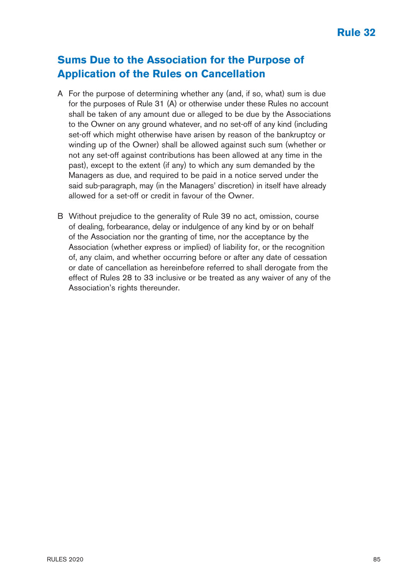## **Sums Due to the Association for the Purpose of Application of the Rules on Cancellation**

- A For the purpose of determining whether any (and, if so, what) sum is due for the purposes of Rule 31 (A) or otherwise under these Rules no account shall be taken of any amount due or alleged to be due by the Associations to the Owner on any ground whatever, and no set-off of any kind (including set-off which might otherwise have arisen by reason of the bankruptcy or winding up of the Owner) shall be allowed against such sum (whether or not any set-off against contributions has been allowed at any time in the past), except to the extent (if any) to which any sum demanded by the Managers as due, and required to be paid in a notice served under the said sub-paragraph, may (in the Managers' discretion) in itself have already allowed for a set-off or credit in favour of the Owner.
- B Without prejudice to the generality of Rule 39 no act, omission, course of dealing, forbearance, delay or indulgence of any kind by or on behalf of the Association nor the granting of time, nor the acceptance by the Association (whether express or implied) of liability for, or the recognition of, any claim, and whether occurring before or after any date of cessation or date of cancellation as hereinbefore referred to shall derogate from the effect of Rules 28 to 33 inclusive or be treated as any waiver of any of the Association's rights thereunder.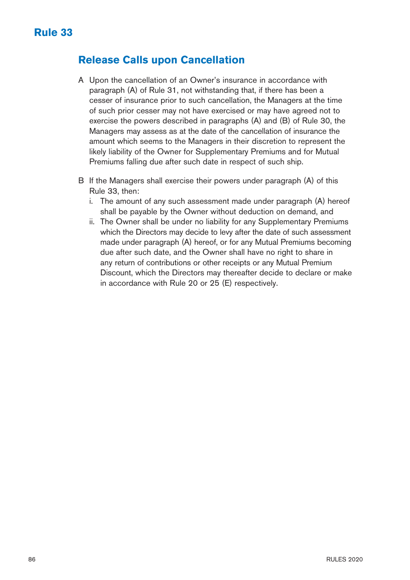### **Release Calls upon Cancellation**

- A Upon the cancellation of an Owner's insurance in accordance with paragraph (A) of Rule 31, not withstanding that, if there has been a cesser of insurance prior to such cancellation, the Managers at the time of such prior cesser may not have exercised or may have agreed not to exercise the powers described in paragraphs (A) and (B) of Rule 30, the Managers may assess as at the date of the cancellation of insurance the amount which seems to the Managers in their discretion to represent the likely liability of the Owner for Supplementary Premiums and for Mutual Premiums falling due after such date in respect of such ship.
- B If the Managers shall exercise their powers under paragraph (A) of this Rule 33, then:
	- i. The amount of any such assessment made under paragraph (A) hereof shall be payable by the Owner without deduction on demand, and
	- ii. The Owner shall be under no liability for any Supplementary Premiums which the Directors may decide to levy after the date of such assessment made under paragraph (A) hereof, or for any Mutual Premiums becoming due after such date, and the Owner shall have no right to share in any return of contributions or other receipts or any Mutual Premium Discount, which the Directors may thereafter decide to declare or make in accordance with Rule 20 or 25 (E) respectively.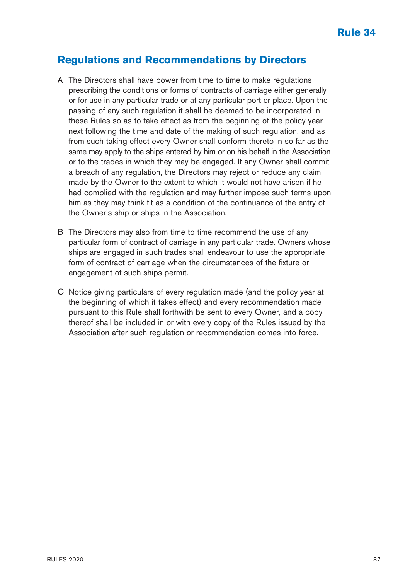#### **Regulations and Recommendations by Directors**

- A The Directors shall have power from time to time to make regulations prescribing the conditions or forms of contracts of carriage either generally or for use in any particular trade or at any particular port or place. Upon the passing of any such regulation it shall be deemed to be incorporated in these Rules so as to take effect as from the beginning of the policy year next following the time and date of the making of such regulation, and as from such taking effect every Owner shall conform thereto in so far as the same may apply to the ships entered by him or on his behalf in the Association or to the trades in which they may be engaged. If any Owner shall commit a breach of any regulation, the Directors may reject or reduce any claim made by the Owner to the extent to which it would not have arisen if he had complied with the regulation and may further impose such terms upon him as they may think fit as a condition of the continuance of the entry of the Owner's ship or ships in the Association.
- B The Directors may also from time to time recommend the use of any particular form of contract of carriage in any particular trade. Owners whose ships are engaged in such trades shall endeavour to use the appropriate form of contract of carriage when the circumstances of the fixture or engagement of such ships permit.
- C Notice giving particulars of every regulation made (and the policy year at the beginning of which it takes effect) and every recommendation made pursuant to this Rule shall forthwith be sent to every Owner, and a copy thereof shall be included in or with every copy of the Rules issued by the Association after such regulation or recommendation comes into force.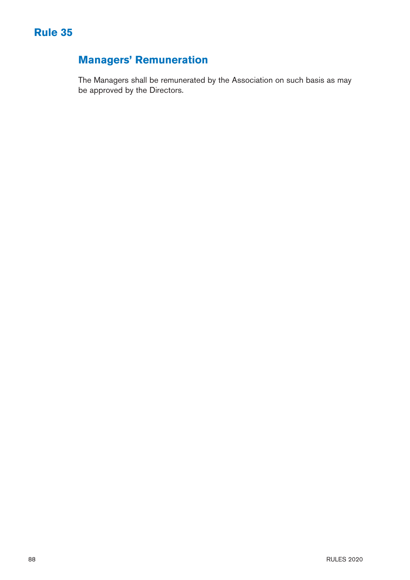

# **Managers' Remuneration**

The Managers shall be remunerated by the Association on such basis as may be approved by the Directors.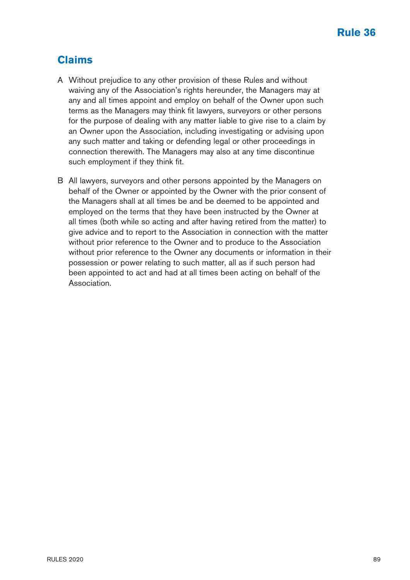### **Claims**

- A Without prejudice to any other provision of these Rules and without waiving any of the Association's rights hereunder, the Managers may at any and all times appoint and employ on behalf of the Owner upon such terms as the Managers may think fit lawyers, surveyors or other persons for the purpose of dealing with any matter liable to give rise to a claim by an Owner upon the Association, including investigating or advising upon any such matter and taking or defending legal or other proceedings in connection therewith. The Managers may also at any time discontinue such employment if they think fit.
- B All lawyers, surveyors and other persons appointed by the Managers on behalf of the Owner or appointed by the Owner with the prior consent of the Managers shall at all times be and be deemed to be appointed and employed on the terms that they have been instructed by the Owner at all times (both while so acting and after having retired from the matter) to give advice and to report to the Association in connection with the matter without prior reference to the Owner and to produce to the Association without prior reference to the Owner any documents or information in their possession or power relating to such matter, all as if such person had been appointed to act and had at all times been acting on behalf of the Association.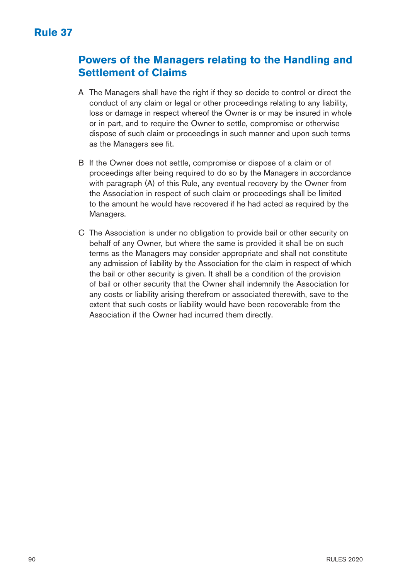## **Powers of the Managers relating to the Handling and Settlement of Claims**

- A The Managers shall have the right if they so decide to control or direct the conduct of any claim or legal or other proceedings relating to any liability, loss or damage in respect whereof the Owner is or may be insured in whole or in part, and to require the Owner to settle, compromise or otherwise dispose of such claim or proceedings in such manner and upon such terms as the Managers see fit.
- B If the Owner does not settle, compromise or dispose of a claim or of proceedings after being required to do so by the Managers in accordance with paragraph (A) of this Rule, any eventual recovery by the Owner from the Association in respect of such claim or proceedings shall be limited to the amount he would have recovered if he had acted as required by the Managers.
- C The Association is under no obligation to provide bail or other security on behalf of any Owner, but where the same is provided it shall be on such terms as the Managers may consider appropriate and shall not constitute any admission of liability by the Association for the claim in respect of which the bail or other security is given. It shall be a condition of the provision of bail or other security that the Owner shall indemnify the Association for any costs or liability arising therefrom or associated therewith, save to the extent that such costs or liability would have been recoverable from the Association if the Owner had incurred them directly.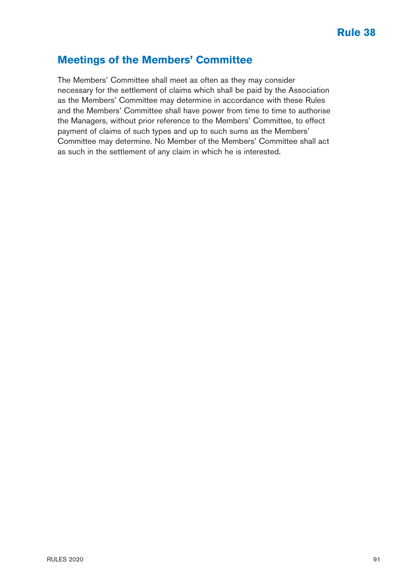#### **Meetings of the Members' Committee**

The Members' Committee shall meet as often as they may consider necessary for the settlement of claims which shall be paid by the Association as the Members' Committee may determine in accordance with these Rules and the Members' Committee shall have power from time to time to authorise the Managers, without prior reference to the Members' Committee, to effect payment of claims of such types and up to such sums as the Members' Committee may determine. No Member of the Members' Committee shall act as such in the settlement of any claim in which he is interested.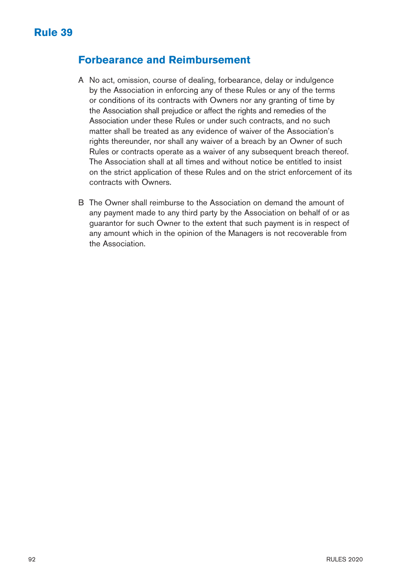#### **Forbearance and Reimbursement**

- A No act, omission, course of dealing, forbearance, delay or indulgence by the Association in enforcing any of these Rules or any of the terms or conditions of its contracts with Owners nor any granting of time by the Association shall prejudice or affect the rights and remedies of the Association under these Rules or under such contracts, and no such matter shall be treated as any evidence of waiver of the Association's rights thereunder, nor shall any waiver of a breach by an Owner of such Rules or contracts operate as a waiver of any subsequent breach thereof. The Association shall at all times and without notice be entitled to insist on the strict application of these Rules and on the strict enforcement of its contracts with Owners.
- B The Owner shall reimburse to the Association on demand the amount of any payment made to any third party by the Association on behalf of or as guarantor for such Owner to the extent that such payment is in respect of any amount which in the opinion of the Managers is not recoverable from the Association.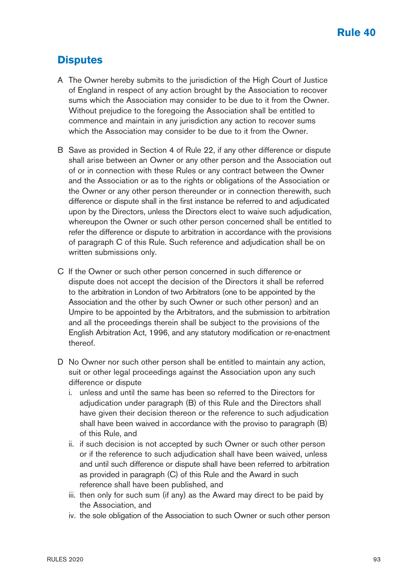### **Disputes**

- A The Owner hereby submits to the jurisdiction of the High Court of Justice of England in respect of any action brought by the Association to recover sums which the Association may consider to be due to it from the Owner. Without prejudice to the foregoing the Association shall be entitled to commence and maintain in any jurisdiction any action to recover sums which the Association may consider to be due to it from the Owner.
- B Save as provided in Section 4 of Rule 22, if any other difference or dispute shall arise between an Owner or any other person and the Association out of or in connection with these Rules or any contract between the Owner and the Association or as to the rights or obligations of the Association or the Owner or any other person thereunder or in connection therewith, such difference or dispute shall in the first instance be referred to and adjudicated upon by the Directors, unless the Directors elect to waive such adjudication, whereupon the Owner or such other person concerned shall be entitled to refer the difference or dispute to arbitration in accordance with the provisions of paragraph C of this Rule. Such reference and adjudication shall be on written submissions only.
- C If the Owner or such other person concerned in such difference or dispute does not accept the decision of the Directors it shall be referred to the arbitration in London of two Arbitrators (one to be appointed by the Association and the other by such Owner or such other person) and an Umpire to be appointed by the Arbitrators, and the submission to arbitration and all the proceedings therein shall be subject to the provisions of the English Arbitration Act, 1996, and any statutory modification or re-enactment thereof.
- D No Owner nor such other person shall be entitled to maintain any action, suit or other legal proceedings against the Association upon any such difference or dispute
	- i. unless and until the same has been so referred to the Directors for adjudication under paragraph (B) of this Rule and the Directors shall have given their decision thereon or the reference to such adjudication shall have been waived in accordance with the proviso to paragraph (B) of this Rule, and
	- ii. if such decision is not accepted by such Owner or such other person or if the reference to such adjudication shall have been waived, unless and until such difference or dispute shall have been referred to arbitration as provided in paragraph (C) of this Rule and the Award in such reference shall have been published, and
	- iii. then only for such sum (if any) as the Award may direct to be paid by the Association, and
	- iv. the sole obligation of the Association to such Owner or such other person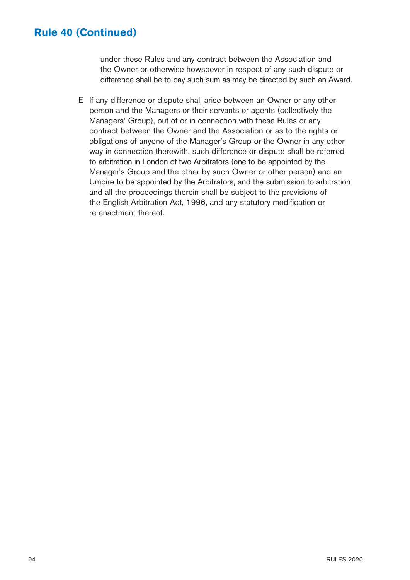#### **Rule 40 (Continued)**

under these Rules and any contract between the Association and the Owner or otherwise howsoever in respect of any such dispute or difference shall be to pay such sum as may be directed by such an Award.

E If any difference or dispute shall arise between an Owner or any other person and the Managers or their servants or agents (collectively the Managers' Group), out of or in connection with these Rules or any contract between the Owner and the Association or as to the rights or obligations of anyone of the Manager's Group or the Owner in any other way in connection therewith, such difference or dispute shall be referred to arbitration in London of two Arbitrators (one to be appointed by the Manager's Group and the other by such Owner or other person) and an Umpire to be appointed by the Arbitrators, and the submission to arbitration and all the proceedings therein shall be subject to the provisions of the English Arbitration Act, 1996, and any statutory modification or re-enactment thereof.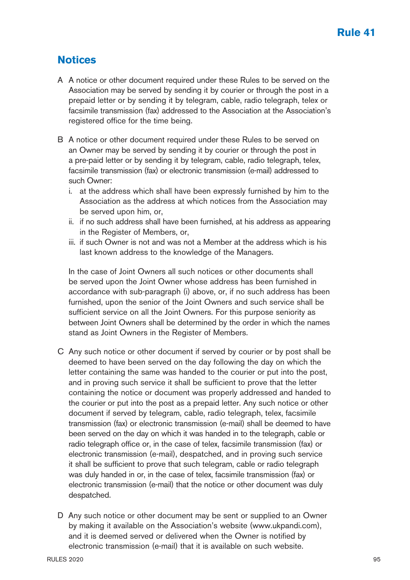### **Notices**

- A A notice or other document required under these Rules to be served on the Association may be served by sending it by courier or through the post in a prepaid letter or by sending it by telegram, cable, radio telegraph, telex or facsimile transmission (fax) addressed to the Association at the Association's registered office for the time being.
- B A notice or other document required under these Rules to be served on an Owner may be served by sending it by courier or through the post in a pre-paid letter or by sending it by telegram, cable, radio telegraph, telex, facsimile transmission (fax) or electronic transmission (e-mail) addressed to such Owner:
	- i. at the address which shall have been expressly furnished by him to the Association as the address at which notices from the Association may be served upon him, or,
	- ii. if no such address shall have been furnished, at his address as appearing in the Register of Members, or,
	- iii. if such Owner is not and was not a Member at the address which is his last known address to the knowledge of the Managers.

 In the case of Joint Owners all such notices or other documents shall be served upon the Joint Owner whose address has been furnished in accordance with sub-paragraph (i) above, or, if no such address has been furnished, upon the senior of the Joint Owners and such service shall be sufficient service on all the Joint Owners. For this purpose seniority as between Joint Owners shall be determined by the order in which the names stand as Joint Owners in the Register of Members.

- C Any such notice or other document if served by courier or by post shall be deemed to have been served on the day following the day on which the letter containing the same was handed to the courier or put into the post, and in proving such service it shall be sufficient to prove that the letter containing the notice or document was properly addressed and handed to the courier or put into the post as a prepaid letter. Any such notice or other document if served by telegram, cable, radio telegraph, telex, facsimile transmission (fax) or electronic transmission (e-mail) shall be deemed to have been served on the day on which it was handed in to the telegraph, cable or radio telegraph office or, in the case of telex, facsimile transmission (fax) or electronic transmission (e-mail), despatched, and in proving such service it shall be sufficient to prove that such telegram, cable or radio telegraph was duly handed in or, in the case of telex, facsimile transmission (fax) or electronic transmission (e-mail) that the notice or other document was duly despatched.
- D Any such notice or other document may be sent or supplied to an Owner by making it available on the Association's website (www.ukpandi.com), and it is deemed served or delivered when the Owner is notified by electronic transmission (e-mail) that it is available on such website.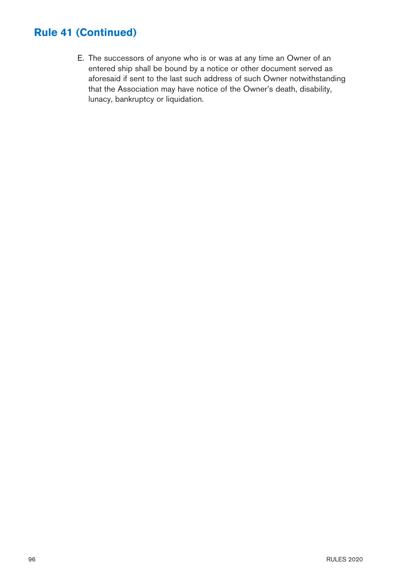### **Rule 41 (Continued)**

E. The successors of anyone who is or was at any time an Owner of an entered ship shall be bound by a notice or other document served as aforesaid if sent to the last such address of such Owner notwithstanding that the Association may have notice of the Owner's death, disability, lunacy, bankruptcy or liquidation.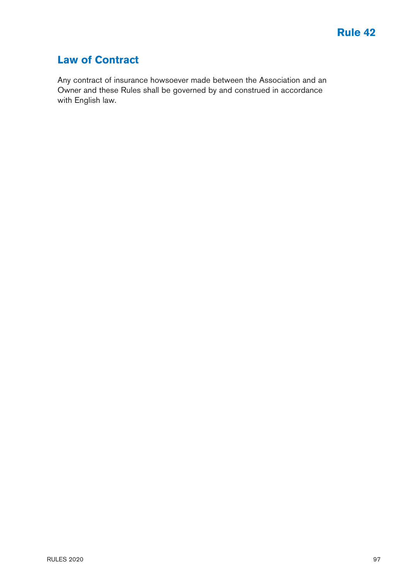### **Law of Contract**

Any contract of insurance howsoever made between the Association and an Owner and these Rules shall be governed by and construed in accordance with English law.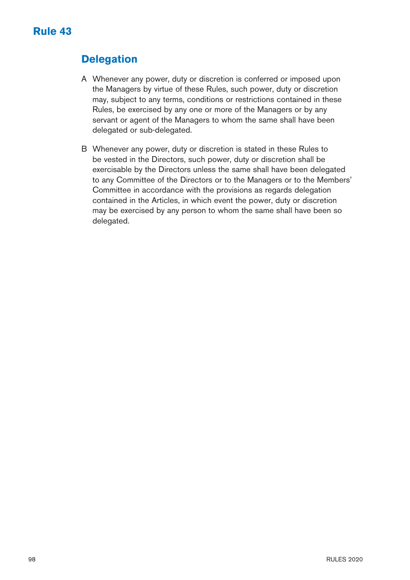## **Delegation**

- A Whenever any power, duty or discretion is conferred or imposed upon the Managers by virtue of these Rules, such power, duty or discretion may, subject to any terms, conditions or restrictions contained in these Rules, be exercised by any one or more of the Managers or by any servant or agent of the Managers to whom the same shall have been delegated or sub-delegated.
- B Whenever any power, duty or discretion is stated in these Rules to be vested in the Directors, such power, duty or discretion shall be exercisable by the Directors unless the same shall have been delegated to any Committee of the Directors or to the Managers or to the Members' Committee in accordance with the provisions as regards delegation contained in the Articles, in which event the power, duty or discretion may be exercised by any person to whom the same shall have been so delegated.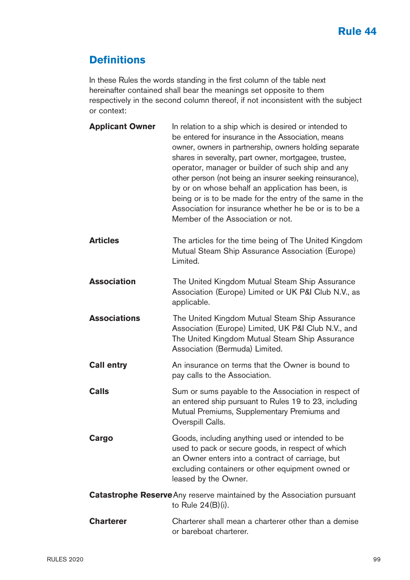### **Definitions**

In these Rules the words standing in the first column of the table next hereinafter contained shall bear the meanings set opposite to them respectively in the second column thereof, if not inconsistent with the subject or context:

| <b>Applicant Owner</b> | In relation to a ship which is desired or intended to<br>be entered for insurance in the Association, means<br>owner, owners in partnership, owners holding separate<br>shares in severalty, part owner, mortgagee, trustee,<br>operator, manager or builder of such ship and any<br>other person (not being an insurer seeking reinsurance),<br>by or on whose behalf an application has been, is<br>being or is to be made for the entry of the same in the<br>Association for insurance whether he be or is to be a<br>Member of the Association or not. |
|------------------------|-------------------------------------------------------------------------------------------------------------------------------------------------------------------------------------------------------------------------------------------------------------------------------------------------------------------------------------------------------------------------------------------------------------------------------------------------------------------------------------------------------------------------------------------------------------|
| <b>Articles</b>        | The articles for the time being of The United Kingdom<br>Mutual Steam Ship Assurance Association (Europe)<br>Limited.                                                                                                                                                                                                                                                                                                                                                                                                                                       |
| <b>Association</b>     | The United Kingdom Mutual Steam Ship Assurance<br>Association (Europe) Limited or UK P&I Club N.V., as<br>applicable.                                                                                                                                                                                                                                                                                                                                                                                                                                       |
| <b>Associations</b>    | The United Kingdom Mutual Steam Ship Assurance<br>Association (Europe) Limited, UK P&I Club N.V., and<br>The United Kingdom Mutual Steam Ship Assurance<br>Association (Bermuda) Limited.                                                                                                                                                                                                                                                                                                                                                                   |
| <b>Call entry</b>      | An insurance on terms that the Owner is bound to<br>pay calls to the Association.                                                                                                                                                                                                                                                                                                                                                                                                                                                                           |
| Calls                  | Sum or sums payable to the Association in respect of<br>an entered ship pursuant to Rules 19 to 23, including<br>Mutual Premiums, Supplementary Premiums and<br>Overspill Calls.                                                                                                                                                                                                                                                                                                                                                                            |
| Cargo                  | Goods, including anything used or intended to be<br>used to pack or secure goods, in respect of which<br>an Owner enters into a contract of carriage, but<br>excluding containers or other equipment owned or<br>leased by the Owner.                                                                                                                                                                                                                                                                                                                       |
|                        | <b>Catastrophe Reserve</b> Any reserve maintained by the Association pursuant<br>to Rule $24(B)(i)$ .                                                                                                                                                                                                                                                                                                                                                                                                                                                       |
| <b>Charterer</b>       | Charterer shall mean a charterer other than a demise                                                                                                                                                                                                                                                                                                                                                                                                                                                                                                        |

or bareboat charterer.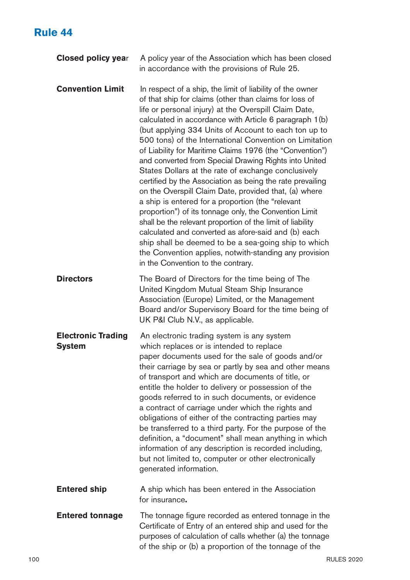# **Rule 44**

| <b>Closed policy year</b>                  | A policy year of the Association which has been closed<br>in accordance with the provisions of Rule 25.                                                                                                                                                                                                                                                                                                                                                                                                                                                                                                                                                                                                                                                                                                                                                                                                                                                                                                                                                 |
|--------------------------------------------|---------------------------------------------------------------------------------------------------------------------------------------------------------------------------------------------------------------------------------------------------------------------------------------------------------------------------------------------------------------------------------------------------------------------------------------------------------------------------------------------------------------------------------------------------------------------------------------------------------------------------------------------------------------------------------------------------------------------------------------------------------------------------------------------------------------------------------------------------------------------------------------------------------------------------------------------------------------------------------------------------------------------------------------------------------|
| <b>Convention Limit</b>                    | In respect of a ship, the limit of liability of the owner<br>of that ship for claims (other than claims for loss of<br>life or personal injury) at the Overspill Claim Date,<br>calculated in accordance with Article 6 paragraph 1(b)<br>(but applying 334 Units of Account to each ton up to<br>500 tons) of the International Convention on Limitation<br>of Liability for Maritime Claims 1976 (the "Convention")<br>and converted from Special Drawing Rights into United<br>States Dollars at the rate of exchange conclusively<br>certified by the Association as being the rate prevailing<br>on the Overspill Claim Date, provided that, (a) where<br>a ship is entered for a proportion (the "relevant<br>proportion") of its tonnage only, the Convention Limit<br>shall be the relevant proportion of the limit of liability<br>calculated and converted as afore-said and (b) each<br>ship shall be deemed to be a sea-going ship to which<br>the Convention applies, notwith-standing any provision<br>in the Convention to the contrary. |
| <b>Directors</b>                           | The Board of Directors for the time being of The<br>United Kingdom Mutual Steam Ship Insurance<br>Association (Europe) Limited, or the Management<br>Board and/or Supervisory Board for the time being of<br>UK P&I Club N.V., as applicable.                                                                                                                                                                                                                                                                                                                                                                                                                                                                                                                                                                                                                                                                                                                                                                                                           |
| <b>Electronic Trading</b><br><b>System</b> | An electronic trading system is any system<br>which replaces or is intended to replace<br>paper documents used for the sale of goods and/or<br>their carriage by sea or partly by sea and other means<br>of transport and which are documents of title, or<br>entitle the holder to delivery or possession of the<br>goods referred to in such documents, or evidence<br>a contract of carriage under which the rights and<br>obligations of either of the contracting parties may<br>be transferred to a third party. For the purpose of the<br>definition, a "document" shall mean anything in which<br>information of any description is recorded including,<br>but not limited to, computer or other electronically<br>generated information.                                                                                                                                                                                                                                                                                                       |
| <b>Entered ship</b>                        | A ship which has been entered in the Association<br>for insurance.                                                                                                                                                                                                                                                                                                                                                                                                                                                                                                                                                                                                                                                                                                                                                                                                                                                                                                                                                                                      |
| <b>Entered tonnage</b>                     | The tonnage figure recorded as entered tonnage in the<br>Certificate of Entry of an entered ship and used for the<br>purposes of calculation of calls whether (a) the tonnage<br>of the ship or (b) a proportion of the tonnage of the                                                                                                                                                                                                                                                                                                                                                                                                                                                                                                                                                                                                                                                                                                                                                                                                                  |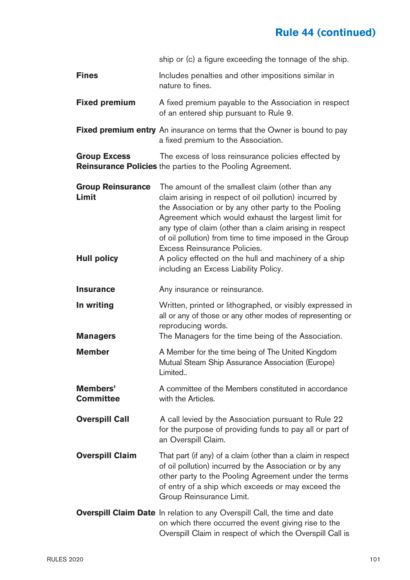# **Rule 44 (continued)**

|                                                         | ship or (c) a figure exceeding the tonnage of the ship.                                                                                                                                                                                                                                                                                                                                                                                                                             |
|---------------------------------------------------------|-------------------------------------------------------------------------------------------------------------------------------------------------------------------------------------------------------------------------------------------------------------------------------------------------------------------------------------------------------------------------------------------------------------------------------------------------------------------------------------|
| Fines                                                   | Includes penalties and other impositions similar in<br>nature to fines.                                                                                                                                                                                                                                                                                                                                                                                                             |
| <b>Fixed premium</b>                                    | A fixed premium payable to the Association in respect<br>of an entered ship pursuant to Rule 9.                                                                                                                                                                                                                                                                                                                                                                                     |
|                                                         | <b>Fixed premium entry</b> An insurance on terms that the Owner is bound to pay<br>a fixed premium to the Association.                                                                                                                                                                                                                                                                                                                                                              |
| <b>Group Excess</b>                                     | The excess of loss reinsurance policies effected by<br>Reinsurance Policies the parties to the Pooling Agreement.                                                                                                                                                                                                                                                                                                                                                                   |
| <b>Group Reinsurance</b><br>Limit<br><b>Hull policy</b> | The amount of the smallest claim (other than any<br>claim arising in respect of oil pollution) incurred by<br>the Association or by any other party to the Pooling<br>Agreement which would exhaust the largest limit for<br>any type of claim (other than a claim arising in respect<br>of oil pollution) from time to time imposed in the Group<br>Excess Reinsurance Policies.<br>A policy effected on the hull and machinery of a ship<br>including an Excess Liability Policy. |
| <b>Insurance</b>                                        | Any insurance or reinsurance.                                                                                                                                                                                                                                                                                                                                                                                                                                                       |
| In writing<br><b>Managers</b>                           | Written, printed or lithographed, or visibly expressed in<br>all or any of those or any other modes of representing or<br>reproducing words.<br>The Managers for the time being of the Association.                                                                                                                                                                                                                                                                                 |
| Member                                                  | A Member for the time being of The United Kingdom<br>Mutual Steam Ship Assurance Association (Europe)<br>Limited                                                                                                                                                                                                                                                                                                                                                                    |
| Members'<br>Committee                                   | A committee of the Members constituted in accordance<br>with the Articles.                                                                                                                                                                                                                                                                                                                                                                                                          |
| <b>Overspill Call</b>                                   | A call levied by the Association pursuant to Rule 22<br>for the purpose of providing funds to pay all or part of<br>an Overspill Claim.                                                                                                                                                                                                                                                                                                                                             |
| <b>Overspill Claim</b>                                  | That part (if any) of a claim (other than a claim in respect<br>of oil pollution) incurred by the Association or by any<br>other party to the Pooling Agreement under the terms<br>of entry of a ship which exceeds or may exceed the<br>Group Reinsurance Limit.                                                                                                                                                                                                                   |
|                                                         | Overspill Claim Date In relation to any Overspill Call, the time and date<br>on which there occurred the event giving rise to the<br>Overspill Claim in respect of which the Overspill Call is                                                                                                                                                                                                                                                                                      |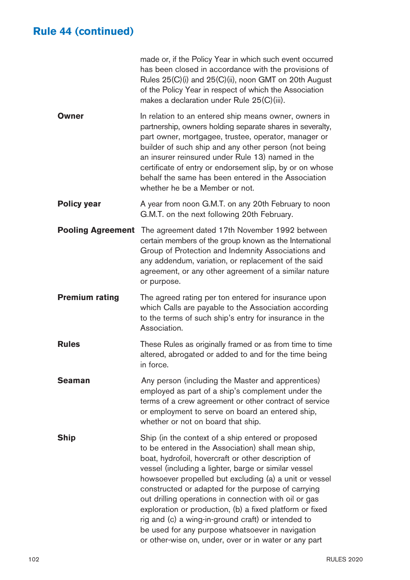# **Rule 44 (continued)**

|                          | made or, if the Policy Year in which such event occurred<br>has been closed in accordance with the provisions of<br>Rules 25(C)(i) and 25(C)(ii), noon GMT on 20th August<br>of the Policy Year in respect of which the Association<br>makes a declaration under Rule 25(C)(iii).                                                                                                                                                                                                                                                                                                                                               |
|--------------------------|---------------------------------------------------------------------------------------------------------------------------------------------------------------------------------------------------------------------------------------------------------------------------------------------------------------------------------------------------------------------------------------------------------------------------------------------------------------------------------------------------------------------------------------------------------------------------------------------------------------------------------|
| Owner                    | In relation to an entered ship means owner, owners in<br>partnership, owners holding separate shares in severalty,<br>part owner, mortgagee, trustee, operator, manager or<br>builder of such ship and any other person (not being<br>an insurer reinsured under Rule 13) named in the<br>certificate of entry or endorsement slip, by or on whose<br>behalf the same has been entered in the Association<br>whether he be a Member or not.                                                                                                                                                                                     |
| <b>Policy year</b>       | A year from noon G.M.T. on any 20th February to noon<br>G.M.T. on the next following 20th February.                                                                                                                                                                                                                                                                                                                                                                                                                                                                                                                             |
| <b>Pooling Agreement</b> | The agreement dated 17th November 1992 between<br>certain members of the group known as the International<br>Group of Protection and Indemnity Associations and<br>any addendum, variation, or replacement of the said<br>agreement, or any other agreement of a similar nature<br>or purpose.                                                                                                                                                                                                                                                                                                                                  |
| <b>Premium rating</b>    | The agreed rating per ton entered for insurance upon<br>which Calls are payable to the Association according<br>to the terms of such ship's entry for insurance in the<br>Association.                                                                                                                                                                                                                                                                                                                                                                                                                                          |
| Rules                    | These Rules as originally framed or as from time to time<br>altered, abrogated or added to and for the time being<br>in force.                                                                                                                                                                                                                                                                                                                                                                                                                                                                                                  |
| Seaman                   | Any person (including the Master and apprentices)<br>employed as part of a ship's complement under the<br>terms of a crew agreement or other contract of service<br>or employment to serve on board an entered ship,<br>whether or not on board that ship.                                                                                                                                                                                                                                                                                                                                                                      |
| Ship                     | Ship (in the context of a ship entered or proposed<br>to be entered in the Association) shall mean ship,<br>boat, hydrofoil, hovercraft or other description of<br>vessel (including a lighter, barge or similar vessel<br>howsoever propelled but excluding (a) a unit or vessel<br>constructed or adapted for the purpose of carrying<br>out drilling operations in connection with oil or gas<br>exploration or production, (b) a fixed platform or fixed<br>rig and (c) a wing-in-ground craft) or intended to<br>be used for any purpose whatsoever in navigation<br>or other-wise on, under, over or in water or any part |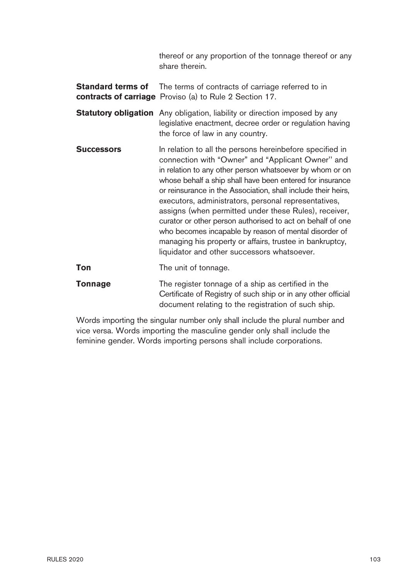thereof or any proportion of the tonnage thereof or any share therein.

**Standard terms of** The terms of contracts of carriage referred to in **contracts of carriage** Proviso (a) to Rule 2 Section 17.

- **Statutory obligation** Any obligation, liability or direction imposed by any legislative enactment, decree order or regulation having the force of law in any country.
- **Successors** In relation to all the persons hereinbefore specified in connection with "Owner" and "Applicant Owner'' and in relation to any other person whatsoever by whom or on whose behalf a ship shall have been entered for insurance or reinsurance in the Association, shall include their heirs, executors, administrators, personal representatives, assigns (when permitted under these Rules), receiver, curator or other person authorised to act on behalf of one who becomes incapable by reason of mental disorder of managing his property or affairs, trustee in bankruptcy, liquidator and other successors whatsoever.

**Ton** The unit of tonnage.

**Tonnage** The register tonnage of a ship as certified in the Certificate of Registry of such ship or in any other official document relating to the registration of such ship.

Words importing the singular number only shall include the plural number and vice versa. Words importing the masculine gender only shall include the feminine gender. Words importing persons shall include corporations.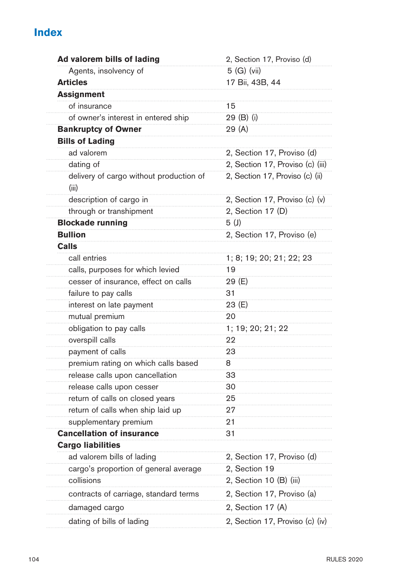# **Index**

| Ad valorem bills of lading                       | 2, Section 17, Proviso (d)       |
|--------------------------------------------------|----------------------------------|
| Agents, insolvency of                            | 5 (G) (vii)                      |
| <b>Articles</b>                                  | 17 Bii, 43B, 44                  |
| <b>Assignment</b>                                |                                  |
| of insurance                                     | 15                               |
| of owner's interest in entered ship              | 29 (B) (i)                       |
| <b>Bankruptcy of Owner</b>                       | 29 (A)                           |
| <b>Bills of Lading</b>                           |                                  |
| ad valorem                                       | 2, Section 17, Proviso (d)       |
| dating of                                        | 2, Section 17, Proviso (c) (iii) |
| delivery of cargo without production of<br>(iii) | 2, Section 17, Proviso (c) (ii)  |
| description of cargo in                          | 2, Section 17, Proviso (c) (v)   |
| through or transhipment                          | 2, Section 17 (D)                |
| <b>Blockade running</b>                          | 5(1)                             |
| <b>Bullion</b>                                   | 2, Section 17, Proviso (e)       |
| Calls                                            |                                  |
| call entries                                     | 1; 8; 19; 20; 21; 22; 23         |
| calls, purposes for which levied                 | 19                               |
| cesser of insurance, effect on calls             | 29 (E)                           |
| failure to pay calls                             | 31                               |
| interest on late payment                         | 23 (E)                           |
| mutual premium                                   | 20                               |
| obligation to pay calls                          | 1; 19; 20; 21; 22                |
| overspill calls                                  | 22                               |
| payment of calls                                 | 23                               |
| premium rating on which calls based              | 8                                |
| release calls upon cancellation                  | 33                               |
| release calls upon cesser                        | 30                               |
| return of calls on closed years                  | 25                               |
| return of calls when ship laid up                | 27                               |
| supplementary premium                            | 21                               |
| <b>Cancellation of insurance</b>                 | 31                               |
| <b>Cargo liabilities</b>                         |                                  |
| ad valorem bills of lading                       | 2, Section 17, Proviso (d)       |
| cargo's proportion of general average            | 2, Section 19                    |
| collisions                                       | 2, Section 10 (B) (iii)          |
| contracts of carriage, standard terms            | 2, Section 17, Proviso (a)       |
| damaged cargo                                    | 2, Section 17 (A)                |
| dating of bills of lading                        | 2, Section 17, Proviso (c) (iv)  |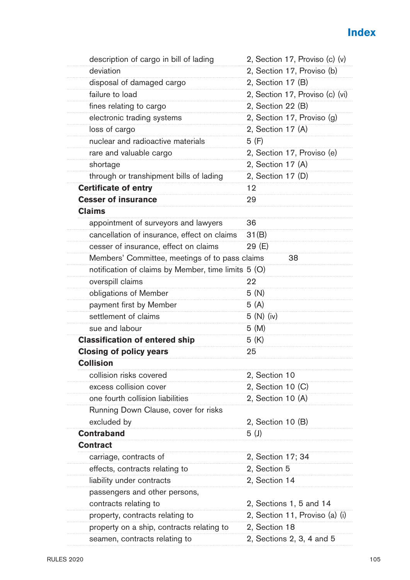# **Index**

| description of cargo in bill of lading              | 2, Section 17, Proviso (c) (v)  |
|-----------------------------------------------------|---------------------------------|
| deviation                                           | 2, Section 17, Proviso (b)      |
| disposal of damaged cargo                           | 2, Section 17 (B)               |
| failure to load                                     | 2, Section 17, Proviso (c) (vi) |
| fines relating to cargo                             | 2, Section 22 (B)               |
| electronic trading systems                          | 2, Section 17, Proviso (g)      |
| loss of cargo                                       | 2, Section 17 (A)               |
| nuclear and radioactive materials                   | 5 (F)                           |
| rare and valuable cargo                             | 2, Section 17, Proviso (e)      |
| shortage                                            | 2, Section 17 (A)               |
| through or transhipment bills of lading             | 2, Section 17 (D)               |
| <b>Certificate of entry</b>                         | 12                              |
| <b>Cesser of insurance</b>                          | 29                              |
| <b>Claims</b>                                       |                                 |
| appointment of surveyors and lawyers                | 36                              |
| cancellation of insurance, effect on claims         | 31(B)                           |
| cesser of insurance, effect on claims               | 29 (E)                          |
| Members' Committee, meetings of to pass claims      | 38                              |
| notification of claims by Member, time limits 5 (O) |                                 |
| overspill claims                                    | 22                              |
| obligations of Member                               | 5(N)                            |
| payment first by Member                             | 5(A)                            |
| settlement of claims                                | 5(N)(iv)                        |
| sue and labour                                      | 5(M)                            |
| <b>Classification of entered ship</b>               | 5 (K)                           |
| <b>Closing of policy years</b>                      | 25                              |
| <b>Collision</b>                                    |                                 |
| collision risks covered                             | 2, Section 10                   |
| excess collision cover                              | 2, Section 10 (C)               |
| one fourth collision liabilities                    | 2, Section 10 (A)               |
| Running Down Clause, cover for risks                |                                 |
| excluded by                                         | 2, Section 10 (B)               |
| <b>Contraband</b>                                   | 5(J)                            |
| <b>Contract</b>                                     |                                 |
| carriage, contracts of                              | 2, Section 17; 34               |
| effects, contracts relating to                      | 2, Section 5                    |
| liability under contracts                           | 2, Section 14                   |
| passengers and other persons,                       |                                 |
| contracts relating to                               | 2, Sections 1, 5 and 14         |
| property, contracts relating to                     | 2, Section 11, Proviso (a) (i)  |
| property on a ship, contracts relating to           | 2, Section 18                   |
| seamen, contracts relating to                       | 2, Sections 2, 3, 4 and 5       |
|                                                     |                                 |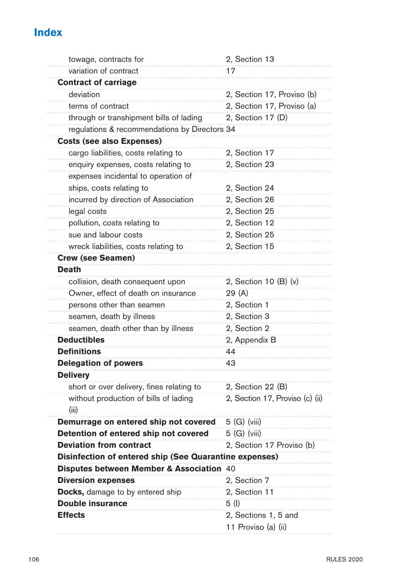# **Index**

| towage, contracts for                                  | 2, Section 13                   |
|--------------------------------------------------------|---------------------------------|
| variation of contract                                  | 17                              |
| <b>Contract of carriage</b>                            |                                 |
| deviation                                              | 2, Section 17, Proviso (b)      |
| terms of contract                                      | 2, Section 17, Proviso (a)      |
| through or transhipment bills of lading                | 2, Section 17 (D)               |
| regulations & recommendations by Directors 34          |                                 |
| <b>Costs (see also Expenses)</b>                       |                                 |
| cargo liabilities, costs relating to                   | 2, Section 17                   |
| enquiry expenses, costs relating to                    | 2, Section 23                   |
| expenses incidental to operation of                    |                                 |
| ships, costs relating to                               | 2, Section 24                   |
| incurred by direction of Association                   | 2, Section 26                   |
| legal costs                                            | 2, Section 25                   |
| pollution, costs relating to                           | 2, Section 12                   |
| sue and labour costs                                   | 2, Section 25                   |
| wreck liabilities, costs relating to                   | 2, Section 15                   |
| <b>Crew (see Seamen)</b>                               |                                 |
| <b>Death</b>                                           |                                 |
| collision, death consequent upon                       | 2, Section 10 (B) (v)           |
| Owner, effect of death on insurance                    | 29 (A)                          |
| persons other than seamen                              | 2, Section 1                    |
| seamen, death by illness                               | 2, Section 3                    |
| seamen, death other than by illness                    | 2, Section 2                    |
| <b>Deductibles</b>                                     | 2, Appendix B                   |
| <b>Definitions</b>                                     | 44                              |
| <b>Delegation of powers</b>                            | 43                              |
| <b>Delivery</b>                                        |                                 |
| short or over delivery, fines relating to              | 2, Section 22 (B)               |
| without production of bills of lading<br>(iii)         | 2, Section 17, Proviso (c) (ii) |
| Demurrage on entered ship not covered                  | 5 (G) (viii)                    |
| Detention of entered ship not covered                  | 5 (G) (viii)                    |
| <b>Deviation from contract</b>                         | 2, Section 17 Proviso (b)       |
| Disinfection of entered ship (See Quarantine expenses) |                                 |
| Disputes between Member & Association 40               |                                 |
| <b>Diversion expenses</b>                              | 2, Section 7                    |
| Docks, damage to by entered ship                       | 2, Section 11                   |
| <b>Double insurance</b>                                | 5 (I)                           |
| <b>Effects</b>                                         | 2, Sections 1, 5 and            |
|                                                        | 11 Proviso (a) (ii)             |
|                                                        |                                 |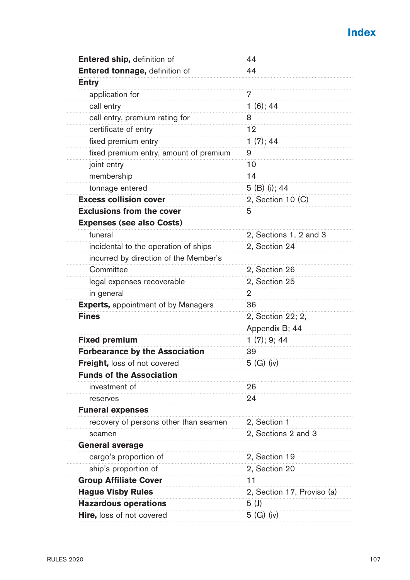

| Entered ship, definition of                | 44                         |
|--------------------------------------------|----------------------------|
| Entered tonnage, definition of             | 44                         |
| <b>Entry</b>                               |                            |
| application for                            | 7                          |
| call entry                                 | 1(6); 44                   |
| call entry, premium rating for             | 8                          |
| certificate of entry                       | 12                         |
| fixed premium entry                        | 1(7); 44                   |
| fixed premium entry, amount of premium     | 9                          |
| joint entry                                | 10                         |
| membership                                 | 14                         |
| tonnage entered                            | 5 (B) (i); 44              |
| <b>Excess collision cover</b>              | 2, Section 10 (C)          |
| <b>Exclusions from the cover</b>           | 5                          |
| <b>Expenses (see also Costs)</b>           |                            |
| funeral                                    | 2, Sections 1, 2 and 3     |
| incidental to the operation of ships       | 2, Section 24              |
| incurred by direction of the Member's      |                            |
| Committee                                  | 2, Section 26              |
| legal expenses recoverable                 | 2, Section 25              |
| in general                                 | $\overline{2}$             |
| <b>Experts, appointment of by Managers</b> | 36                         |
| <b>Fines</b>                               | 2, Section 22; 2,          |
|                                            | Appendix B; 44             |
| <b>Fixed premium</b>                       | 1(7); 9; 44                |
| <b>Forbearance by the Association</b>      | 39                         |
| <b>Freight, loss of not covered</b>        | 5 (G) (iv)                 |
| <b>Funds of the Association</b>            |                            |
| investment of                              | 26                         |
| reserves                                   | 24                         |
| <b>Funeral expenses</b>                    |                            |
| recovery of persons other than seamen      | 2, Section 1               |
| seamen                                     | 2, Sections 2 and 3        |
| <b>General average</b>                     |                            |
| cargo's proportion of                      | 2, Section 19              |
| ship's proportion of                       | 2, Section 20              |
| <b>Group Affiliate Cover</b>               | 11                         |
| <b>Hague Visby Rules</b>                   | 2, Section 17, Proviso (a) |
| <b>Hazardous operations</b>                | 5(J)                       |
| Hire, loss of not covered                  | 5 (G) (iv)                 |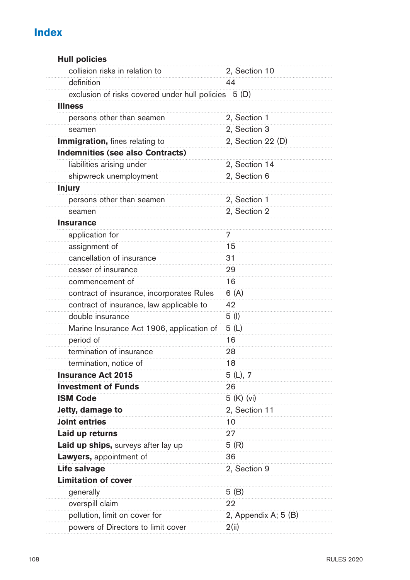# **Index**

| <b>Hull policies</b>                                 |                      |
|------------------------------------------------------|----------------------|
| collision risks in relation to                       | 2, Section 10        |
| definition                                           | 44                   |
| exclusion of risks covered under hull policies 5 (D) |                      |
| <b>Illness</b>                                       |                      |
| persons other than seamen                            | 2, Section 1         |
| seamen                                               | 2, Section 3         |
| Immigration, fines relating to                       | 2, Section 22 (D)    |
| <b>Indemnities (see also Contracts)</b>              |                      |
| liabilities arising under                            | 2, Section 14        |
| shipwreck unemployment                               | 2, Section 6         |
| <b>Injury</b>                                        |                      |
| persons other than seamen                            | 2, Section 1         |
| seamen                                               | 2, Section 2         |
| <b>Insurance</b>                                     |                      |
| application for                                      | 7                    |
| assignment of                                        | 15                   |
| cancellation of insurance                            | 31                   |
| cesser of insurance                                  | 29                   |
| commencement of                                      | 16                   |
| contract of insurance, incorporates Rules            | 6 (A)                |
| contract of insurance, law applicable to             | 42                   |
| double insurance                                     | 5(1)                 |
| Marine Insurance Act 1906, application of            | 5(L)                 |
| period of                                            | 16                   |
| termination of insurance                             | 28                   |
| termination, notice of                               | 18                   |
| <b>Insurance Act 2015</b>                            | 5 (L), 7             |
| <b>Investment of Funds</b>                           | 26                   |
| <b>ISM Code</b>                                      | 5 (K) (vi)           |
| Jetty, damage to                                     | 2, Section 11        |
| <b>Joint entries</b>                                 | 10                   |
| Laid up returns                                      | 27                   |
| Laid up ships, surveys after lay up                  | 5(R)                 |
| Lawyers, appointment of                              | 36                   |
| Life salvage                                         | 2, Section 9         |
| <b>Limitation of cover</b>                           |                      |
| generally                                            | 5(B)                 |
| overspill claim                                      | 22                   |
| pollution, limit on cover for                        | 2, Appendix A; 5 (B) |
| powers of Directors to limit cover                   | 2(ii)                |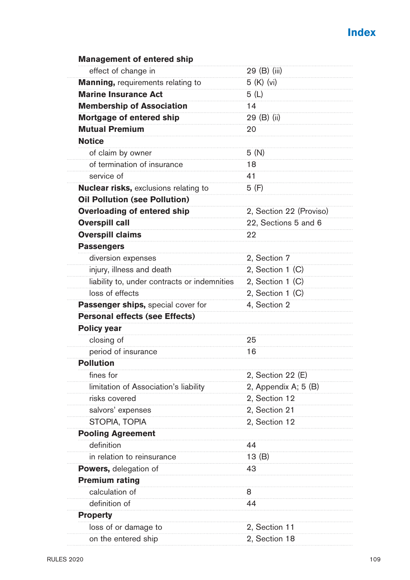| <b>Management of entered ship</b>            |                         |
|----------------------------------------------|-------------------------|
| effect of change in                          | 29 (B) (iii)            |
| Manning, requirements relating to            | $5(K)$ (vi)             |
| <b>Marine Insurance Act</b>                  | 5 (L)                   |
| <b>Membership of Association</b>             | 14                      |
| Mortgage of entered ship                     | 29 (B) (ii)             |
| <b>Mutual Premium</b>                        | 20                      |
| <b>Notice</b>                                |                         |
| of claim by owner                            | 5(N)                    |
| of termination of insurance                  | 18                      |
| service of                                   | 41                      |
| Nuclear risks, exclusions relating to        | 5 (F)                   |
| <b>Oil Pollution (see Pollution)</b>         |                         |
| <b>Overloading of entered ship</b>           | 2, Section 22 (Proviso) |
| <b>Overspill call</b>                        | 22, Sections 5 and 6    |
| <b>Overspill claims</b>                      | 22                      |
| <b>Passengers</b>                            |                         |
| diversion expenses                           | 2, Section 7            |
| injury, illness and death                    | 2, Section 1 (C)        |
| liability to, under contracts or indemnities | 2, Section 1 (C)        |
| loss of effects                              | 2, Section 1 (C)        |
| Passenger ships, special cover for           | 4, Section 2            |
| <b>Personal effects (see Effects)</b>        |                         |
| <b>Policy year</b>                           |                         |
| closing of                                   | 25                      |
| period of insurance                          | 16                      |
| <b>Pollution</b>                             |                         |
| fines for                                    | 2, Section 22 (E)       |
| limitation of Association's liability        | 2, Appendix A; 5 (B)    |
| risks covered                                | 2, Section 12           |
| salvors' expenses                            | 2, Section 21           |
| STOPIA, TOPIA                                | 2, Section 12           |
| <b>Pooling Agreement</b>                     |                         |
| definition                                   | 44                      |
| in relation to reinsurance                   | 13(B)                   |
| <b>Powers,</b> delegation of                 | 43                      |
| <b>Premium rating</b>                        |                         |
| calculation of                               | 8                       |
| definition of                                | 44                      |
| <b>Property</b>                              |                         |
| loss of or damage to                         | 2, Section 11           |
| on the entered ship                          | 2. Section 18           |
|                                              |                         |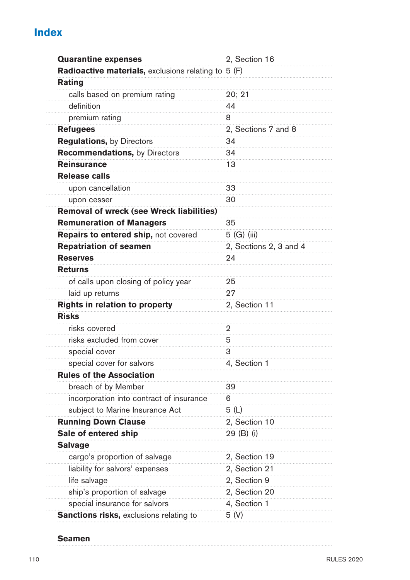# **Index**

| <b>Quarantine expenses</b>                          | 2, Section 16          |
|-----------------------------------------------------|------------------------|
| Radioactive materials, exclusions relating to 5 (F) |                        |
| Rating                                              |                        |
| calls based on premium rating                       | 20; 21                 |
| definition                                          | 44                     |
| premium rating                                      | 8                      |
| <b>Refugees</b>                                     | 2, Sections 7 and 8    |
| <b>Regulations, by Directors</b>                    | 34                     |
| <b>Recommendations, by Directors</b>                | 34                     |
| <b>Reinsurance</b>                                  | 13                     |
| <b>Release calls</b>                                |                        |
| upon cancellation                                   | 33                     |
| upon cesser                                         | 30                     |
| Removal of wreck (see Wreck liabilities)            |                        |
| <b>Remuneration of Managers</b>                     | 35                     |
| Repairs to entered ship, not covered                | 5 (G) (iii)            |
| <b>Repatriation of seamen</b>                       | 2, Sections 2, 3 and 4 |
| <b>Reserves</b>                                     | 24                     |
| <b>Returns</b>                                      |                        |
| of calls upon closing of policy year                | 25                     |
| laid up returns                                     | 27                     |
| Rights in relation to property                      | 2, Section 11          |
| <b>Risks</b>                                        |                        |
| risks covered                                       | 2                      |
| risks excluded from cover                           | 5                      |
| special cover                                       | 3                      |
| special cover for salvors                           | 4, Section 1           |
| <b>Rules of the Association</b>                     |                        |
| breach of by Member                                 | 39                     |
| incorporation into contract of insurance            | 6                      |
| subject to Marine Insurance Act                     | 5(L)                   |
| <b>Running Down Clause</b>                          | 2, Section 10          |
| Sale of entered ship                                | 29 (B) (i)             |
| <b>Salvage</b>                                      |                        |
| cargo's proportion of salvage                       | 2, Section 19          |
| liability for salvors' expenses                     | 2, Section 21          |
| life salvage                                        | 2, Section 9           |
| ship's proportion of salvage                        | 2, Section 20          |
| special insurance for salvors                       | 4, Section 1           |
| <b>Sanctions risks, exclusions relating to</b>      | 5(V)                   |

#### **Seamen**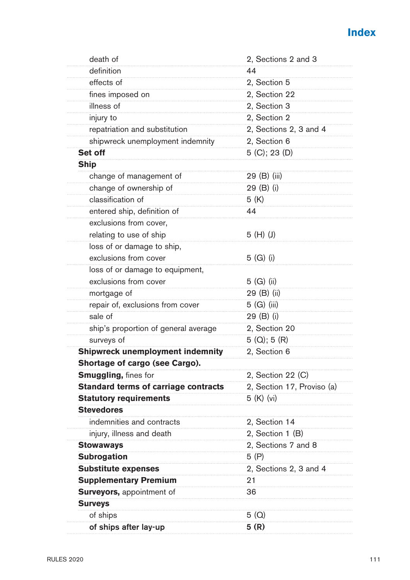| death of                                    | 2, Sections 2 and 3        |
|---------------------------------------------|----------------------------|
| definition                                  | 44                         |
| effects of                                  | 2, Section 5               |
| fines imposed on                            | 2, Section 22              |
| illness of                                  | 2, Section 3               |
| injury to                                   | 2, Section 2               |
| repatriation and substitution               | 2, Sections 2, 3 and 4     |
| shipwreck unemployment indemnity            | 2, Section 6               |
| Set off                                     | 5 (C); 23 (D)              |
| <b>Ship</b>                                 |                            |
| change of management of                     | 29 (B) (iii)               |
| change of ownership of                      | 29 (B) (i)                 |
| classification of                           | 5 (K)                      |
| entered ship, definition of                 | 44                         |
| exclusions from cover,                      |                            |
| relating to use of ship                     | 5 (H) (J)                  |
| loss of or damage to ship,                  |                            |
| exclusions from cover                       | 5 (G) (i)                  |
| loss of or damage to equipment,             |                            |
| exclusions from cover                       | 5 (G) (ii)                 |
| mortgage of                                 | 29 (B) (ii)                |
| repair of, exclusions from cover            | $5(G)$ (iii)               |
| sale of                                     | 29 (B) (i)                 |
| ship's proportion of general average        | 2, Section 20              |
| surveys of                                  | $5(Q)$ ; 5 $(R)$           |
| <b>Shipwreck unemployment indemnity</b>     | 2, Section 6               |
| Shortage of cargo (see Cargo).              |                            |
| <b>Smuggling, fines for</b>                 | 2, Section 22 (C)          |
| <b>Standard terms of carriage contracts</b> | 2, Section 17, Proviso (a) |
| <b>Statutory requirements</b>               | 5 (K) (vi)                 |
| <b>Stevedores</b>                           |                            |
| indemnities and contracts                   | 2, Section 14              |
| injury, illness and death                   | 2, Section 1 (B)           |
| <b>Stowaways</b>                            | 2, Sections 7 and 8        |
| <b>Subrogation</b>                          | 5 (P)                      |
| <b>Substitute expenses</b>                  | 2, Sections 2, 3 and 4     |
| <b>Supplementary Premium</b>                | 21                         |
| Surveyors, appointment of                   | 36                         |
| <b>Surveys</b>                              |                            |
| of ships                                    | 5 (Q)                      |
| of ships after lay-up                       | 5 (R)                      |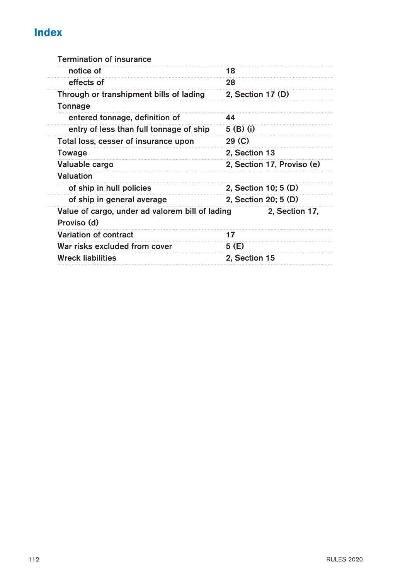# **Index**

| <b>Termination of insurance</b>                                |                            |
|----------------------------------------------------------------|----------------------------|
| notice of                                                      | 18                         |
| effects of                                                     | 28                         |
| Through or transhipment bills of lading                        | 2, Section 17 (D)          |
| Tonnage                                                        |                            |
| entered tonnage, definition of                                 | 44                         |
| entry of less than full tonnage of ship                        | 5 (B) (i)                  |
| Total loss, cesser of insurance upon                           | 29 <sub>(C)</sub>          |
| Towage                                                         | 2, Section 13              |
| Valuable cargo                                                 | 2, Section 17, Proviso (e) |
| Valuation                                                      |                            |
| of ship in hull policies                                       | 2, Section 10; 5 (D)       |
| of ship in general average                                     | 2, Section 20; 5 (D)       |
| Value of cargo, under ad valorem bill of lading<br>Proviso (d) | 2, Section 17,             |
| Variation of contract                                          | 17                         |
| War risks excluded from cover                                  | 5 (E)                      |
| <b>Wreck liabilities</b>                                       | 2, Section 15              |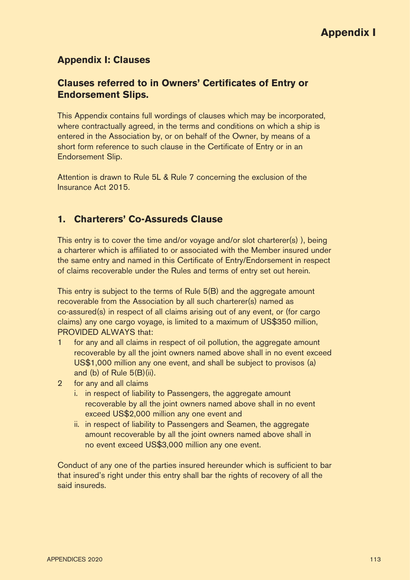#### **Appendix I: Clauses**

#### **Clauses referred to in Owners' Certificates of Entry or Endorsement Slips.**

This Appendix contains full wordings of clauses which may be incorporated, where contractually agreed, in the terms and conditions on which a ship is entered in the Association by, or on behalf of the Owner, by means of a short form reference to such clause in the Certificate of Entry or in an Endorsement Slip.

Attention is drawn to Rule 5L & Rule 7 concerning the exclusion of the Insurance Act 2015.

#### **1. Charterers' Co-Assureds Clause**

This entry is to cover the time and/or voyage and/or slot charterer(s) ), being a charterer which is affiliated to or associated with the Member insured under the same entry and named in this Certificate of Entry/Endorsement in respect of claims recoverable under the Rules and terms of entry set out herein.

This entry is subject to the terms of Rule 5(B) and the aggregate amount recoverable from the Association by all such charterer(s) named as co-assured(s) in respect of all claims arising out of any event, or (for cargo claims) any one cargo voyage, is limited to a maximum of US\$350 million, PROVIDED ALWAYS that:

- 1 for any and all claims in respect of oil pollution, the aggregate amount recoverable by all the joint owners named above shall in no event exceed US\$1,000 million any one event, and shall be subject to provisos (a) and (b) of Rule 5(B)(ii).
- 2 for any and all claims
	- i. in respect of liability to Passengers, the aggregate amount recoverable by all the joint owners named above shall in no event exceed US\$2,000 million any one event and
	- ii. in respect of liability to Passengers and Seamen, the aggregate amount recoverable by all the joint owners named above shall in no event exceed US\$3,000 million any one event.

Conduct of any one of the parties insured hereunder which is sufficient to bar that insured's right under this entry shall bar the rights of recovery of all the said insureds.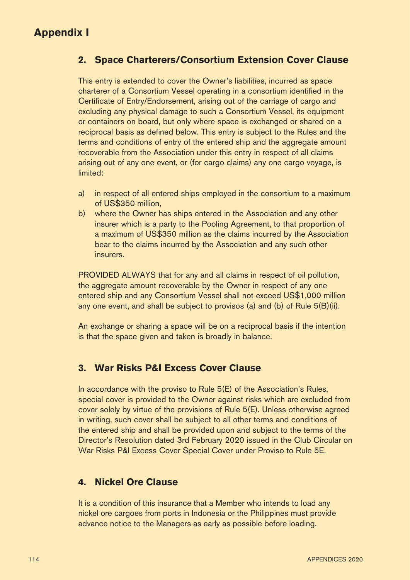## **2. Space Charterers/Consortium Extension Cover Clause**

This entry is extended to cover the Owner's liabilities, incurred as space charterer of a Consortium Vessel operating in a consortium identified in the Certificate of Entry/Endorsement, arising out of the carriage of cargo and excluding any physical damage to such a Consortium Vessel, its equipment or containers on board, but only where space is exchanged or shared on a reciprocal basis as defined below. This entry is subject to the Rules and the terms and conditions of entry of the entered ship and the aggregate amount recoverable from the Association under this entry in respect of all claims arising out of any one event, or (for cargo claims) any one cargo voyage, is limited:

- a) in respect of all entered ships employed in the consortium to a maximum of US\$350 million,
- b) where the Owner has ships entered in the Association and any other insurer which is a party to the Pooling Agreement, to that proportion of a maximum of US\$350 million as the claims incurred by the Association bear to the claims incurred by the Association and any such other insurers.

PROVIDED ALWAYS that for any and all claims in respect of oil pollution, the aggregate amount recoverable by the Owner in respect of any one entered ship and any Consortium Vessel shall not exceed US\$1,000 million any one event, and shall be subject to provisos (a) and (b) of Rule 5(B)(ii).

An exchange or sharing a space will be on a reciprocal basis if the intention is that the space given and taken is broadly in balance.

## **3. War Risks P&I Excess Cover Clause**

In accordance with the proviso to Rule 5(E) of the Association's Rules, special cover is provided to the Owner against risks which are excluded from cover solely by virtue of the provisions of Rule 5(E). Unless otherwise agreed in writing, such cover shall be subject to all other terms and conditions of the entered ship and shall be provided upon and subject to the terms of the Director's Resolution dated 3rd February 2020 issued in the Club Circular on War Risks P&I Excess Cover Special Cover under Proviso to Rule 5E.

## **4. Nickel Ore Clause**

It is a condition of this insurance that a Member who intends to load any nickel ore cargoes from ports in Indonesia or the Philippines must provide advance notice to the Managers as early as possible before loading.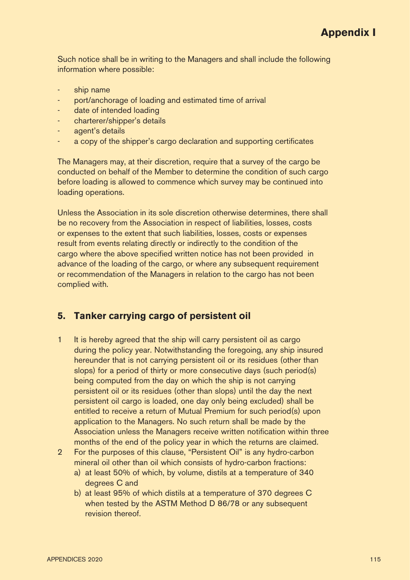Such notice shall be in writing to the Managers and shall include the following information where possible:

- ship name
- port/anchorage of loading and estimated time of arrival
- date of intended loading
- charterer/shipper's details
- agent's details
- a copy of the shipper's cargo declaration and supporting certificates

The Managers may, at their discretion, require that a survey of the cargo be conducted on behalf of the Member to determine the condition of such cargo before loading is allowed to commence which survey may be continued into loading operations.

Unless the Association in its sole discretion otherwise determines, there shall be no recovery from the Association in respect of liabilities, losses, costs or expenses to the extent that such liabilities, losses, costs or expenses result from events relating directly or indirectly to the condition of the cargo where the above specified written notice has not been provided in advance of the loading of the cargo, or where any subsequent requirement or recommendation of the Managers in relation to the cargo has not been complied with.

#### **5. Tanker carrying cargo of persistent oil**

- 1 It is hereby agreed that the ship will carry persistent oil as cargo during the policy year. Notwithstanding the foregoing, any ship insured hereunder that is not carrying persistent oil or its residues (other than slops) for a period of thirty or more consecutive days (such period(s) being computed from the day on which the ship is not carrying persistent oil or its residues (other than slops) until the day the next persistent oil cargo is loaded, one day only being excluded) shall be entitled to receive a return of Mutual Premium for such period(s) upon application to the Managers. No such return shall be made by the Association unless the Managers receive written notification within three months of the end of the policy year in which the returns are claimed.
- 2 For the purposes of this clause, "Persistent Oil" is any hydro-carbon mineral oil other than oil which consists of hydro-carbon fractions:
	- a) at least 50% of which, by volume, distils at a temperature of 340 degrees C and
	- b) at least 95% of which distils at a temperature of 370 degrees C when tested by the ASTM Method D 86/78 or any subsequent revision thereof.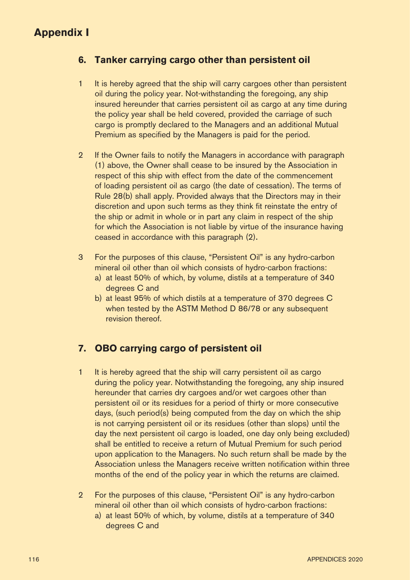## **6. Tanker carrying cargo other than persistent oil**

- 1 It is hereby agreed that the ship will carry cargoes other than persistent oil during the policy year. Not-withstanding the foregoing, any ship insured hereunder that carries persistent oil as cargo at any time during the policy year shall be held covered, provided the carriage of such cargo is promptly declared to the Managers and an additional Mutual Premium as specified by the Managers is paid for the period.
- 2 If the Owner fails to notify the Managers in accordance with paragraph (1) above, the Owner shall cease to be insured by the Association in respect of this ship with effect from the date of the commencement of loading persistent oil as cargo (the date of cessation). The terms of Rule 28(b) shall apply. Provided always that the Directors may in their discretion and upon such terms as they think fit reinstate the entry of the ship or admit in whole or in part any claim in respect of the ship for which the Association is not liable by virtue of the insurance having ceased in accordance with this paragraph (2).
- 3 For the purposes of this clause, "Persistent Oil" is any hydro-carbon mineral oil other than oil which consists of hydro-carbon fractions:
	- a) at least 50% of which, by volume, distils at a temperature of 340 degrees C and
	- b) at least 95% of which distils at a temperature of 370 degrees C when tested by the ASTM Method D 86/78 or any subsequent revision thereof.

## **7. OBO carrying cargo of persistent oil**

- 1 It is hereby agreed that the ship will carry persistent oil as cargo during the policy year. Notwithstanding the foregoing, any ship insured hereunder that carries dry cargoes and/or wet cargoes other than persistent oil or its residues for a period of thirty or more consecutive days, (such period(s) being computed from the day on which the ship is not carrying persistent oil or its residues (other than slops) until the day the next persistent oil cargo is loaded, one day only being excluded) shall be entitled to receive a return of Mutual Premium for such period upon application to the Managers. No such return shall be made by the Association unless the Managers receive written notification within three months of the end of the policy year in which the returns are claimed.
- 2 For the purposes of this clause, "Persistent Oil" is any hydro-carbon mineral oil other than oil which consists of hydro-carbon fractions:
	- a) at least 50% of which, by volume, distils at a temperature of 340 degrees C and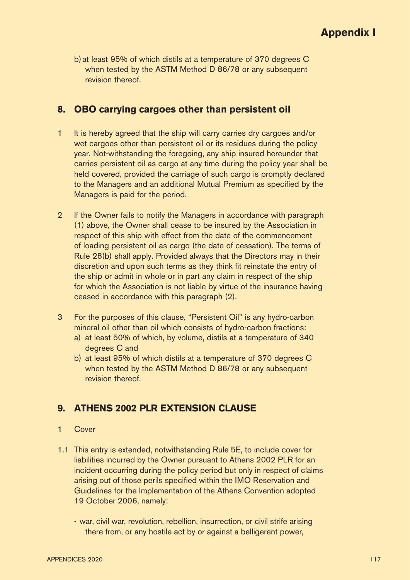b) at least 95% of which distils at a temperature of 370 degrees C when tested by the ASTM Method D 86/78 or any subsequent revision thereof.

#### **8. OBO carrying cargoes other than persistent oil**

- 1 It is hereby agreed that the ship will carry carries dry cargoes and/or wet cargoes other than persistent oil or its residues during the policy year. Not-withstanding the foregoing, any ship insured hereunder that carries persistent oil as cargo at any time during the policy year shall be held covered, provided the carriage of such cargo is promptly declared to the Managers and an additional Mutual Premium as specified by the Managers is paid for the period.
- 2 If the Owner fails to notify the Managers in accordance with paragraph (1) above, the Owner shall cease to be insured by the Association in respect of this ship with effect from the date of the commencement of loading persistent oil as cargo (the date of cessation). The terms of Rule 28(b) shall apply. Provided always that the Directors may in their discretion and upon such terms as they think fit reinstate the entry of the ship or admit in whole or in part any claim in respect of the ship for which the Association is not liable by virtue of the insurance having ceased in accordance with this paragraph (2).
- 3 For the purposes of this clause, "Persistent Oil" is any hydro-carbon mineral oil other than oil which consists of hydro-carbon fractions:
	- a) at least 50% of which, by volume, distils at a temperature of 340 degrees C and
	- b) at least 95% of which distils at a temperature of 370 degrees C when tested by the ASTM Method D 86/78 or any subsequent revision thereof.

## **9. ATHENS 2002 PLR EXTENSION CLAUSE**

#### 1 Cover

- 1.1 This entry is extended, notwithstanding Rule 5E, to include cover for liabilities incurred by the Owner pursuant to Athens 2002 PLR for an incident occurring during the policy period but only in respect of claims arising out of those perils specified within the IMO Reservation and Guidelines for the Implementation of the Athens Convention adopted 19 October 2006, namely:
	- war, civil war, revolution, rebellion, insurrection, or civil strife arising there from, or any hostile act by or against a belligerent power,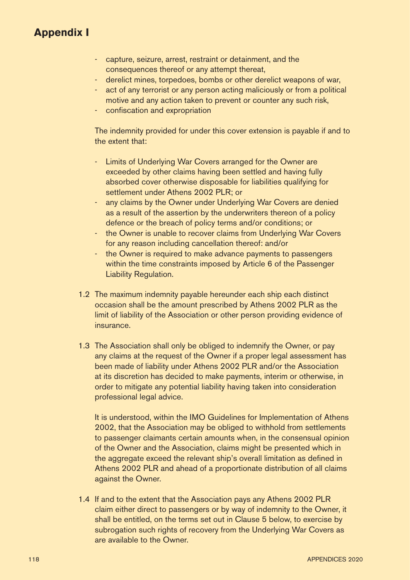- capture, seizure, arrest, restraint or detainment, and the consequences thereof or any attempt thereat,
- derelict mines, torpedoes, bombs or other derelict weapons of war,
- act of any terrorist or any person acting maliciously or from a political motive and any action taken to prevent or counter any such risk,
- confiscation and expropriation

The indemnity provided for under this cover extension is payable if and to the extent that:

- Limits of Underlying War Covers arranged for the Owner are exceeded by other claims having been settled and having fully absorbed cover otherwise disposable for liabilities qualifying for settlement under Athens 2002 PLR; or
- any claims by the Owner under Underlying War Covers are denied as a result of the assertion by the underwriters thereon of a policy defence or the breach of policy terms and/or conditions; or
- the Owner is unable to recover claims from Underlying War Covers for any reason including cancellation thereof: and/or
- the Owner is required to make advance payments to passengers within the time constraints imposed by Article 6 of the Passenger Liability Regulation.
- 1.2 The maximum indemnity payable hereunder each ship each distinct occasion shall be the amount prescribed by Athens 2002 PLR as the limit of liability of the Association or other person providing evidence of insurance.
- 1.3 The Association shall only be obliged to indemnify the Owner, or pay any claims at the request of the Owner if a proper legal assessment has been made of liability under Athens 2002 PLR and/or the Association at its discretion has decided to make payments, interim or otherwise, in order to mitigate any potential liability having taken into consideration professional legal advice.

 It is understood, within the IMO Guidelines for Implementation of Athens 2002, that the Association may be obliged to withhold from settlements to passenger claimants certain amounts when, in the consensual opinion of the Owner and the Association, claims might be presented which in the aggregate exceed the relevant ship's overall limitation as defined in Athens 2002 PLR and ahead of a proportionate distribution of all claims against the Owner.

1.4 If and to the extent that the Association pays any Athens 2002 PLR claim either direct to passengers or by way of indemnity to the Owner, it shall be entitled, on the terms set out in Clause 5 below, to exercise by subrogation such rights of recovery from the Underlying War Covers as are available to the Owner.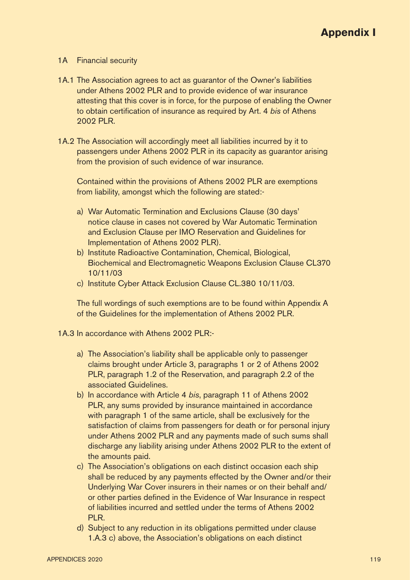#### 1A Financial security

- 1A.1 The Association agrees to act as guarantor of the Owner's liabilities under Athens 2002 PLR and to provide evidence of war insurance attesting that this cover is in force, for the purpose of enabling the Owner to obtain certification of insurance as required by Art. 4 bis of Athens 2002 PLR.
- 1A.2 The Association will accordingly meet all liabilities incurred by it to passengers under Athens 2002 PLR in its capacity as guarantor arising from the provision of such evidence of war insurance.

 Contained within the provisions of Athens 2002 PLR are exemptions from liability, amongst which the following are stated:-

- a) War Automatic Termination and Exclusions Clause (30 days' notice clause in cases not covered by War Automatic Termination and Exclusion Clause per IMO Reservation and Guidelines for Implementation of Athens 2002 PLR).
- b) Institute Radioactive Contamination, Chemical, Biological, Biochemical and Electromagnetic Weapons Exclusion Clause CL370 10/11/03
- c) Institute Cyber Attack Exclusion Clause CL.380 10/11/03.

 The full wordings of such exemptions are to be found within Appendix A of the Guidelines for the implementation of Athens 2002 PLR.

1A.3 In accordance with Athens 2002 PLR:-

- a) The Association's liability shall be applicable only to passenger claims brought under Article 3, paragraphs 1 or 2 of Athens 2002 PLR, paragraph 1.2 of the Reservation, and paragraph 2.2 of the associated Guidelines.
- b) In accordance with Article 4 bis, paragraph 11 of Athens 2002 PLR, any sums provided by insurance maintained in accordance with paragraph 1 of the same article, shall be exclusively for the satisfaction of claims from passengers for death or for personal injury under Athens 2002 PLR and any payments made of such sums shall discharge any liability arising under Athens 2002 PLR to the extent of the amounts paid.
- c) The Association's obligations on each distinct occasion each ship shall be reduced by any payments effected by the Owner and/or their Underlying War Cover insurers in their names or on their behalf and/ or other parties defined in the Evidence of War Insurance in respect of liabilities incurred and settled under the terms of Athens 2002 PLR.
- d) Subject to any reduction in its obligations permitted under clause 1.A.3 c) above, the Association's obligations on each distinct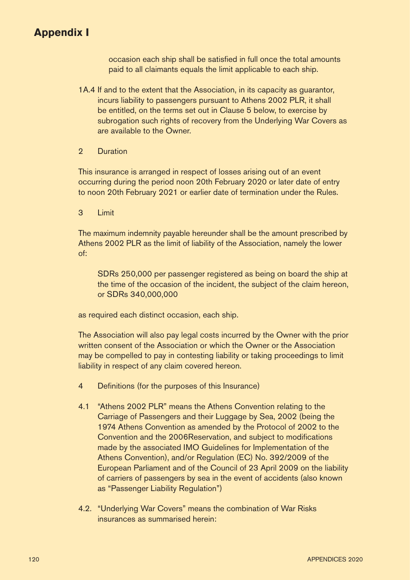occasion each ship shall be satisfied in full once the total amounts paid to all claimants equals the limit applicable to each ship.

1A.4 If and to the extent that the Association, in its capacity as guarantor, incurs liability to passengers pursuant to Athens 2002 PLR, it shall be entitled, on the terms set out in Clause 5 below, to exercise by subrogation such rights of recovery from the Underlying War Covers as are available to the Owner.

#### 2 Duration

This insurance is arranged in respect of losses arising out of an event occurring during the period noon 20th February 2020 or later date of entry to noon 20th February 2021 or earlier date of termination under the Rules.

3 Limit

The maximum indemnity payable hereunder shall be the amount prescribed by Athens 2002 PLR as the limit of liability of the Association, namely the lower of:

SDRs 250,000 per passenger registered as being on board the ship at the time of the occasion of the incident, the subject of the claim hereon, or SDRs 340,000,000

as required each distinct occasion, each ship.

The Association will also pay legal costs incurred by the Owner with the prior written consent of the Association or which the Owner or the Association may be compelled to pay in contesting liability or taking proceedings to limit liability in respect of any claim covered hereon.

- 4 Definitions (for the purposes of this Insurance)
- 4.1 "Athens 2002 PLR" means the Athens Convention relating to the Carriage of Passengers and their Luggage by Sea, 2002 (being the 1974 Athens Convention as amended by the Protocol of 2002 to the Convention and the 2006Reservation, and subject to modifications made by the associated IMO Guidelines for Implementation of the Athens Convention), and/or Regulation (EC) No. 392/2009 of the European Parliament and of the Council of 23 April 2009 on the liability of carriers of passengers by sea in the event of accidents (also known as "Passenger Liability Regulation")
- 4.2. "Underlying War Covers" means the combination of War Risks insurances as summarised herein: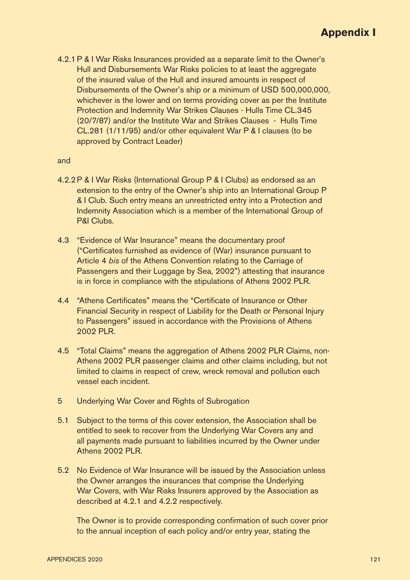4.2.1 P & I War Risks Insurances provided as a separate limit to the Owner's Hull and Disbursements War Risks policies to at least the aggregate of the insured value of the Hull and insured amounts in respect of Disbursements of the Owner's ship or a minimum of USD 500,000,000, whichever is the lower and on terms providing cover as per the Institute Protection and Indemnity War Strikes Clauses - Hulls Time CL.345 (20/7/87) and/or the Institute War and Strikes Clauses - Hulls Time CL.281 (1/11/95) and/or other equivalent War P & I clauses (to be approved by Contract Leader)

#### and

- 4.2.2 P & I War Risks (International Group P & I Clubs) as endorsed as an extension to the entry of the Owner's ship into an International Group P & I Club. Such entry means an unrestricted entry into a Protection and Indemnity Association which is a member of the International Group of P&I Clubs.
- 4.3 "Evidence of War Insurance" means the documentary proof ("Certificates furnished as evidence of (War) insurance pursuant to Article 4 bis of the Athens Convention relating to the Carriage of Passengers and their Luggage by Sea, 2002") attesting that insurance is in force in compliance with the stipulations of Athens 2002 PLR.
- A 4 "Athens Certificates" means the "Certificate of Insurance or Other Financial Security in respect of Liability for the Death or Personal Injury to Passengers" issued in accordance with the Provisions of Athens 2002 PLR.
- 4.5 "Total Claims" means the aggregation of Athens 2002 PLR Claims, non-Athens 2002 PLR passenger claims and other claims including, but not limited to claims in respect of crew, wreck removal and pollution each vessel each incident.
- 5 Underlying War Cover and Rights of Subrogation
- 5.1 Subject to the terms of this cover extension, the Association shall be entitled to seek to recover from the Underlying War Covers any and all payments made pursuant to liabilities incurred by the Owner under Athens 2002 PLR.
- 5.2 No Evidence of War Insurance will be issued by the Association unless the Owner arranges the insurances that comprise the Underlying War Covers, with War Risks Insurers approved by the Association as described at 4.2.1 and 4.2.2 respectively.

The Owner is to provide corresponding confirmation of such cover prior to the annual inception of each policy and/or entry year, stating the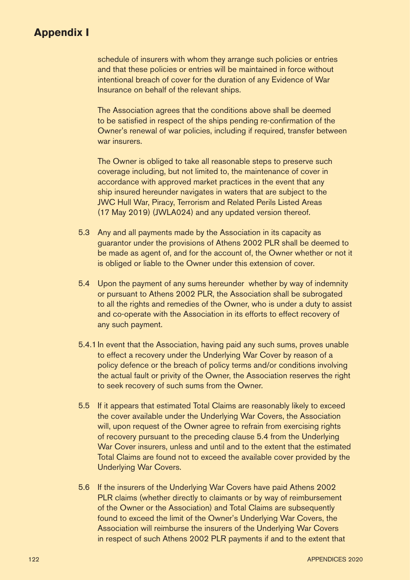schedule of insurers with whom they arrange such policies or entries and that these policies or entries will be maintained in force without intentional breach of cover for the duration of any Evidence of War Insurance on behalf of the relevant ships.

 The Association agrees that the conditions above shall be deemed to be satisfied in respect of the ships pending re-confirmation of the Owner's renewal of war policies, including if required, transfer between war insurers.

 The Owner is obliged to take all reasonable steps to preserve such coverage including, but not limited to, the maintenance of cover in accordance with approved market practices in the event that any ship insured hereunder navigates in waters that are subject to the JWC Hull War, Piracy, Terrorism and Related Perils Listed Areas (17 May 2019) (JWLA024) and any updated version thereof.

- 5.3 Any and all payments made by the Association in its capacity as guarantor under the provisions of Athens 2002 PLR shall be deemed to be made as agent of, and for the account of, the Owner whether or not it is obliged or liable to the Owner under this extension of cover.
- 5.4 Upon the payment of any sums hereunder whether by way of indemnity or pursuant to Athens 2002 PLR, the Association shall be subrogated to all the rights and remedies of the Owner, who is under a duty to assist and co-operate with the Association in its efforts to effect recovery of any such payment.
- 5.4.1 In event that the Association, having paid any such sums, proves unable to effect a recovery under the Underlying War Cover by reason of a policy defence or the breach of policy terms and/or conditions involving the actual fault or privity of the Owner, the Association reserves the right to seek recovery of such sums from the Owner.
- 5.5 If it appears that estimated Total Claims are reasonably likely to exceed the cover available under the Underlying War Covers, the Association will, upon request of the Owner agree to refrain from exercising rights of recovery pursuant to the preceding clause 5.4 from the Underlying War Cover insurers, unless and until and to the extent that the estimated Total Claims are found not to exceed the available cover provided by the Underlying War Covers.
- 5.6 If the insurers of the Underlying War Covers have paid Athens 2002 PLR claims (whether directly to claimants or by way of reimbursement of the Owner or the Association) and Total Claims are subsequently found to exceed the limit of the Owner's Underlying War Covers, the Association will reimburse the insurers of the Underlying War Covers in respect of such Athens 2002 PLR payments if and to the extent that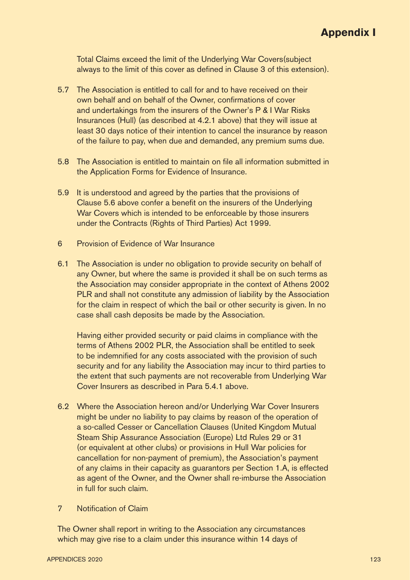Total Claims exceed the limit of the Underlying War Covers(subject always to the limit of this cover as defined in Clause 3 of this extension).

- 5.7 The Association is entitled to call for and to have received on their own behalf and on behalf of the Owner, confirmations of cover and undertakings from the insurers of the Owner's P & I War Risks Insurances (Hull) (as described at 4.2.1 above) that they will issue at least 30 days notice of their intention to cancel the insurance by reason of the failure to pay, when due and demanded, any premium sums due.
- 5.8 The Association is entitled to maintain on file all information submitted in the Application Forms for Evidence of Insurance.
- 5.9 It is understood and agreed by the parties that the provisions of Clause 5.6 above confer a benefit on the insurers of the Underlying War Covers which is intended to be enforceable by those insurers under the Contracts (Rights of Third Parties) Act 1999.
- 6 Provision of Evidence of War Insurance
- 6.1 The Association is under no obligation to provide security on behalf of any Owner, but where the same is provided it shall be on such terms as the Association may consider appropriate in the context of Athens 2002 PLR and shall not constitute any admission of liability by the Association for the claim in respect of which the bail or other security is given. In no case shall cash deposits be made by the Association.

 Having either provided security or paid claims in compliance with the terms of Athens 2002 PLR, the Association shall be entitled to seek to be indemnified for any costs associated with the provision of such security and for any liability the Association may incur to third parties to the extent that such payments are not recoverable from Underlying War Cover Insurers as described in Para 5.4.1 above.

- 6.2 Where the Association hereon and/or Underlying War Cover Insurers might be under no liability to pay claims by reason of the operation of a so-called Cesser or Cancellation Clauses (United Kingdom Mutual Steam Ship Assurance Association (Europe) Ltd Rules 29 or 31 (or equivalent at other clubs) or provisions in Hull War policies for cancellation for non-payment of premium), the Association's payment of any claims in their capacity as guarantors per Section 1.A, is effected as agent of the Owner, and the Owner shall re-imburse the Association in full for such claim.
- 7 Notification of Claim

The Owner shall report in writing to the Association any circumstances which may give rise to a claim under this insurance within 14 days of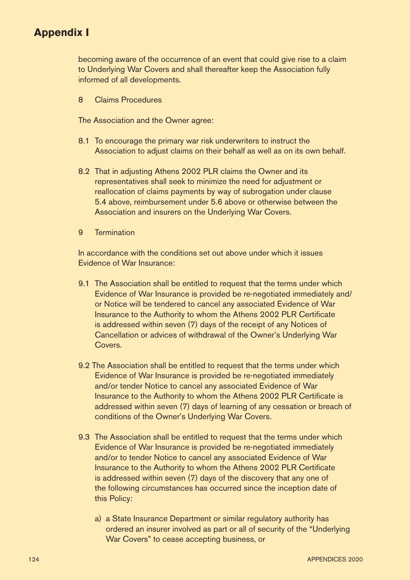becoming aware of the occurrence of an event that could give rise to a claim to Underlying War Covers and shall thereafter keep the Association fully informed of all developments.

8 Claims Procedures

The Association and the Owner agree:

- 8.1 To encourage the primary war risk underwriters to instruct the Association to adjust claims on their behalf as well as on its own behalf.
- 8.2 That in adjusting Athens 2002 PLR claims the Owner and its representatives shall seek to minimize the need for adjustment or reallocation of claims payments by way of subrogation under clause 5.4 above, reimbursement under 5.6 above or otherwise between the Association and insurers on the Underlying War Covers.
- 9 Termination

In accordance with the conditions set out above under which it issues Evidence of War Insurance:

- 9.1 The Association shall be entitled to request that the terms under which Evidence of War Insurance is provided be re-negotiated immediately and/ or Notice will be tendered to cancel any associated Evidence of War Insurance to the Authority to whom the Athens 2002 PLR Certificate is addressed within seven (7) days of the receipt of any Notices of Cancellation or advices of withdrawal of the Owner's Underlying War **Covers**
- 9.2 The Association shall be entitled to request that the terms under which Evidence of War Insurance is provided be re-negotiated immediately and/or tender Notice to cancel any associated Evidence of War Insurance to the Authority to whom the Athens 2002 PLR Certificate is addressed within seven (7) days of learning of any cessation or breach of conditions of the Owner's Underlying War Covers.
- 9.3 The Association shall be entitled to request that the terms under which Evidence of War Insurance is provided be re-negotiated immediately and/or to tender Notice to cancel any associated Evidence of War Insurance to the Authority to whom the Athens 2002 PLR Certificate is addressed within seven (7) days of the discovery that any one of the following circumstances has occurred since the inception date of this Policy:
	- a) a State Insurance Department or similar regulatory authority has ordered an insurer involved as part or all of security of the "Underlying War Covers" to cease accepting business, or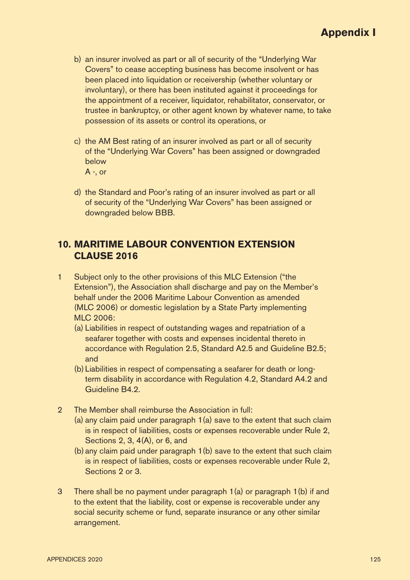- b) an insurer involved as part or all of security of the "Underlying War Covers" to cease accepting business has become insolvent or has been placed into liquidation or receivership (whether voluntary or involuntary), or there has been instituted against it proceedings for the appointment of a receiver, liquidator, rehabilitator, conservator, or trustee in bankruptcy, or other agent known by whatever name, to take possession of its assets or control its operations, or
- c) the AM Best rating of an insurer involved as part or all of security of the "Underlying War Covers" has been assigned or downgraded below A -, or
- d) the Standard and Poor's rating of an insurer involved as part or all of security of the "Underlying War Covers" has been assigned or downgraded below BBB.

#### **10. MARITIME LABOUR CONVENTION EXTENSION CLAUSE 2016**

- 1 Subject only to the other provisions of this MLC Extension ("the Extension"), the Association shall discharge and pay on the Member's behalf under the 2006 Maritime Labour Convention as amended (MLC 2006) or domestic legislation by a State Party implementing MLC 2006:
	- (a) Liabilities in respect of outstanding wages and repatriation of a seafarer together with costs and expenses incidental thereto in accordance with Regulation 2.5, Standard A2.5 and Guideline B2.5; and
	- (b) Liabilities in respect of compensating a seafarer for death or longterm disability in accordance with Regulation 4.2, Standard A4.2 and Guideline B4.2.
- 2 The Member shall reimburse the Association in full:
	- (a) any claim paid under paragraph 1(a) save to the extent that such claim is in respect of liabilities, costs or expenses recoverable under Rule 2, Sections 2, 3, 4(A), or 6, and
	- (b) any claim paid under paragraph 1(b) save to the extent that such claim is in respect of liabilities, costs or expenses recoverable under Rule 2, Sections 2 or 3.
- 3 There shall be no payment under paragraph 1(a) or paragraph 1(b) if and to the extent that the liability, cost or expense is recoverable under any social security scheme or fund, separate insurance or any other similar arrangement.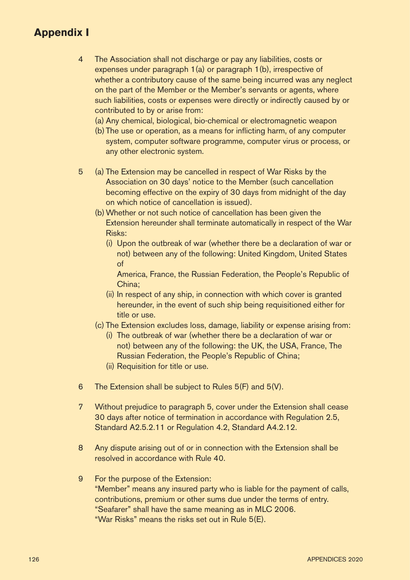- 4 The Association shall not discharge or pay any liabilities, costs or expenses under paragraph 1(a) or paragraph 1(b), irrespective of whether a contributory cause of the same being incurred was any neglect on the part of the Member or the Member's servants or agents, where such liabilities, costs or expenses were directly or indirectly caused by or contributed to by or arise from:
	- (a) Any chemical, biological, bio-chemical or electromagnetic weapon
	- (b) The use or operation, as a means for inflicting harm, of any computer system, computer software programme, computer virus or process, or any other electronic system.
- 5 (a) The Extension may be cancelled in respect of War Risks by the Association on 30 days' notice to the Member (such cancellation becoming effective on the expiry of 30 days from midnight of the day on which notice of cancellation is issued).
	- (b) Whether or not such notice of cancellation has been given the Extension hereunder shall terminate automatically in respect of the War Risks:
		- (i) Upon the outbreak of war (whether there be a declaration of war or not) between any of the following: United Kingdom, United States of

America, France, the Russian Federation, the People's Republic of China;

- (ii) In respect of any ship, in connection with which cover is granted hereunder, in the event of such ship being requisitioned either for title or use.
- (c) The Extension excludes loss, damage, liability or expense arising from:
	- (i) The outbreak of war (whether there be a declaration of war or not) between any of the following: the UK, the USA, France, The Russian Federation, the People's Republic of China;
	- (ii) Requisition for title or use.
- 6 The Extension shall be subject to Rules 5(F) and 5(V).
- 7 Without prejudice to paragraph 5, cover under the Extension shall cease 30 days after notice of termination in accordance with Regulation 2.5, Standard A2.5.2.11 or Regulation 4.2, Standard A4.2.12.
- 8 Any dispute arising out of or in connection with the Extension shall be resolved in accordance with Rule 40.
- 9 For the purpose of the Extension: "Member" means any insured party who is liable for the payment of calls, contributions, premium or other sums due under the terms of entry. "Seafarer" shall have the same meaning as in MLC 2006. "War Risks" means the risks set out in Rule 5(E).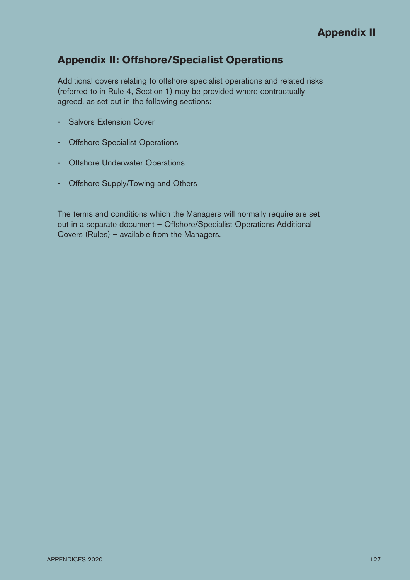## **Appendix II: Offshore/Specialist Operations**

Additional covers relating to offshore specialist operations and related risks (referred to in Rule 4, Section 1) may be provided where contractually agreed, as set out in the following sections:

- Salvors Extension Cover
- Offshore Specialist Operations
- Offshore Underwater Operations
- Offshore Supply/Towing and Others

The terms and conditions which the Managers will normally require are set out in a separate document – Offshore/Specialist Operations Additional Covers (Rules) – available from the Managers.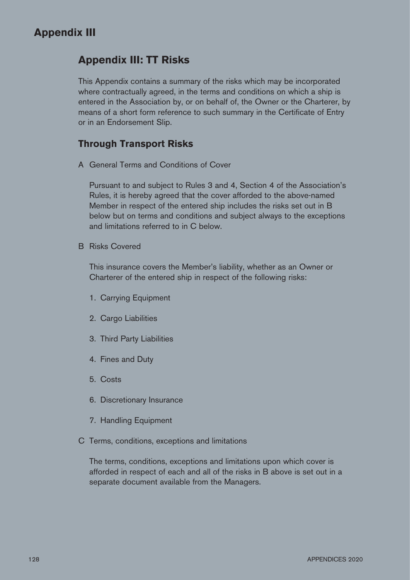## **Appendix III: TT Risks**

This Appendix contains a summary of the risks which may be incorporated where contractually agreed, in the terms and conditions on which a ship is entered in the Association by, or on behalf of, the Owner or the Charterer, by means of a short form reference to such summary in the Certificate of Entry or in an Endorsement Slip.

#### **Through Transport Risks**

A General Terms and Conditions of Cover

 Pursuant to and subject to Rules 3 and 4, Section 4 of the Association's Rules, it is hereby agreed that the cover afforded to the above-named Member in respect of the entered ship includes the risks set out in B below but on terms and conditions and subject always to the exceptions and limitations referred to in C below.

B Risks Covered

 This insurance covers the Member's liability, whether as an Owner or Charterer of the entered ship in respect of the following risks:

- 1. Carrying Equipment
- 2. Cargo Liabilities
- 3. Third Party Liabilities
- 4. Fines and Duty
- 5. Costs
- 6. Discretionary Insurance
- 7. Handling Equipment
- C Terms, conditions, exceptions and limitations

 The terms, conditions, exceptions and limitations upon which cover is afforded in respect of each and all of the risks in B above is set out in a separate document available from the Managers.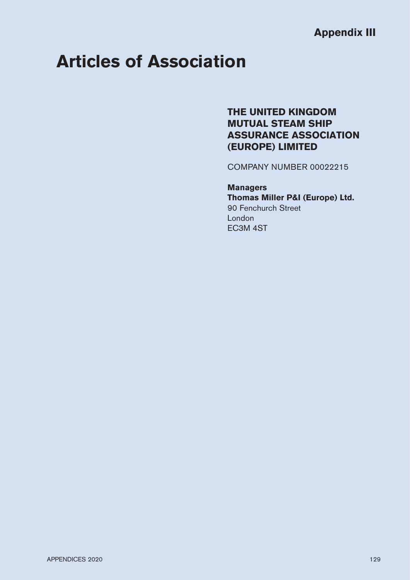# **Articles of Association**

## **THE UNITED KINGDOM MUTUAL STEAM SHIP ASSURANCE ASSOCIATION (EUROPE) LIMITED**

COMPANY NUMBER 00022215

#### **Managers Thomas Miller P&I (Europe) Ltd.** 90 Fenchurch Street London EC3M 4ST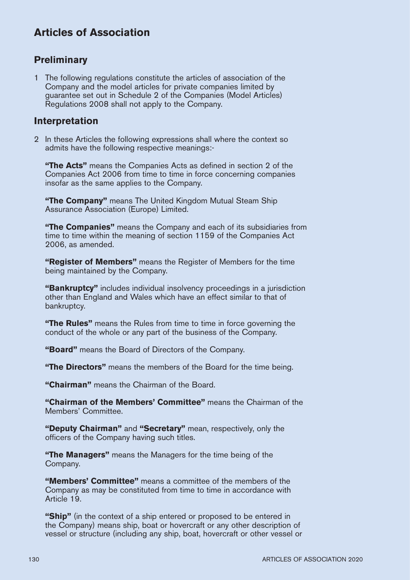## **Preliminary**

1 The following regulations constitute the articles of association of the Company and the model articles for private companies limited by guarantee set out in Schedule 2 of the Companies (Model Articles) Regulations 2008 shall not apply to the Company.

#### **Interpretation**

2 In these Articles the following expressions shall where the context so admits have the following respective meanings:-

**"The Acts"** means the Companies Acts as defined in section 2 of the Companies Act 2006 from time to time in force concerning companies insofar as the same applies to the Company.

**"The Company"** means The United Kingdom Mutual Steam Ship Assurance Association (Europe) Limited.

**"The Companies"** means the Company and each of its subsidiaries from time to time within the meaning of section 1159 of the Companies Act 2006, as amended.

**"Register of Members"** means the Register of Members for the time being maintained by the Company.

**"Bankruptcy"** includes individual insolvency proceedings in a jurisdiction other than England and Wales which have an effect similar to that of bankruptcy.

**"The Rules"** means the Rules from time to time in force governing the conduct of the whole or any part of the business of the Company.

**"Board"** means the Board of Directors of the Company.

**"The Directors"** means the members of the Board for the time being.

**"Chairman"** means the Chairman of the Board.

**"Chairman of the Members' Committee"** means the Chairman of the Members' Committee.

**"Deputy Chairman"** and **"Secretary"** mean, respectively, only the officers of the Company having such titles.

**"The Managers"** means the Managers for the time being of the Company.

**"Members' Committee"** means a committee of the members of the Company as may be constituted from time to time in accordance with Article 19.

**"Ship"** (in the context of a ship entered or proposed to be entered in the Company) means ship, boat or hovercraft or any other description of vessel or structure (including any ship, boat, hovercraft or other vessel or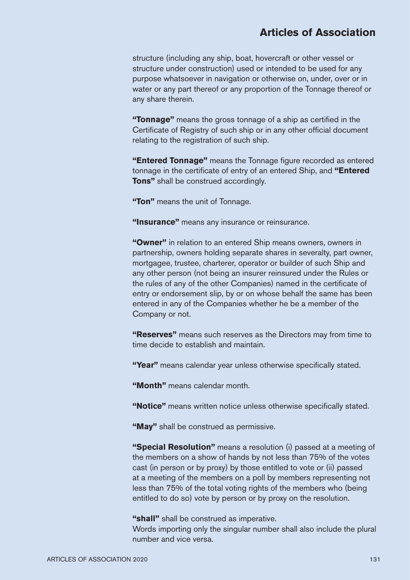structure (including any ship, boat, hovercraft or other vessel or structure under construction) used or intended to be used for any purpose whatsoever in navigation or otherwise on, under, over or in water or any part thereof or any proportion of the Tonnage thereof or any share therein.

**"Tonnage"** means the gross tonnage of a ship as certified in the Certificate of Registry of such ship or in any other official document relating to the registration of such ship.

"**Entered Tonnage**" means the Tonnage figure recorded as entered tonnage in the certificate of entry of an entered Ship, and "Entered **Tons"** shall be construed accordingly.

**"Ton"** means the unit of Tonnage.

**"Insurance"** means any insurance or reinsurance.

**"Owner"** in relation to an entered Ship means owners, owners in partnership, owners holding separate shares in severalty, part owner, mortgagee, trustee, charterer, operator or builder of such Ship and any other person (not being an insurer reinsured under the Rules or the rules of any of the other Companies) named in the certificate of entry or endorsement slip, by or on whose behalf the same has been entered in any of the Companies whether he be a member of the Company or not.

**"Reserves"** means such reserves as the Directors may from time to time decide to establish and maintain.

"Year" means calendar year unless otherwise specifically stated.

**"Month"** means calendar month.

"Notice" means written notice unless otherwise specifically stated.

**"May"** shall be construed as permissive.

**"Special Resolution"** means a resolution (i) passed at a meeting of the members on a show of hands by not less than 75% of the votes cast (in person or by proxy) by those entitled to vote or (ii) passed at a meeting of the members on a poll by members representing not less than 75% of the total voting rights of the members who (being entitled to do so) vote by person or by proxy on the resolution.

**"shall"** shall be construed as imperative.

Words importing only the singular number shall also include the plural number and vice versa.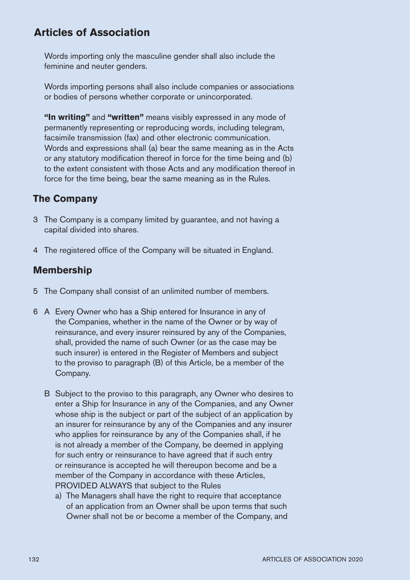Words importing only the masculine gender shall also include the feminine and neuter genders.

Words importing persons shall also include companies or associations or bodies of persons whether corporate or unincorporated.

**"In writing"** and **"written"** means visibly expressed in any mode of permanently representing or reproducing words, including telegram, facsimile transmission (fax) and other electronic communication. Words and expressions shall (a) bear the same meaning as in the Acts or any statutory modification thereof in force for the time being and (b) to the extent consistent with those Acts and any modification thereof in force for the time being, bear the same meaning as in the Rules.

## **The Company**

- 3 The Company is a company limited by guarantee, and not having a capital divided into shares.
- 4 The registered office of the Company will be situated in England.

## **Membership**

- 5 The Company shall consist of an unlimited number of members.
- 6 A Every Owner who has a Ship entered for Insurance in any of the Companies, whether in the name of the Owner or by way of reinsurance, and every insurer reinsured by any of the Companies, shall, provided the name of such Owner (or as the case may be such insurer) is entered in the Register of Members and subject to the proviso to paragraph (B) of this Article, be a member of the Company.
	- B Subject to the proviso to this paragraph, any Owner who desires to enter a Ship for Insurance in any of the Companies, and any Owner whose ship is the subject or part of the subject of an application by an insurer for reinsurance by any of the Companies and any insurer who applies for reinsurance by any of the Companies shall, if he is not already a member of the Company, be deemed in applying for such entry or reinsurance to have agreed that if such entry or reinsurance is accepted he will thereupon become and be a member of the Company in accordance with these Articles, PROVIDED ALWAYS that subject to the Rules
		- a) The Managers shall have the right to require that acceptance of an application from an Owner shall be upon terms that such Owner shall not be or become a member of the Company, and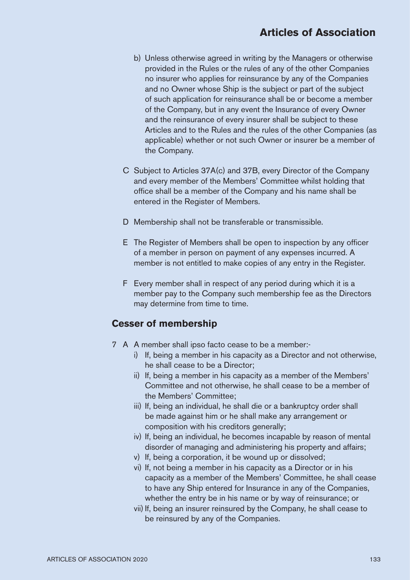- b) Unless otherwise agreed in writing by the Managers or otherwise provided in the Rules or the rules of any of the other Companies no insurer who applies for reinsurance by any of the Companies and no Owner whose Ship is the subject or part of the subject of such application for reinsurance shall be or become a member of the Company, but in any event the Insurance of every Owner and the reinsurance of every insurer shall be subject to these Articles and to the Rules and the rules of the other Companies (as applicable) whether or not such Owner or insurer be a member of the Company.
- C Subject to Articles 37A(c) and 37B, every Director of the Company and every member of the Members' Committee whilst holding that office shall be a member of the Company and his name shall be entered in the Register of Members.
- D Membership shall not be transferable or transmissible.
- E The Register of Members shall be open to inspection by any officer of a member in person on payment of any expenses incurred. A member is not entitled to make copies of any entry in the Register.
- F Every member shall in respect of any period during which it is a member pay to the Company such membership fee as the Directors may determine from time to time.

#### **Cesser of membership**

- 7 A A member shall ipso facto cease to be a member:
	- i) If, being a member in his capacity as a Director and not otherwise, he shall cease to be a Director;
	- ii) If, being a member in his capacity as a member of the Members' Committee and not otherwise, he shall cease to be a member of the Members' Committee;
	- iii) If, being an individual, he shall die or a bankruptcy order shall be made against him or he shall make any arrangement or composition with his creditors generally;
	- iv) If, being an individual, he becomes incapable by reason of mental disorder of managing and administering his property and affairs;
	- v) If, being a corporation, it be wound up or dissolved;
	- vi) If, not being a member in his capacity as a Director or in his capacity as a member of the Members' Committee, he shall cease to have any Ship entered for Insurance in any of the Companies, whether the entry be in his name or by way of reinsurance; or
	- vii) If, being an insurer reinsured by the Company, he shall cease to be reinsured by any of the Companies.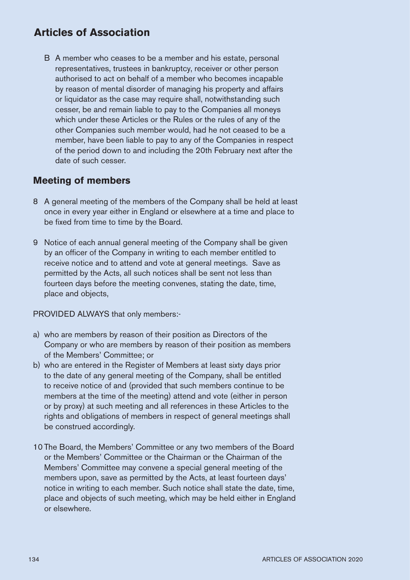B A member who ceases to be a member and his estate, personal representatives, trustees in bankruptcy, receiver or other person authorised to act on behalf of a member who becomes incapable by reason of mental disorder of managing his property and affairs or liquidator as the case may require shall, notwithstanding such cesser, be and remain liable to pay to the Companies all moneys which under these Articles or the Rules or the rules of any of the other Companies such member would, had he not ceased to be a member, have been liable to pay to any of the Companies in respect of the period down to and including the 20th February next after the date of such cesser.

#### **Meeting of members**

- 8 A general meeting of the members of the Company shall be held at least once in every year either in England or elsewhere at a time and place to be fixed from time to time by the Board.
- 9 Notice of each annual general meeting of the Company shall be given by an officer of the Company in writing to each member entitled to receive notice and to attend and vote at general meetings. Save as permitted by the Acts, all such notices shall be sent not less than fourteen days before the meeting convenes, stating the date, time, place and objects,

PROVIDED ALWAYS that only members:-

- a) who are members by reason of their position as Directors of the Company or who are members by reason of their position as members of the Members' Committee; or
- b) who are entered in the Register of Members at least sixty days prior to the date of any general meeting of the Company, shall be entitled to receive notice of and (provided that such members continue to be members at the time of the meeting) attend and vote (either in person or by proxy) at such meeting and all references in these Articles to the rights and obligations of members in respect of general meetings shall be construed accordingly.
- 10 The Board, the Members' Committee or any two members of the Board or the Members' Committee or the Chairman or the Chairman of the Members' Committee may convene a special general meeting of the members upon, save as permitted by the Acts, at least fourteen days' notice in writing to each member. Such notice shall state the date, time, place and objects of such meeting, which may be held either in England or elsewhere.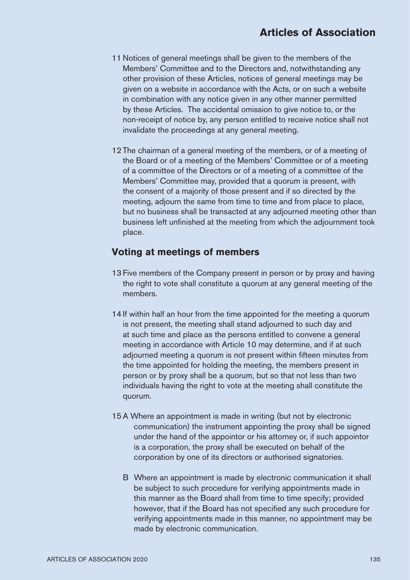- 11 Notices of general meetings shall be given to the members of the Members' Committee and to the Directors and, notwithstanding any other provision of these Articles, notices of general meetings may be given on a website in accordance with the Acts, or on such a website in combination with any notice given in any other manner permitted by these Articles. The accidental omission to give notice to, or the non-receipt of notice by, any person entitled to receive notice shall not invalidate the proceedings at any general meeting.
- 12 The chairman of a general meeting of the members, or of a meeting of the Board or of a meeting of the Members' Committee or of a meeting of a committee of the Directors or of a meeting of a committee of the Members' Committee may, provided that a quorum is present, with the consent of a majority of those present and if so directed by the meeting, adjourn the same from time to time and from place to place, but no business shall be transacted at any adjourned meeting other than business left unfinished at the meeting from which the adjournment took place.

#### **Voting at meetings of members**

- 13 Five members of the Company present in person or by proxy and having the right to vote shall constitute a quorum at any general meeting of the members.
- 14 If within half an hour from the time appointed for the meeting a quorum is not present, the meeting shall stand adjourned to such day and at such time and place as the persons entitled to convene a general meeting in accordance with Article 10 may determine, and if at such adjourned meeting a quorum is not present within fifteen minutes from the time appointed for holding the meeting, the members present in person or by proxy shall be a quorum, but so that not less than two individuals having the right to vote at the meeting shall constitute the quorum.
- 15 A Where an appointment is made in writing (but not by electronic communication) the instrument appointing the proxy shall be signed under the hand of the appointor or his attorney or, if such appointor is a corporation, the proxy shall be executed on behalf of the corporation by one of its directors or authorised signatories.
	- B Where an appointment is made by electronic communication it shall be subject to such procedure for verifying appointments made in this manner as the Board shall from time to time specify; provided however, that if the Board has not specified any such procedure for verifying appointments made in this manner, no appointment may be made by electronic communication.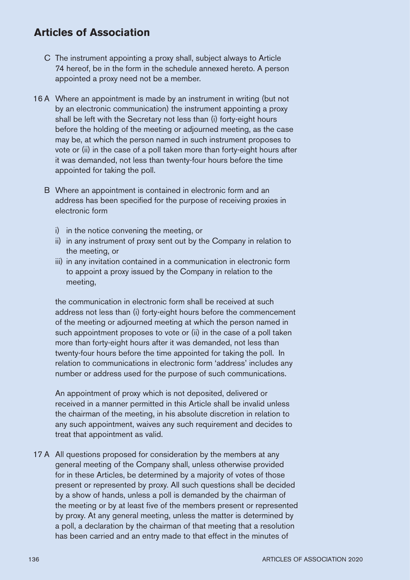- C The instrument appointing a proxy shall, subject always to Article 74 hereof, be in the form in the schedule annexed hereto. A person appointed a proxy need not be a member.
- 16 A Where an appointment is made by an instrument in writing (but not by an electronic communication) the instrument appointing a proxy shall be left with the Secretary not less than (i) forty-eight hours before the holding of the meeting or adjourned meeting, as the case may be, at which the person named in such instrument proposes to vote or (ii) in the case of a poll taken more than forty-eight hours after it was demanded, not less than twenty-four hours before the time appointed for taking the poll.
	- B Where an appointment is contained in electronic form and an address has been specified for the purpose of receiving proxies in electronic form
		- i) in the notice convening the meeting, or
		- ii) in any instrument of proxy sent out by the Company in relation to the meeting, or
		- iii) in any invitation contained in a communication in electronic form to appoint a proxy issued by the Company in relation to the meeting,

the communication in electronic form shall be received at such address not less than (i) forty-eight hours before the commencement of the meeting or adjourned meeting at which the person named in such appointment proposes to vote or (ii) in the case of a poll taken more than forty-eight hours after it was demanded, not less than twenty-four hours before the time appointed for taking the poll. In relation to communications in electronic form 'address' includes any number or address used for the purpose of such communications.

An appointment of proxy which is not deposited, delivered or received in a manner permitted in this Article shall be invalid unless the chairman of the meeting, in his absolute discretion in relation to any such appointment, waives any such requirement and decides to treat that appointment as valid.

17 A All questions proposed for consideration by the members at any general meeting of the Company shall, unless otherwise provided for in these Articles, be determined by a majority of votes of those present or represented by proxy. All such questions shall be decided by a show of hands, unless a poll is demanded by the chairman of the meeting or by at least five of the members present or represented by proxy. At any general meeting, unless the matter is determined by a poll, a declaration by the chairman of that meeting that a resolution has been carried and an entry made to that effect in the minutes of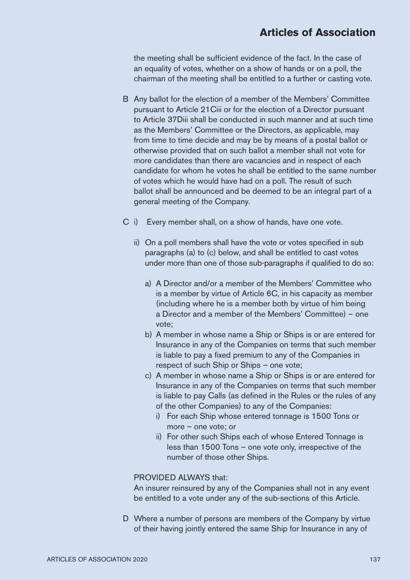the meeting shall be sufficient evidence of the fact. In the case of an equality of votes, whether on a show of hands or on a poll, the chairman of the meeting shall be entitled to a further or casting vote.

- B Any ballot for the election of a member of the Members' Committee pursuant to Article 21Ciii or for the election of a Director pursuant to Article 37Diii shall be conducted in such manner and at such time as the Members' Committee or the Directors, as applicable, may from time to time decide and may be by means of a postal ballot or otherwise provided that on such ballot a member shall not vote for more candidates than there are vacancies and in respect of each candidate for whom he votes he shall be entitled to the same number of votes which he would have had on a poll. The result of such ballot shall be announced and be deemed to be an integral part of a general meeting of the Company.
- C i) Every member shall, on a show of hands, have one vote.
	- ii) On a poll members shall have the vote or votes specified in sub paragraphs (a) to (c) below, and shall be entitled to cast votes under more than one of those sub-paragraphs if qualified to do so:
		- a) A Director and/or a member of the Members' Committee who is a member by virtue of Article 6C, in his capacity as member (including where he is a member both by virtue of him being a Director and a member of the Members' Committee) – one vote;
		- b) A member in whose name a Ship or Ships is or are entered for Insurance in any of the Companies on terms that such member is liable to pay a fixed premium to any of the Companies in respect of such Ship or Ships – one vote;
		- c) A member in whose name a Ship or Ships is or are entered for Insurance in any of the Companies on terms that such member is liable to pay Calls (as defined in the Rules or the rules of any of the other Companies) to any of the Companies:
			- i) For each Ship whose entered tonnage is 1500 Tons or more – one vote; or
			- ii) For other such Ships each of whose Entered Tonnage is less than 1500 Tons – one vote only, irrespective of the number of those other Ships.

#### PROVIDED AI WAYS that:

An insurer reinsured by any of the Companies shall not in any event be entitled to a vote under any of the sub-sections of this Article.

 D Where a number of persons are members of the Company by virtue of their having jointly entered the same Ship for Insurance in any of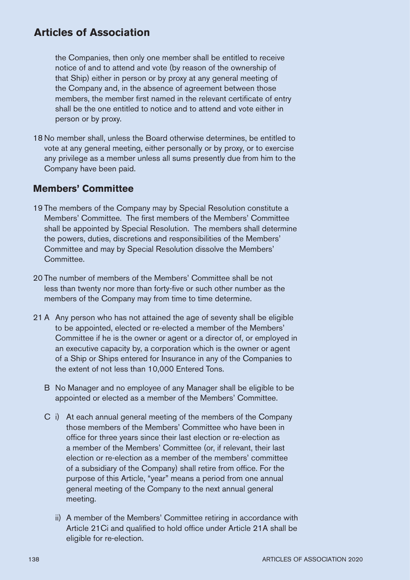the Companies, then only one member shall be entitled to receive notice of and to attend and vote (by reason of the ownership of that Ship) either in person or by proxy at any general meeting of the Company and, in the absence of agreement between those members, the member first named in the relevant certificate of entry shall be the one entitled to notice and to attend and vote either in person or by proxy.

18 No member shall, unless the Board otherwise determines, be entitled to vote at any general meeting, either personally or by proxy, or to exercise any privilege as a member unless all sums presently due from him to the Company have been paid.

#### **Members' Committee**

- 19 The members of the Company may by Special Resolution constitute a Members' Committee. The first members of the Members' Committee shall be appointed by Special Resolution. The members shall determine the powers, duties, discretions and responsibilities of the Members' Committee and may by Special Resolution dissolve the Members' **Committee**
- 20 The number of members of the Members' Committee shall be not less than twenty nor more than forty-five or such other number as the members of the Company may from time to time determine.
- 21 A Any person who has not attained the age of seventy shall be eligible to be appointed, elected or re-elected a member of the Members' Committee if he is the owner or agent or a director of, or employed in an executive capacity by, a corporation which is the owner or agent of a Ship or Ships entered for Insurance in any of the Companies to the extent of not less than 10,000 Entered Tons.
	- B No Manager and no employee of any Manager shall be eligible to be appointed or elected as a member of the Members' Committee.
	- C i) At each annual general meeting of the members of the Company those members of the Members' Committee who have been in office for three years since their last election or re-election as a member of the Members' Committee (or, if relevant, their last election or re-election as a member of the members' committee of a subsidiary of the Company) shall retire from office. For the purpose of this Article, "year" means a period from one annual general meeting of the Company to the next annual general meeting.
		- ii) A member of the Members' Committee retiring in accordance with Article 21Ci and qualified to hold office under Article 21A shall be eligible for re-election.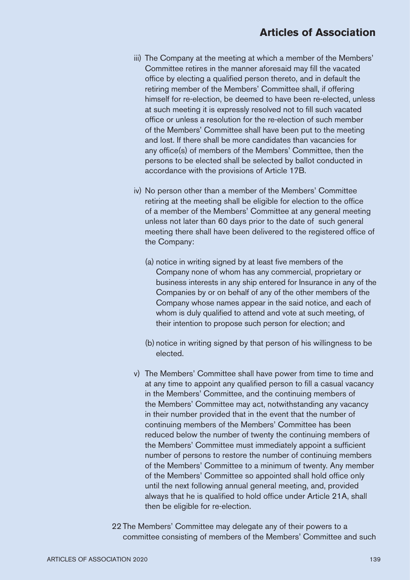- iii) The Company at the meeting at which a member of the Members' Committee retires in the manner aforesaid may fill the vacated office by electing a qualified person thereto, and in default the retiring member of the Members' Committee shall, if offering himself for re-election, be deemed to have been re-elected, unless at such meeting it is expressly resolved not to fill such vacated office or unless a resolution for the re-election of such member of the Members' Committee shall have been put to the meeting and lost. If there shall be more candidates than vacancies for any office(s) of members of the Members' Committee, then the persons to be elected shall be selected by ballot conducted in accordance with the provisions of Article 17B.
- iv) No person other than a member of the Members' Committee retiring at the meeting shall be eligible for election to the office of a member of the Members' Committee at any general meeting unless not later than 60 days prior to the date of such general meeting there shall have been delivered to the registered office of the Company:
	- (a) notice in writing signed by at least five members of the Company none of whom has any commercial, proprietary or business interests in any ship entered for Insurance in any of the Companies by or on behalf of any of the other members of the Company whose names appear in the said notice, and each of whom is duly qualified to attend and vote at such meeting, of their intention to propose such person for election; and
	- (b) notice in writing signed by that person of his willingness to be elected.
- v) The Members' Committee shall have power from time to time and at any time to appoint any qualified person to fill a casual vacancy in the Members' Committee, and the continuing members of the Members' Committee may act, notwithstanding any vacancy in their number provided that in the event that the number of continuing members of the Members' Committee has been reduced below the number of twenty the continuing members of the Members' Committee must immediately appoint a sufficient number of persons to restore the number of continuing members of the Members' Committee to a minimum of twenty. Any member of the Members' Committee so appointed shall hold office only until the next following annual general meeting, and, provided always that he is qualified to hold office under Article 21A, shall then be eligible for re-election.
- 22 The Members' Committee may delegate any of their powers to a committee consisting of members of the Members' Committee and such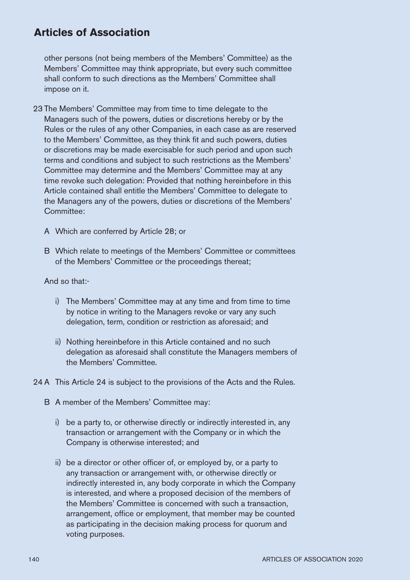other persons (not being members of the Members' Committee) as the Members' Committee may think appropriate, but every such committee shall conform to such directions as the Members' Committee shall impose on it.

- 23 The Members' Committee may from time to time delegate to the Managers such of the powers, duties or discretions hereby or by the Rules or the rules of any other Companies, in each case as are reserved to the Members' Committee, as they think fit and such powers, duties or discretions may be made exercisable for such period and upon such terms and conditions and subject to such restrictions as the Members' Committee may determine and the Members' Committee may at any time revoke such delegation: Provided that nothing hereinbefore in this Article contained shall entitle the Members' Committee to delegate to the Managers any of the powers, duties or discretions of the Members' Committee:
	- A Which are conferred by Article 28; or
	- B Which relate to meetings of the Members' Committee or committees of the Members' Committee or the proceedings thereat;

#### And so that:-

- i) The Members' Committee may at any time and from time to time by notice in writing to the Managers revoke or vary any such delegation, term, condition or restriction as aforesaid; and
- ii) Nothing hereinbefore in this Article contained and no such delegation as aforesaid shall constitute the Managers members of the Members' Committee.
- 24 A This Article 24 is subject to the provisions of the Acts and the Rules.
	- B A member of the Members' Committee may:
		- i) be a party to, or otherwise directly or indirectly interested in, any transaction or arrangement with the Company or in which the Company is otherwise interested; and
		- $\overline{H}$  ii) be a director or other officer of, or employed by, or a party to any transaction or arrangement with, or otherwise directly or indirectly interested in, any body corporate in which the Company is interested, and where a proposed decision of the members of the Members' Committee is concerned with such a transaction, arrangement, office or employment, that member may be counted as participating in the decision making process for quorum and voting purposes.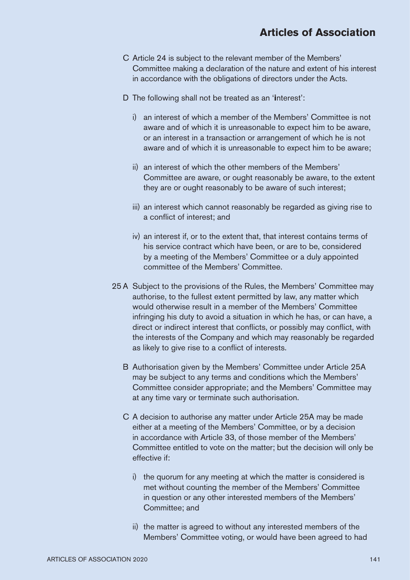- C Article 24 is subject to the relevant member of the Members' Committee making a declaration of the nature and extent of his interest in accordance with the obligations of directors under the Acts.
- D The following shall not be treated as an '**i**nterest':
	- i) an interest of which a member of the Members' Committee is not aware and of which it is unreasonable to expect him to be aware, or an interest in a transaction or arrangement of which he is not aware and of which it is unreasonable to expect him to be aware;
	- ii) an interest of which the other members of the Members' Committee are aware, or ought reasonably be aware, to the extent they are or ought reasonably to be aware of such interest;
	- iii) an interest which cannot reasonably be regarded as giving rise to a conflict of interest; and
	- iv) an interest if, or to the extent that, that interest contains terms of his service contract which have been, or are to be, considered by a meeting of the Members' Committee or a duly appointed committee of the Members' Committee.
- 25 A Subject to the provisions of the Rules, the Members' Committee may authorise, to the fullest extent permitted by law, any matter which would otherwise result in a member of the Members' Committee infringing his duty to avoid a situation in which he has, or can have, a direct or indirect interest that conflicts, or possibly may conflict, with the interests of the Company and which may reasonably be regarded as likely to give rise to a conflict of interests.
	- B Authorisation given by the Members' Committee under Article 25A may be subject to any terms and conditions which the Members' Committee consider appropriate; and the Members' Committee may at any time vary or terminate such authorisation.
	- C A decision to authorise any matter under Article 25A may be made either at a meeting of the Members' Committee, or by a decision in accordance with Article 33, of those member of the Members' Committee entitled to vote on the matter; but the decision will only be effective if:
		- i) the quorum for any meeting at which the matter is considered is met without counting the member of the Members' Committee in question or any other interested members of the Members' Committee; and
		- ii) the matter is agreed to without any interested members of the Members' Committee voting, or would have been agreed to had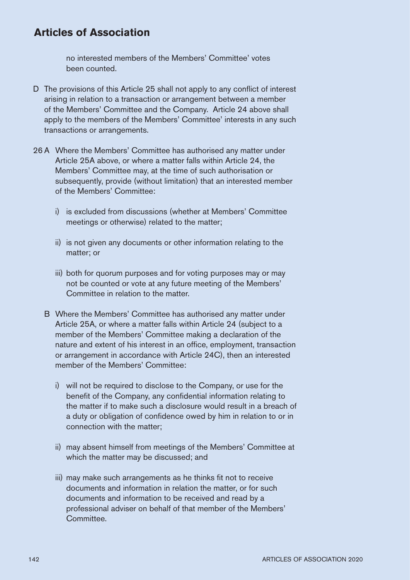no interested members of the Members' Committee' votes been counted.

- D The provisions of this Article 25 shall not apply to any conflict of interest arising in relation to a transaction or arrangement between a member of the Members' Committee and the Company. Article 24 above shall apply to the members of the Members' Committee' interests in any such transactions or arrangements.
- 26 A Where the Members' Committee has authorised any matter under Article 25A above, or where a matter falls within Article 24, the Members' Committee may, at the time of such authorisation or subsequently, provide (without limitation) that an interested member of the Members' Committee:
	- i) is excluded from discussions (whether at Members' Committee meetings or otherwise) related to the matter;
	- ii) is not given any documents or other information relating to the matter; or
	- iii) both for quorum purposes and for voting purposes may or may not be counted or vote at any future meeting of the Members' Committee in relation to the matter.
	- B Where the Members' Committee has authorised any matter under Article 25A, or where a matter falls within Article 24 (subject to a member of the Members' Committee making a declaration of the nature and extent of his interest in an office, employment, transaction or arrangement in accordance with Article 24C), then an interested member of the Members' Committee:
		- i) will not be required to disclose to the Company, or use for the benefit of the Company, any confidential information relating to the matter if to make such a disclosure would result in a breach of a duty or obligation of confidence owed by him in relation to or in connection with the matter;
		- ii) may absent himself from meetings of the Members' Committee at which the matter may be discussed; and
		- iii) may make such arrangements as he thinks fit not to receive documents and information in relation the matter, or for such documents and information to be received and read by a professional adviser on behalf of that member of the Members' **Committee**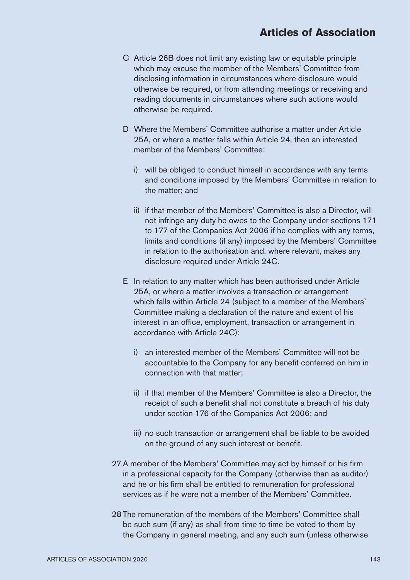- C Article 26B does not limit any existing law or equitable principle which may excuse the member of the Members' Committee from disclosing information in circumstances where disclosure would otherwise be required, or from attending meetings or receiving and reading documents in circumstances where such actions would otherwise be required.
- D Where the Members' Committee authorise a matter under Article 25A, or where a matter falls within Article 24, then an interested member of the Members' Committee:
	- i) will be obliged to conduct himself in accordance with any terms and conditions imposed by the Members' Committee in relation to the matter; and
	- ii) if that member of the Members' Committee is also a Director, will not infringe any duty he owes to the Company under sections 171 to 177 of the Companies Act 2006 if he complies with any terms, limits and conditions (if any) imposed by the Members' Committee in relation to the authorisation and, where relevant, makes any disclosure required under Article 24C.
- E In relation to any matter which has been authorised under Article 25A, or where a matter involves a transaction or arrangement which falls within Article 24 (subject to a member of the Members' Committee making a declaration of the nature and extent of his interest in an office, employment, transaction or arrangement in accordance with Article 24C):
	- i) an interested member of the Members' Committee will not be accountable to the Company for any benefit conferred on him in connection with that matter;
	- ii) if that member of the Members' Committee is also a Director, the receipt of such a benefit shall not constitute a breach of his duty under section 176 of the Companies Act 2006; and
	- iii) no such transaction or arrangement shall be liable to be avoided on the ground of any such interest or benefit.
- 27 A member of the Members' Committee may act by himself or his firm in a professional capacity for the Company (otherwise than as auditor) and he or his firm shall be entitled to remuneration for professional services as if he were not a member of the Members' Committee.
- 28 The remuneration of the members of the Members' Committee shall be such sum (if any) as shall from time to time be voted to them by the Company in general meeting, and any such sum (unless otherwise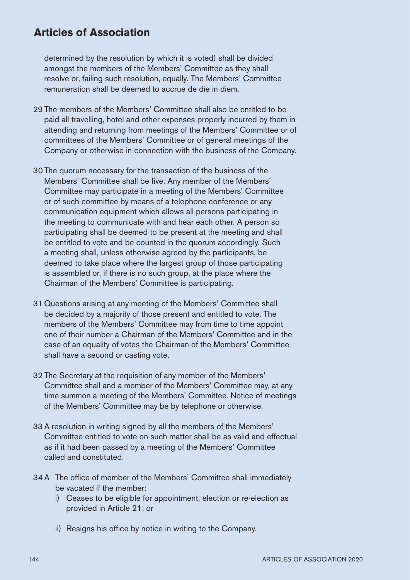determined by the resolution by which it is voted) shall be divided amongst the members of the Members' Committee as they shall resolve or, failing such resolution, equally. The Members' Committee remuneration shall be deemed to accrue de die in diem.

- 29 The members of the Members' Committee shall also be entitled to be paid all travelling, hotel and other expenses properly incurred by them in attending and returning from meetings of the Members' Committee or of committees of the Members' Committee or of general meetings of the Company or otherwise in connection with the business of the Company.
- 30 The quorum necessary for the transaction of the business of the Members' Committee shall be five. Any member of the Members' Committee may participate in a meeting of the Members' Committee or of such committee by means of a telephone conference or any communication equipment which allows all persons participating in the meeting to communicate with and hear each other. A person so participating shall be deemed to be present at the meeting and shall be entitled to vote and be counted in the quorum accordingly. Such a meeting shall, unless otherwise agreed by the participants, be deemed to take place where the largest group of those participating is assembled or, if there is no such group, at the place where the Chairman of the Members' Committee is participating.
- 31 Questions arising at any meeting of the Members' Committee shall be decided by a majority of those present and entitled to vote. The members of the Members' Committee may from time to time appoint one of their number a Chairman of the Members' Committee and in the case of an equality of votes the Chairman of the Members' Committee shall have a second or casting vote.
- 32 The Secretary at the requisition of any member of the Members' Committee shall and a member of the Members' Committee may, at any time summon a meeting of the Members' Committee. Notice of meetings of the Members' Committee may be by telephone or otherwise.
- 33 A resolution in writing signed by all the members of the Members' Committee entitled to vote on such matter shall be as valid and effectual as if it had been passed by a meeting of the Members' Committee called and constituted.
- 34 A The office of member of the Members' Committee shall immediately be vacated if the member:
	- i) Ceases to be eligible for appointment, election or re-election as provided in Article 21; or
	- ii) Resigns his office by notice in writing to the Company.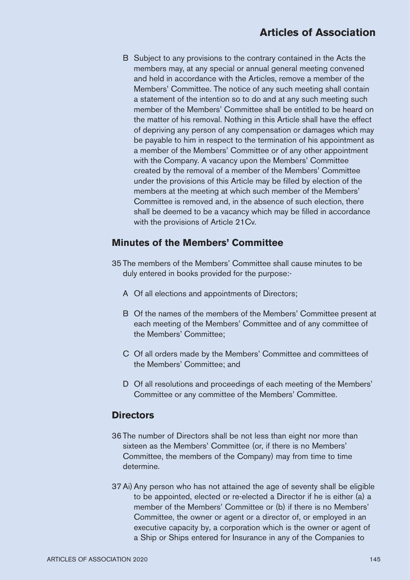B Subject to any provisions to the contrary contained in the Acts the members may, at any special or annual general meeting convened and held in accordance with the Articles, remove a member of the Members' Committee. The notice of any such meeting shall contain a statement of the intention so to do and at any such meeting such member of the Members' Committee shall be entitled to be heard on the matter of his removal. Nothing in this Article shall have the effect of depriving any person of any compensation or damages which may be payable to him in respect to the termination of his appointment as a member of the Members' Committee or of any other appointment with the Company. A vacancy upon the Members' Committee created by the removal of a member of the Members' Committee under the provisions of this Article may be filled by election of the members at the meeting at which such member of the Members' Committee is removed and, in the absence of such election, there shall be deemed to be a vacancy which may be filled in accordance with the provisions of Article 21Cv.

# **Minutes of the Members' Committee**

- 35 The members of the Members' Committee shall cause minutes to be duly entered in books provided for the purpose:-
	- A Of all elections and appointments of Directors;
	- B Of the names of the members of the Members' Committee present at each meeting of the Members' Committee and of any committee of the Members' Committee;
	- C Of all orders made by the Members' Committee and committees of the Members' Committee; and
	- D Of all resolutions and proceedings of each meeting of the Members' Committee or any committee of the Members' Committee.

#### **Directors**

- 36 The number of Directors shall be not less than eight nor more than sixteen as the Members' Committee (or, if there is no Members' Committee, the members of the Company) may from time to time determine.
- 37 Ai) Any person who has not attained the age of seventy shall be eligible to be appointed, elected or re-elected a Director if he is either (a) a member of the Members' Committee or (b) if there is no Members' Committee, the owner or agent or a director of, or employed in an executive capacity by, a corporation which is the owner or agent of a Ship or Ships entered for Insurance in any of the Companies to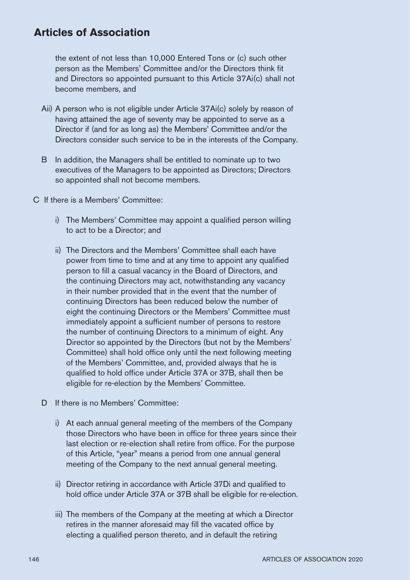the extent of not less than 10,000 Entered Tons or (c) such other person as the Members' Committee and/or the Directors think fit and Directors so appointed pursuant to this Article 37Ai(c) shall not become members, and

- Aii) A person who is not eligible under Article 37Ai(c) solely by reason of having attained the age of seventy may be appointed to serve as a Director if (and for as long as) the Members' Committee and/or the Directors consider such service to be in the interests of the Company.
- B In addition, the Managers shall be entitled to nominate up to two executives of the Managers to be appointed as Directors; Directors so appointed shall not become members.
- C If there is a Members' Committee:
	- i) The Members' Committee may appoint a qualified person willing to act to be a Director; and
	- ii) The Directors and the Members' Committee shall each have power from time to time and at any time to appoint any qualified person to fill a casual vacancy in the Board of Directors, and the continuing Directors may act, notwithstanding any vacancy in their number provided that in the event that the number of continuing Directors has been reduced below the number of eight the continuing Directors or the Members' Committee must immediately appoint a sufficient number of persons to restore the number of continuing Directors to a minimum of eight. Any Director so appointed by the Directors (but not by the Members' Committee) shall hold office only until the next following meeting of the Members' Committee, and, provided always that he is qualified to hold office under Article 37A or 37B, shall then be eligible for re-election by the Members' Committee.
	- D If there is no Members' Committee:
		- i) At each annual general meeting of the members of the Company those Directors who have been in office for three years since their last election or re-election shall retire from office. For the purpose of this Article, "year" means a period from one annual general meeting of the Company to the next annual general meeting.
		- ii) Director retiring in accordance with Article 37Di and qualified to hold office under Article 37A or 37B shall be eligible for re-election.
		- iii) The members of the Company at the meeting at which a Director retires in the manner aforesaid may fill the vacated office by electing a qualified person thereto, and in default the retiring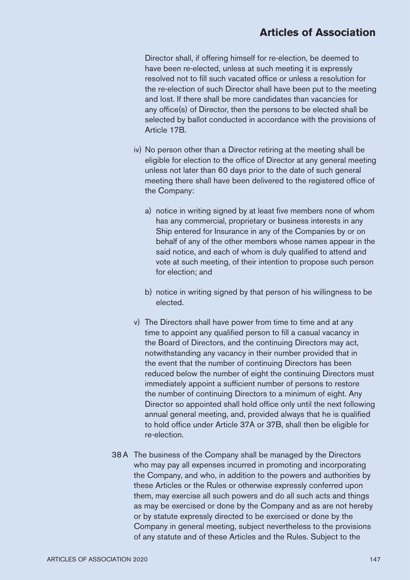Director shall, if offering himself for re-election, be deemed to have been re-elected, unless at such meeting it is expressly resolved not to fill such vacated office or unless a resolution for the re-election of such Director shall have been put to the meeting and lost. If there shall be more candidates than vacancies for any office(s) of Director, then the persons to be elected shall be selected by ballot conducted in accordance with the provisions of Article 17B.

- iv) No person other than a Director retiring at the meeting shall be eligible for election to the office of Director at any general meeting unless not later than 60 days prior to the date of such general meeting there shall have been delivered to the registered office of the Company:
	- a) notice in writing signed by at least five members none of whom has any commercial, proprietary or business interests in any Ship entered for Insurance in any of the Companies by or on behalf of any of the other members whose names appear in the said notice, and each of whom is duly qualified to attend and vote at such meeting, of their intention to propose such person for election; and
	- b) notice in writing signed by that person of his willingness to be elected.
- v) The Directors shall have power from time to time and at any time to appoint any qualified person to fill a casual vacancy in the Board of Directors, and the continuing Directors may act, notwithstanding any vacancy in their number provided that in the event that the number of continuing Directors has been reduced below the number of eight the continuing Directors must immediately appoint a sufficient number of persons to restore the number of continuing Directors to a minimum of eight. Any Director so appointed shall hold office only until the next following annual general meeting, and, provided always that he is qualified to hold office under Article 37A or 37B, shall then be eligible for re-election.
- 38 A The business of the Company shall be managed by the Directors who may pay all expenses incurred in promoting and incorporating the Company, and who, in addition to the powers and authorities by these Articles or the Rules or otherwise expressly conferred upon them, may exercise all such powers and do all such acts and things as may be exercised or done by the Company and as are not hereby or by statute expressly directed to be exercised or done by the Company in general meeting, subject nevertheless to the provisions of any statute and of these Articles and the Rules. Subject to the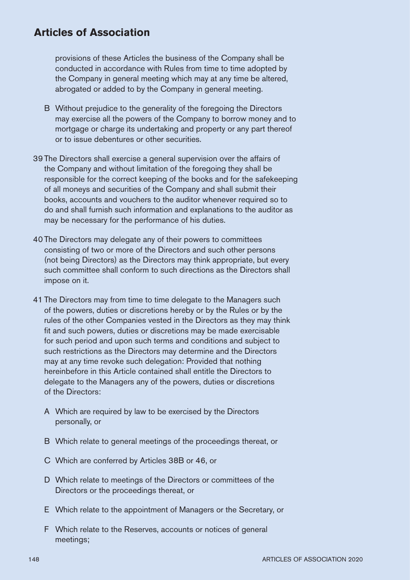provisions of these Articles the business of the Company shall be conducted in accordance with Rules from time to time adopted by the Company in general meeting which may at any time be altered, abrogated or added to by the Company in general meeting.

- B Without prejudice to the generality of the foregoing the Directors may exercise all the powers of the Company to borrow money and to mortgage or charge its undertaking and property or any part thereof or to issue debentures or other securities.
- 39 The Directors shall exercise a general supervision over the affairs of the Company and without limitation of the foregoing they shall be responsible for the correct keeping of the books and for the safekeeping of all moneys and securities of the Company and shall submit their books, accounts and vouchers to the auditor whenever required so to do and shall furnish such information and explanations to the auditor as may be necessary for the performance of his duties.
- 40 The Directors may delegate any of their powers to committees consisting of two or more of the Directors and such other persons (not being Directors) as the Directors may think appropriate, but every such committee shall conform to such directions as the Directors shall impose on it.
- 41 The Directors may from time to time delegate to the Managers such of the powers, duties or discretions hereby or by the Rules or by the rules of the other Companies vested in the Directors as they may think fit and such powers, duties or discretions may be made exercisable for such period and upon such terms and conditions and subject to such restrictions as the Directors may determine and the Directors may at any time revoke such delegation: Provided that nothing hereinbefore in this Article contained shall entitle the Directors to delegate to the Managers any of the powers, duties or discretions of the Directors:
	- A Which are required by law to be exercised by the Directors personally, or
	- B Which relate to general meetings of the proceedings thereat, or
	- C Which are conferred by Articles 38B or 46, or
	- D Which relate to meetings of the Directors or committees of the Directors or the proceedings thereat, or
	- E Which relate to the appointment of Managers or the Secretary, or
	- F Which relate to the Reserves, accounts or notices of general meetings;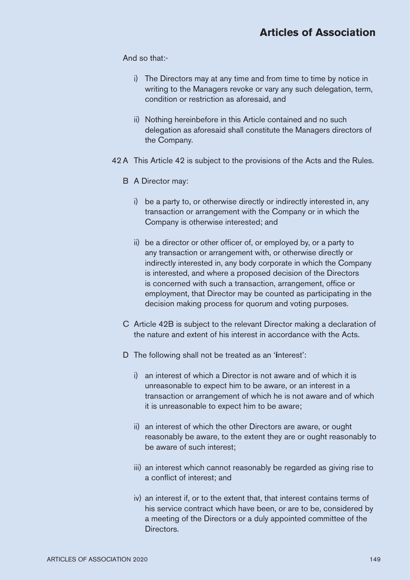And so that:-

- i) The Directors may at any time and from time to time by notice in writing to the Managers revoke or vary any such delegation, term, condition or restriction as aforesaid, and
- ii) Nothing hereinbefore in this Article contained and no such delegation as aforesaid shall constitute the Managers directors of the Company.
- 42 A This Article 42 is subject to the provisions of the Acts and the Rules.
	- B A Director may:
		- i) be a party to, or otherwise directly or indirectly interested in, any transaction or arrangement with the Company or in which the Company is otherwise interested; and
		- ii) be a director or other officer of, or employed by, or a party to any transaction or arrangement with, or otherwise directly or indirectly interested in, any body corporate in which the Company is interested, and where a proposed decision of the Directors is concerned with such a transaction, arrangement, office or employment, that Director may be counted as participating in the decision making process for quorum and voting purposes.
	- C Article 42B is subject to the relevant Director making a declaration of the nature and extent of his interest in accordance with the Acts.
	- D The following shall not be treated as an '**i**nterest':
		- i) an interest of which a Director is not aware and of which it is unreasonable to expect him to be aware, or an interest in a transaction or arrangement of which he is not aware and of which it is unreasonable to expect him to be aware;
		- ii) an interest of which the other Directors are aware, or ought reasonably be aware, to the extent they are or ought reasonably to be aware of such interest;
		- iii) an interest which cannot reasonably be regarded as giving rise to a conflict of interest; and
		- iv) an interest if, or to the extent that, that interest contains terms of his service contract which have been, or are to be, considered by a meeting of the Directors or a duly appointed committee of the Directors.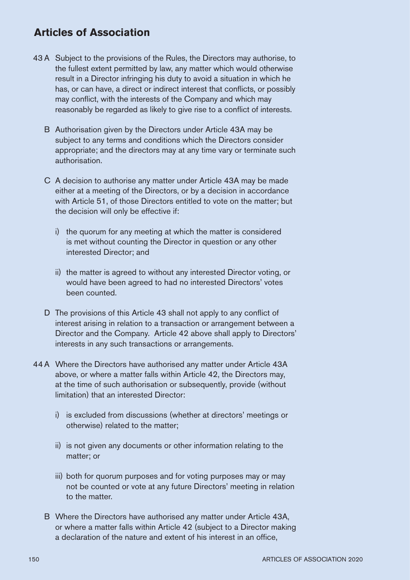- 43 A Subject to the provisions of the Rules, the Directors may authorise, to the fullest extent permitted by law, any matter which would otherwise result in a Director infringing his duty to avoid a situation in which he has, or can have, a direct or indirect interest that conflicts, or possibly may conflict, with the interests of the Company and which may reasonably be regarded as likely to give rise to a conflict of interests.
	- B Authorisation given by the Directors under Article 43A may be subject to any terms and conditions which the Directors consider appropriate; and the directors may at any time vary or terminate such authorisation.
	- C A decision to authorise any matter under Article 43A may be made either at a meeting of the Directors, or by a decision in accordance with Article 51, of those Directors entitled to vote on the matter; but the decision will only be effective if:
		- i) the quorum for any meeting at which the matter is considered is met without counting the Director in question or any other interested Director; and
		- ii) the matter is agreed to without any interested Director voting, or would have been agreed to had no interested Directors' votes been counted.
	- D The provisions of this Article 43 shall not apply to any conflict of interest arising in relation to a transaction or arrangement between a Director and the Company. Article 42 above shall apply to Directors' interests in any such transactions or arrangements.
- 44 A Where the Directors have authorised any matter under Article 43A above, or where a matter falls within Article 42, the Directors may, at the time of such authorisation or subsequently, provide (without limitation) that an interested Director:
	- i) is excluded from discussions (whether at directors' meetings or otherwise) related to the matter;
	- ii) is not given any documents or other information relating to the matter; or
	- iii) both for quorum purposes and for voting purposes may or may not be counted or vote at any future Directors' meeting in relation to the matter.
	- B Where the Directors have authorised any matter under Article 43A, or where a matter falls within Article 42 (subject to a Director making a declaration of the nature and extent of his interest in an office.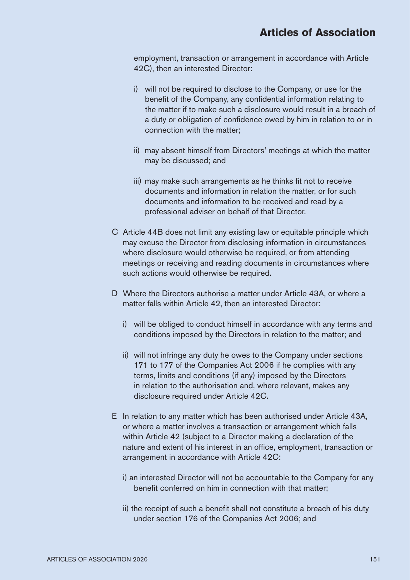employment, transaction or arrangement in accordance with Article 42C), then an interested Director:

- i) will not be required to disclose to the Company, or use for the benefit of the Company, any confidential information relating to the matter if to make such a disclosure would result in a breach of a duty or obligation of confidence owed by him in relation to or in connection with the matter;
- ii) may absent himself from Directors' meetings at which the matter may be discussed; and
- iii) may make such arrangements as he thinks fit not to receive documents and information in relation the matter, or for such documents and information to be received and read by a professional adviser on behalf of that Director.
- C Article 44B does not limit any existing law or equitable principle which may excuse the Director from disclosing information in circumstances where disclosure would otherwise be required, or from attending meetings or receiving and reading documents in circumstances where such actions would otherwise be required.
- D Where the Directors authorise a matter under Article 43A, or where a matter falls within Article 42, then an interested Director:
	- i) will be obliged to conduct himself in accordance with any terms and conditions imposed by the Directors in relation to the matter; and
	- ii) will not infringe any duty he owes to the Company under sections 171 to 177 of the Companies Act 2006 if he complies with any terms, limits and conditions (if any) imposed by the Directors in relation to the authorisation and, where relevant, makes any disclosure required under Article 42C.
- E In relation to any matter which has been authorised under Article 43A, or where a matter involves a transaction or arrangement which falls within Article 42 (subject to a Director making a declaration of the nature and extent of his interest in an office, employment, transaction or arrangement in accordance with Article 42C:
	- i) an interested Director will not be accountable to the Company for any benefit conferred on him in connection with that matter;
	- ii) the receipt of such a benefit shall not constitute a breach of his duty under section 176 of the Companies Act 2006; and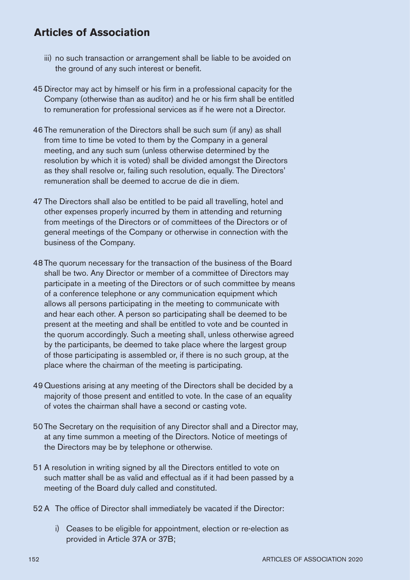- iii) no such transaction or arrangement shall be liable to be avoided on the ground of any such interest or benefit.
- 45 Director may act by himself or his firm in a professional capacity for the Company (otherwise than as auditor) and he or his firm shall be entitled to remuneration for professional services as if he were not a Director.
- 46 The remuneration of the Directors shall be such sum (if any) as shall from time to time be voted to them by the Company in a general meeting, and any such sum (unless otherwise determined by the resolution by which it is voted) shall be divided amongst the Directors as they shall resolve or, failing such resolution, equally. The Directors' remuneration shall be deemed to accrue de die in diem.
- 47 The Directors shall also be entitled to be paid all travelling, hotel and other expenses properly incurred by them in attending and returning from meetings of the Directors or of committees of the Directors or of general meetings of the Company or otherwise in connection with the business of the Company.
- 48 The quorum necessary for the transaction of the business of the Board shall be two. Any Director or member of a committee of Directors may participate in a meeting of the Directors or of such committee by means of a conference telephone or any communication equipment which allows all persons participating in the meeting to communicate with and hear each other. A person so participating shall be deemed to be present at the meeting and shall be entitled to vote and be counted in the quorum accordingly. Such a meeting shall, unless otherwise agreed by the participants, be deemed to take place where the largest group of those participating is assembled or, if there is no such group, at the place where the chairman of the meeting is participating.
- 49 Questions arising at any meeting of the Directors shall be decided by a majority of those present and entitled to vote. In the case of an equality of votes the chairman shall have a second or casting vote.
- 50 The Secretary on the requisition of any Director shall and a Director may, at any time summon a meeting of the Directors. Notice of meetings of the Directors may be by telephone or otherwise.
- 51 A resolution in writing signed by all the Directors entitled to vote on such matter shall be as valid and effectual as if it had been passed by a meeting of the Board duly called and constituted.
- 52 A The office of Director shall immediately be vacated if the Director:
	- i) Ceases to be eligible for appointment, election or re-election as provided in Article 37A or 37B;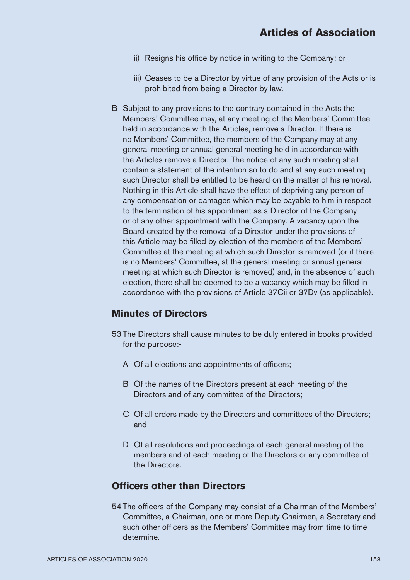- ii) Resigns his office by notice in writing to the Company; or
- iii) Ceases to be a Director by virtue of any provision of the Acts or is prohibited from being a Director by law.
- B Subject to any provisions to the contrary contained in the Acts the Members' Committee may, at any meeting of the Members' Committee held in accordance with the Articles, remove a Director. If there is no Members' Committee, the members of the Company may at any general meeting or annual general meeting held in accordance with the Articles remove a Director. The notice of any such meeting shall contain a statement of the intention so to do and at any such meeting such Director shall be entitled to be heard on the matter of his removal. Nothing in this Article shall have the effect of depriving any person of any compensation or damages which may be payable to him in respect to the termination of his appointment as a Director of the Company or of any other appointment with the Company. A vacancy upon the Board created by the removal of a Director under the provisions of this Article may be filled by election of the members of the Members' Committee at the meeting at which such Director is removed (or if there is no Members' Committee, at the general meeting or annual general meeting at which such Director is removed) and, in the absence of such election, there shall be deemed to be a vacancy which may be filled in accordance with the provisions of Article 37Cii or 37Dv (as applicable).

## **Minutes of Directors**

- 53 The Directors shall cause minutes to be duly entered in books provided for the purpose:-
	- A Of all elections and appointments of officers:
	- B Of the names of the Directors present at each meeting of the Directors and of any committee of the Directors;
	- C Of all orders made by the Directors and committees of the Directors; and
	- D Of all resolutions and proceedings of each general meeting of the members and of each meeting of the Directors or any committee of the Directors.

## **Officers other than Directors**

54 The officers of the Company may consist of a Chairman of the Members' Committee, a Chairman, one or more Deputy Chairmen, a Secretary and such other officers as the Members' Committee may from time to time determine.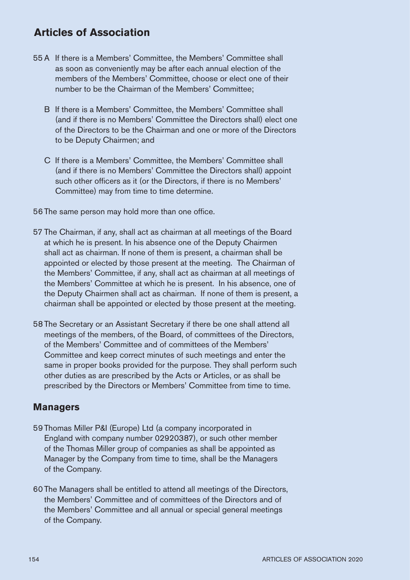- 55 A If there is a Members' Committee, the Members' Committee shall as soon as conveniently may be after each annual election of the members of the Members' Committee, choose or elect one of their number to be the Chairman of the Members' Committee;
	- B If there is a Members' Committee, the Members' Committee shall (and if there is no Members' Committee the Directors shall) elect one of the Directors to be the Chairman and one or more of the Directors to be Deputy Chairmen; and
	- C If there is a Members' Committee, the Members' Committee shall (and if there is no Members' Committee the Directors shall) appoint such other officers as it (or the Directors, if there is no Members' Committee) may from time to time determine.
- 56 The same person may hold more than one office.
- 57 The Chairman, if any, shall act as chairman at all meetings of the Board at which he is present. In his absence one of the Deputy Chairmen shall act as chairman. If none of them is present, a chairman shall be appointed or elected by those present at the meeting. The Chairman of the Members' Committee, if any, shall act as chairman at all meetings of the Members' Committee at which he is present. In his absence, one of the Deputy Chairmen shall act as chairman. If none of them is present, a chairman shall be appointed or elected by those present at the meeting.
- 58 The Secretary or an Assistant Secretary if there be one shall attend all meetings of the members, of the Board, of committees of the Directors, of the Members' Committee and of committees of the Members' Committee and keep correct minutes of such meetings and enter the same in proper books provided for the purpose. They shall perform such other duties as are prescribed by the Acts or Articles, or as shall be prescribed by the Directors or Members' Committee from time to time.

#### **Managers**

- 59 Thomas Miller P&I (Europe) Ltd (a company incorporated in England with company number 02920387), or such other member of the Thomas Miller group of companies as shall be appointed as Manager by the Company from time to time, shall be the Managers of the Company.
- 60 The Managers shall be entitled to attend all meetings of the Directors, the Members' Committee and of committees of the Directors and of the Members' Committee and all annual or special general meetings of the Company.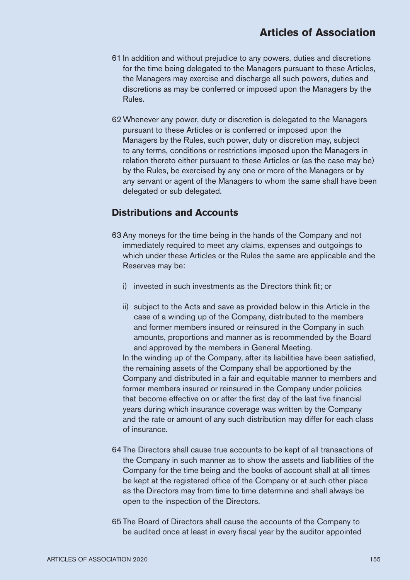- 61 In addition and without prejudice to any powers, duties and discretions for the time being delegated to the Managers pursuant to these Articles, the Managers may exercise and discharge all such powers, duties and discretions as may be conferred or imposed upon the Managers by the Rules.
- 62 Whenever any power, duty or discretion is delegated to the Managers pursuant to these Articles or is conferred or imposed upon the Managers by the Rules, such power, duty or discretion may, subject to any terms, conditions or restrictions imposed upon the Managers in relation thereto either pursuant to these Articles or (as the case may be) by the Rules, be exercised by any one or more of the Managers or by any servant or agent of the Managers to whom the same shall have been delegated or sub delegated.

## **Distributions and Accounts**

- 63 Any moneys for the time being in the hands of the Company and not immediately required to meet any claims, expenses and outgoings to which under these Articles or the Rules the same are applicable and the Reserves may be:
	- i) invested in such investments as the Directors think fit; or
	- ii) subject to the Acts and save as provided below in this Article in the case of a winding up of the Company, distributed to the members and former members insured or reinsured in the Company in such amounts, proportions and manner as is recommended by the Board and approved by the members in General Meeting.

In the winding up of the Company, after its liabilities have been satisfied, the remaining assets of the Company shall be apportioned by the Company and distributed in a fair and equitable manner to members and former members insured or reinsured in the Company under policies that become effective on or after the first day of the last five financial years during which insurance coverage was written by the Company and the rate or amount of any such distribution may differ for each class of insurance.

- 64 The Directors shall cause true accounts to be kept of all transactions of the Company in such manner as to show the assets and liabilities of the Company for the time being and the books of account shall at all times be kept at the registered office of the Company or at such other place as the Directors may from time to time determine and shall always be open to the inspection of the Directors.
- 65 The Board of Directors shall cause the accounts of the Company to be audited once at least in every fiscal year by the auditor appointed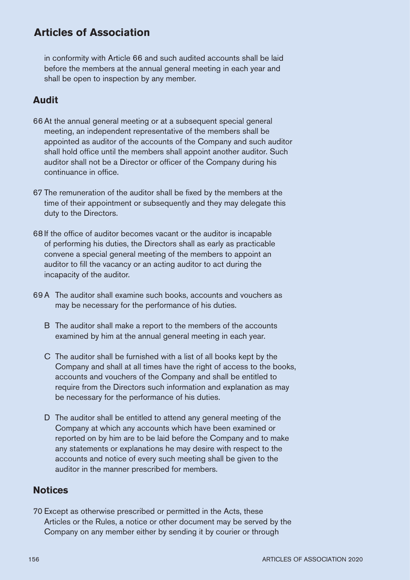in conformity with Article 66 and such audited accounts shall be laid before the members at the annual general meeting in each year and shall be open to inspection by any member.

# **Audit**

- 66 At the annual general meeting or at a subsequent special general meeting, an independent representative of the members shall be appointed as auditor of the accounts of the Company and such auditor shall hold office until the members shall appoint another auditor. Such auditor shall not be a Director or officer of the Company during his continuance in office.
- 67 The remuneration of the auditor shall be fixed by the members at the time of their appointment or subsequently and they may delegate this duty to the Directors.
- 68 If the office of auditor becomes vacant or the auditor is incapable of performing his duties, the Directors shall as early as practicable convene a special general meeting of the members to appoint an auditor to fill the vacancy or an acting auditor to act during the incapacity of the auditor.
- 69 A The auditor shall examine such books, accounts and vouchers as may be necessary for the performance of his duties.
	- B The auditor shall make a report to the members of the accounts examined by him at the annual general meeting in each year.
	- C The auditor shall be furnished with a list of all books kept by the Company and shall at all times have the right of access to the books, accounts and vouchers of the Company and shall be entitled to require from the Directors such information and explanation as may be necessary for the performance of his duties.
	- D The auditor shall be entitled to attend any general meeting of the Company at which any accounts which have been examined or reported on by him are to be laid before the Company and to make any statements or explanations he may desire with respect to the accounts and notice of every such meeting shall be given to the auditor in the manner prescribed for members.

## **Notices**

70 Except as otherwise prescribed or permitted in the Acts, these Articles or the Rules, a notice or other document may be served by the Company on any member either by sending it by courier or through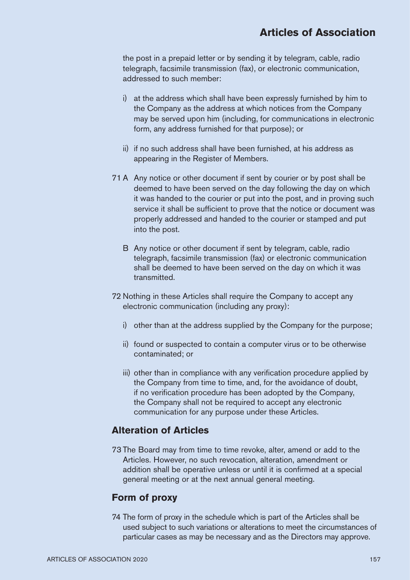the post in a prepaid letter or by sending it by telegram, cable, radio telegraph, facsimile transmission (fax), or electronic communication, addressed to such member:

- i) at the address which shall have been expressly furnished by him to the Company as the address at which notices from the Company may be served upon him (including, for communications in electronic form, any address furnished for that purpose); or
- ii) if no such address shall have been furnished, at his address as appearing in the Register of Members.
- 71 A Any notice or other document if sent by courier or by post shall be deemed to have been served on the day following the day on which it was handed to the courier or put into the post, and in proving such service it shall be sufficient to prove that the notice or document was properly addressed and handed to the courier or stamped and put into the post.
	- B Any notice or other document if sent by telegram, cable, radio telegraph, facsimile transmission (fax) or electronic communication shall be deemed to have been served on the day on which it was transmitted.
- 72 Nothing in these Articles shall require the Company to accept any electronic communication (including any proxy):
	- i) other than at the address supplied by the Company for the purpose;
	- ii) found or suspected to contain a computer virus or to be otherwise contaminated; or
	- iii) other than in compliance with any verification procedure applied by the Company from time to time, and, for the avoidance of doubt, if no verification procedure has been adopted by the Company, the Company shall not be required to accept any electronic communication for any purpose under these Articles.

#### **Alteration of Articles**

73 The Board may from time to time revoke, alter, amend or add to the Articles. However, no such revocation, alteration, amendment or addition shall be operative unless or until it is confirmed at a special general meeting or at the next annual general meeting.

## **Form of proxy**

74 The form of proxy in the schedule which is part of the Articles shall be used subject to such variations or alterations to meet the circumstances of particular cases as may be necessary and as the Directors may approve.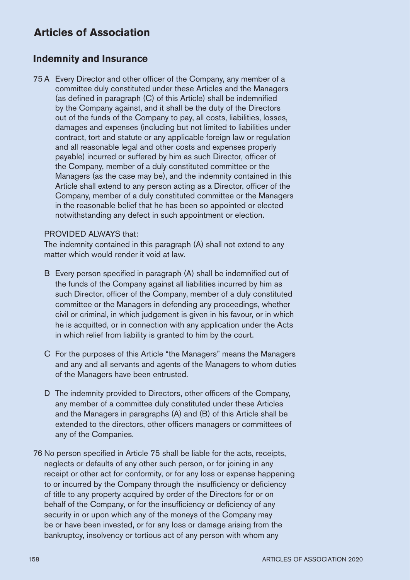## **Indemnity and Insurance**

75 A Every Director and other officer of the Company, any member of a committee duly constituted under these Articles and the Managers (as defined in paragraph  $(C)$  of this Article) shall be indemnified by the Company against, and it shall be the duty of the Directors out of the funds of the Company to pay, all costs, liabilities, losses, damages and expenses (including but not limited to liabilities under contract, tort and statute or any applicable foreign law or regulation and all reasonable legal and other costs and expenses properly pavable) incurred or suffered by him as such Director, officer of the Company, member of a duly constituted committee or the Managers (as the case may be), and the indemnity contained in this Article shall extend to any person acting as a Director, officer of the Company, member of a duly constituted committee or the Managers in the reasonable belief that he has been so appointed or elected notwithstanding any defect in such appointment or election.

#### PROVIDED AI WAYS that:

The indemnity contained in this paragraph (A) shall not extend to any matter which would render it void at law.

- $B$  Every person specified in paragraph  $(A)$  shall be indemnified out of the funds of the Company against all liabilities incurred by him as such Director, officer of the Company, member of a duly constituted committee or the Managers in defending any proceedings, whether civil or criminal, in which judgement is given in his favour, or in which he is acquitted, or in connection with any application under the Acts in which relief from liability is granted to him by the court.
- C For the purposes of this Article "the Managers" means the Managers and any and all servants and agents of the Managers to whom duties of the Managers have been entrusted.
- D The indemnity provided to Directors, other officers of the Company. any member of a committee duly constituted under these Articles and the Managers in paragraphs (A) and (B) of this Article shall be extended to the directors, other officers managers or committees of any of the Companies.
- 76 No person specified in Article 75 shall be liable for the acts, receipts, neglects or defaults of any other such person, or for joining in any receipt or other act for conformity, or for any loss or expense happening to or incurred by the Company through the insufficiency or deficiency of title to any property acquired by order of the Directors for or on behalf of the Company, or for the insufficiency or deficiency of any security in or upon which any of the moneys of the Company may be or have been invested, or for any loss or damage arising from the bankruptcy, insolvency or tortious act of any person with whom any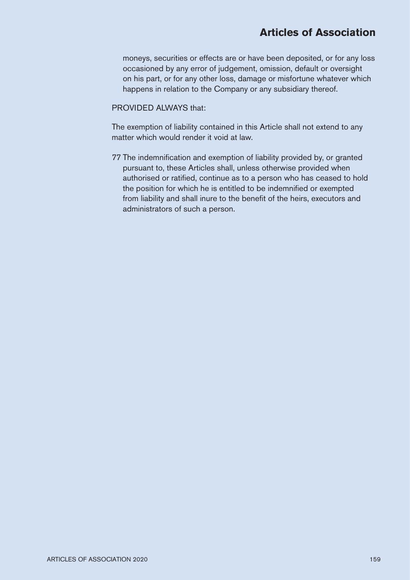moneys, securities or effects are or have been deposited, or for any loss occasioned by any error of judgement, omission, default or oversight on his part, or for any other loss, damage or misfortune whatever which happens in relation to the Company or any subsidiary thereof.

#### PROVIDED ALWAYS that:

The exemption of liability contained in this Article shall not extend to any matter which would render it void at law.

77 The indemnification and exemption of liability provided by, or granted pursuant to, these Articles shall, unless otherwise provided when authorised or ratified, continue as to a person who has ceased to hold the position for which he is entitled to be indemnified or exempted from liability and shall inure to the benefit of the heirs, executors and administrators of such a person.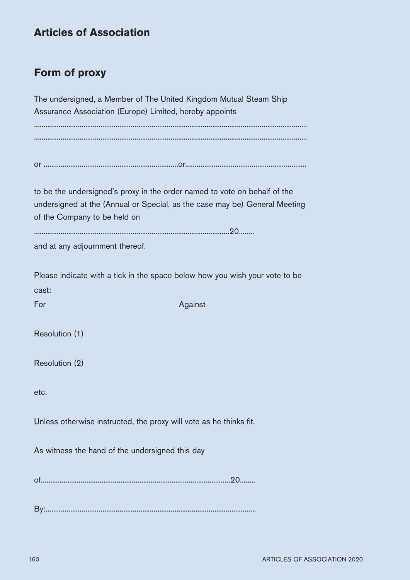# **Form of proxy**

The undersigned, a Member of The United Kingdom Mutual Steam Ship Assurance Association (Europe) Limited, hereby appoints ................................................................................................................................................ ................................................................................................................................................

or .......................................................................or................................................................

to be the undersigned's proxy in the order named to vote on behalf of the undersigned at the (Annual or Special, as the case may be) General Meeting of the Company to be held on

.......................................................................................................20........

and at any adjournment thereof.

Please indicate with a tick in the space below how you wish your vote to be cast:

For Against The Against The Against The Against The Against The Against The Against The Against The Against The Against The Against The Against The Against The Against The Against The Against The Against The Against The Ag

Resolution (1)

Resolution (2)

etc.

Unless otherwise instructed, the proxy will vote as he thinks fit.

As witness the hand of the undersigned this day

of....................................................................................................20........

By:...............................................................................................................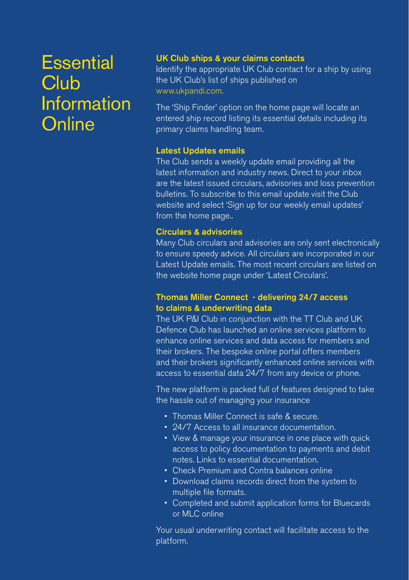# **Essential Club Information Online**

#### UK Club ships & your claims contacts

Identify the appropriate UK Club contact for a ship by using the UK Club's list of ships published on www.ukpandi.com.

The 'Ship Finder' option on the home page will locate an entered ship record listing its essential details including its primary claims handling team.

#### Latest Updates emails

The Club sends a weekly update email providing all the latest information and industry news. Direct to your inbox are the latest issued circulars, advisories and loss prevention bulletins. To subscribe to this email update visit the Club website and select 'Sign up for our weekly email updates' from the home page..

#### Circulars & advisories

Many Club circulars and advisories are only sent electronically to ensure speedy advice. All circulars are incorporated in our Latest Update emails. The most recent circulars are listed on the website home page under 'Latest Circulars'.

#### Thomas Miller Connect - delivering 24/7 access to claims & underwriting data

The UK P&I Club in conjunction with the TT Club and UK Defence Club has launched an online services platform to enhance online services and data access for members and their brokers. The bespoke online portal offers members and their brokers significantly enhanced online services with access to essential data 24/7 from any device or phone.

The new platform is packed full of features designed to take the hassle out of managing your insurance

- Thomas Miller Connect is safe & secure.
- 24/7 Access to all insurance documentation.
- View & manage your insurance in one place with quick access to policy documentation to payments and debit notes. Links to essential documentation.
- Check Premium and Contra balances online
- Download claims records direct from the system to multiple file formats.
- Completed and submit application forms for Bluecards or MLC online

Your usual underwriting contact will facilitate access to the platform.